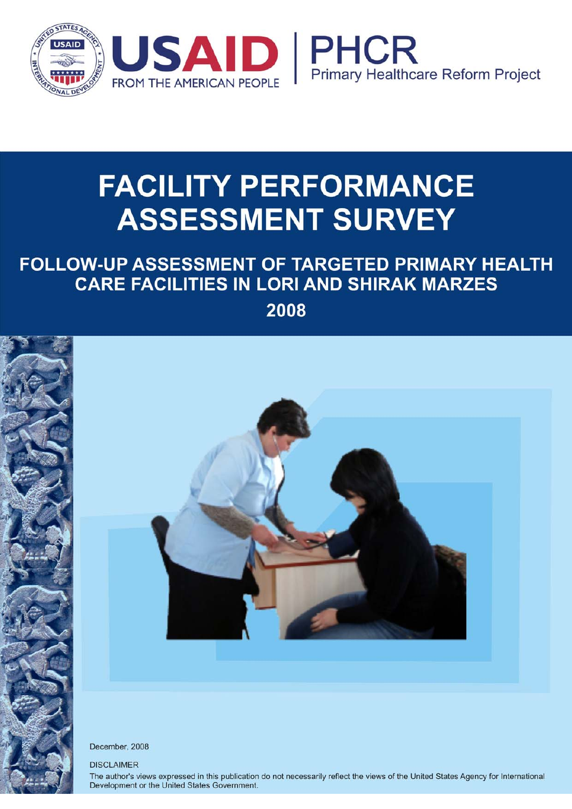

# **FACILITY PERFORMANCE ASSESSMENT SURVEY**

## FOLLOW-UP ASSESSMENT OF TARGETED PRIMARY HEALTH **CARE FACILITIES IN LORI AND SHIRAK MARZES**

2008



December, 2008

**DISCLAIMER** 

The author's views expressed in this publication do not necessarily reflect the views of the United States Agency for International Development or the United States Government.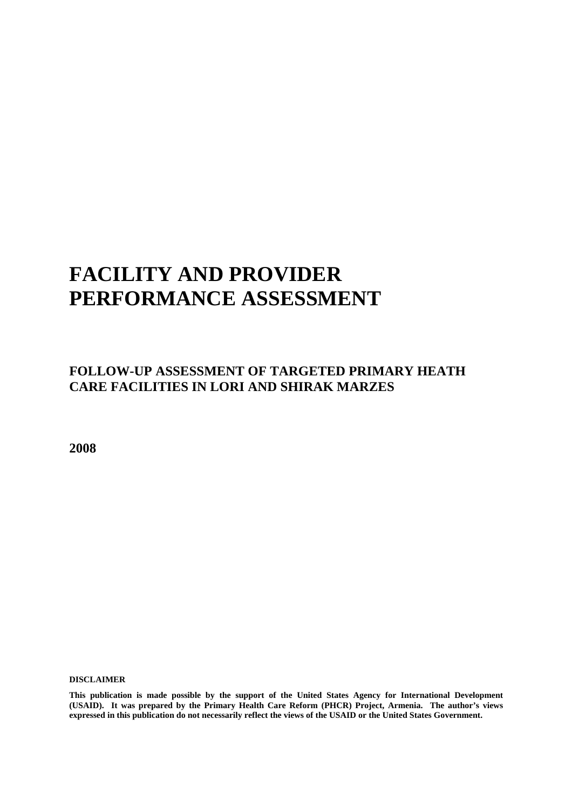## **FACILITY AND PROVIDER PERFORMANCE ASSESSMENT**

### **FOLLOW-UP ASSESSMENT OF TARGETED PRIMARY HEATH CARE FACILITIES IN LORI AND SHIRAK MARZES**

**2008** 

**DISCLAIMER** 

**This publication is made possible by the support of the United States Agency for International Development (USAID). It was prepared by the Primary Health Care Reform (PHCR) Project, Armenia. The author's views expressed in this publication do not necessarily reflect the views of the USAID or the United States Government.**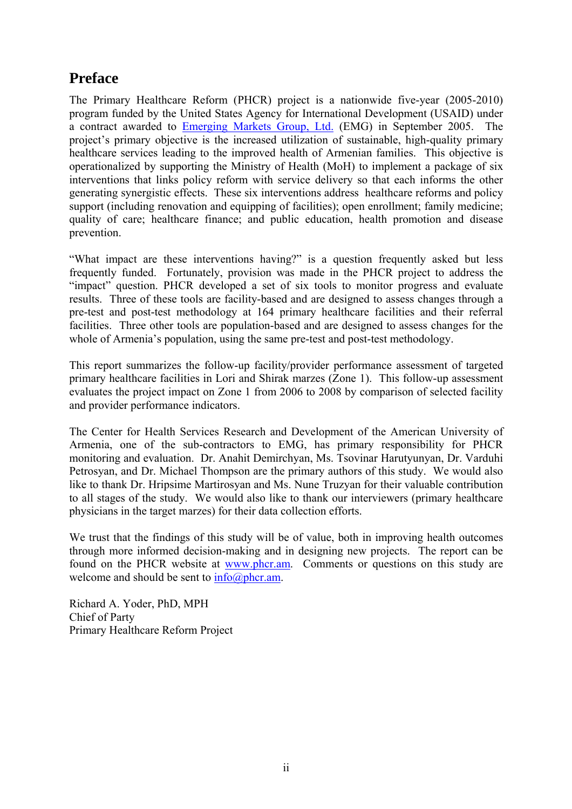### **Preface**

The Primary Healthcare Reform (PHCR) project is a nationwide five-year (2005-2010) program funded by the United States Agency for International Development (USAID) under a contract awarded to Emerging Markets Group, Ltd. (EMG) in September 2005. The project's primary objective is the increased utilization of sustainable, high-quality primary healthcare services leading to the improved health of Armenian families. This objective is operationalized by supporting the Ministry of Health (MoH) to implement a package of six interventions that links policy reform with service delivery so that each informs the other generating synergistic effects. These six interventions address healthcare reforms and policy support (including renovation and equipping of facilities); open enrollment; family medicine; quality of care; healthcare finance; and public education, health promotion and disease prevention.

"What impact are these interventions having?" is a question frequently asked but less frequently funded. Fortunately, provision was made in the PHCR project to address the "impact" question. PHCR developed a set of six tools to monitor progress and evaluate results. Three of these tools are facility-based and are designed to assess changes through a pre-test and post-test methodology at 164 primary healthcare facilities and their referral facilities. Three other tools are population-based and are designed to assess changes for the whole of Armenia's population, using the same pre-test and post-test methodology.

This report summarizes the follow-up facility/provider performance assessment of targeted primary healthcare facilities in Lori and Shirak marzes (Zone 1). This follow-up assessment evaluates the project impact on Zone 1 from 2006 to 2008 by comparison of selected facility and provider performance indicators.

The Center for Health Services Research and Development of the American University of Armenia, one of the sub-contractors to EMG, has primary responsibility for PHCR monitoring and evaluation. Dr. Anahit Demirchyan, Ms. Tsovinar Harutyunyan, Dr. Varduhi Petrosyan, and Dr. Michael Thompson are the primary authors of this study. We would also like to thank Dr. Hripsime Martirosyan and Ms. Nune Truzyan for their valuable contribution to all stages of the study. We would also like to thank our interviewers (primary healthcare physicians in the target marzes) for their data collection efforts.

We trust that the findings of this study will be of value, both in improving health outcomes through more informed decision-making and in designing new projects. The report can be found on the PHCR website at www.phcr.am. Comments or questions on this study are welcome and should be sent to  $info(\partial_\rho)$ hcr.am.

Richard A. Yoder, PhD, MPH Chief of Party Primary Healthcare Reform Project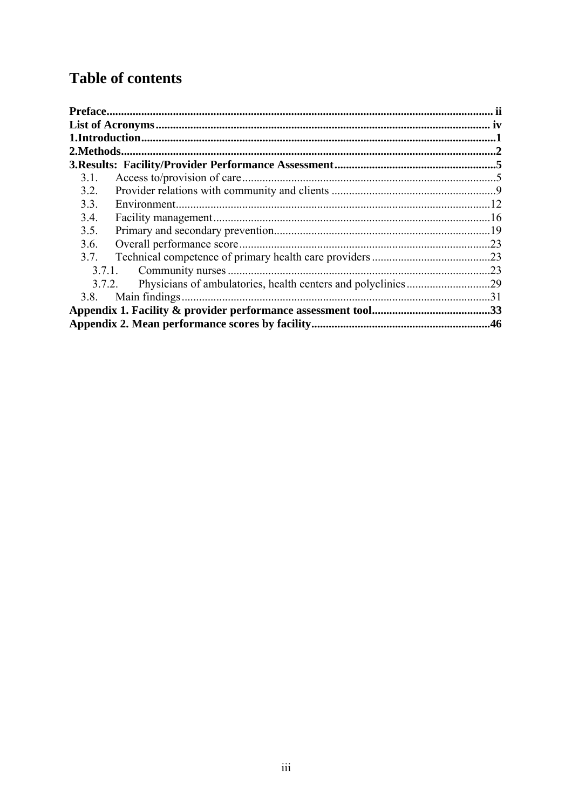## **Table of contents**

| 2. Methods |                             |     |
|------------|-----------------------------|-----|
|            |                             |     |
| 3.1.       |                             |     |
| 3.2.       |                             |     |
| 3.3.       |                             |     |
| 3.4.       |                             |     |
| 3.5.       |                             |     |
| 3.6.       |                             |     |
| 3.7.       |                             |     |
|            | Community nurses.<br>3.7.1. |     |
|            | 3.7.2.                      |     |
| 3.8.       | Main findings               | .31 |
|            |                             |     |
|            |                             |     |
|            |                             |     |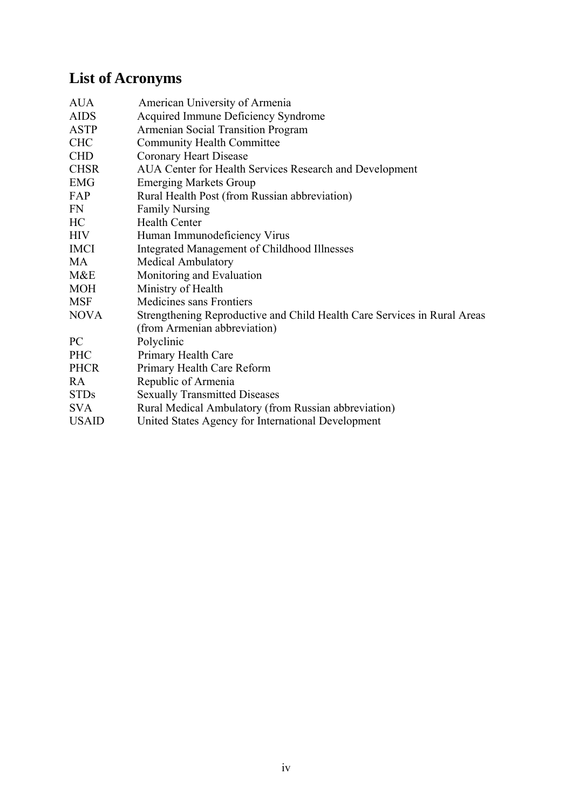## **List of Acronyms**

| <b>AUA</b>   | American University of Armenia                                           |
|--------------|--------------------------------------------------------------------------|
| <b>AIDS</b>  | Acquired Immune Deficiency Syndrome                                      |
| <b>ASTP</b>  | Armenian Social Transition Program                                       |
| <b>CHC</b>   | <b>Community Health Committee</b>                                        |
| <b>CHD</b>   | Coronary Heart Disease                                                   |
| <b>CHSR</b>  | AUA Center for Health Services Research and Development                  |
| <b>EMG</b>   | <b>Emerging Markets Group</b>                                            |
| FAP          | Rural Health Post (from Russian abbreviation)                            |
| FN           | <b>Family Nursing</b>                                                    |
| HC           | <b>Health Center</b>                                                     |
| <b>HIV</b>   | Human Immunodeficiency Virus                                             |
| <b>IMCI</b>  | Integrated Management of Childhood Illnesses                             |
| MA           | <b>Medical Ambulatory</b>                                                |
| M&E          | Monitoring and Evaluation                                                |
| <b>MOH</b>   | Ministry of Health                                                       |
| <b>MSF</b>   | Medicines sans Frontiers                                                 |
| <b>NOVA</b>  | Strengthening Reproductive and Child Health Care Services in Rural Areas |
|              | (from Armenian abbreviation)                                             |
| PC           | Polyclinic                                                               |
| <b>PHC</b>   | Primary Health Care                                                      |
| <b>PHCR</b>  | Primary Health Care Reform                                               |
| RA           | Republic of Armenia                                                      |
| <b>STDs</b>  | <b>Sexually Transmitted Diseases</b>                                     |
| <b>SVA</b>   | Rural Medical Ambulatory (from Russian abbreviation)                     |
| <b>USAID</b> | United States Agency for International Development                       |
|              |                                                                          |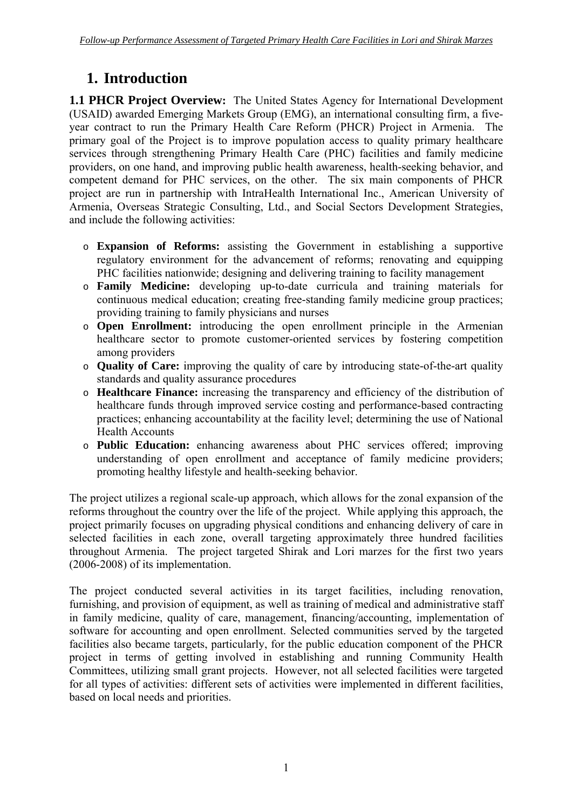## **1. Introduction**

**1.1 PHCR Project Overview:** The United States Agency for International Development (USAID) awarded Emerging Markets Group (EMG), an international consulting firm, a fiveyear contract to run the Primary Health Care Reform (PHCR) Project in Armenia. The primary goal of the Project is to improve population access to quality primary healthcare services through strengthening Primary Health Care (PHC) facilities and family medicine providers, on one hand, and improving public health awareness, health-seeking behavior, and competent demand for PHC services, on the other. The six main components of PHCR project are run in partnership with IntraHealth International Inc., American University of Armenia, Overseas Strategic Consulting, Ltd., and Social Sectors Development Strategies, and include the following activities:

- o **Expansion of Reforms:** assisting the Government in establishing a supportive regulatory environment for the advancement of reforms; renovating and equipping PHC facilities nationwide; designing and delivering training to facility management
- o **Family Medicine:** developing up-to-date curricula and training materials for continuous medical education; creating free-standing family medicine group practices; providing training to family physicians and nurses
- o **Open Enrollment:** introducing the open enrollment principle in the Armenian healthcare sector to promote customer-oriented services by fostering competition among providers
- o **Quality of Care:** improving the quality of care by introducing state-of-the-art quality standards and quality assurance procedures
- o **Healthcare Finance:** increasing the transparency and efficiency of the distribution of healthcare funds through improved service costing and performance-based contracting practices; enhancing accountability at the facility level; determining the use of National Health Accounts
- o **Public Education:** enhancing awareness about PHC services offered; improving understanding of open enrollment and acceptance of family medicine providers; promoting healthy lifestyle and health-seeking behavior.

The project utilizes a regional scale-up approach, which allows for the zonal expansion of the reforms throughout the country over the life of the project. While applying this approach, the project primarily focuses on upgrading physical conditions and enhancing delivery of care in selected facilities in each zone, overall targeting approximately three hundred facilities throughout Armenia. The project targeted Shirak and Lori marzes for the first two years (2006-2008) of its implementation.

The project conducted several activities in its target facilities, including renovation, furnishing, and provision of equipment, as well as training of medical and administrative staff in family medicine, quality of care, management, financing/accounting, implementation of software for accounting and open enrollment. Selected communities served by the targeted facilities also became targets, particularly, for the public education component of the PHCR project in terms of getting involved in establishing and running Community Health Committees, utilizing small grant projects. However, not all selected facilities were targeted for all types of activities: different sets of activities were implemented in different facilities, based on local needs and priorities.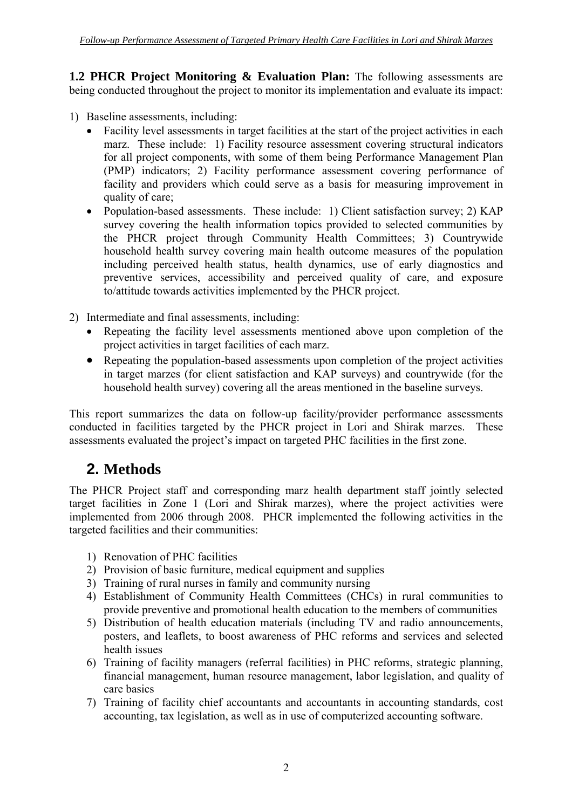**1.2 PHCR Project Monitoring & Evaluation Plan:** The following assessments are being conducted throughout the project to monitor its implementation and evaluate its impact:

- 1) Baseline assessments, including:
	- Facility level assessments in target facilities at the start of the project activities in each marz. These include: 1) Facility resource assessment covering structural indicators for all project components, with some of them being Performance Management Plan (PMP) indicators; 2) Facility performance assessment covering performance of facility and providers which could serve as a basis for measuring improvement in quality of care;
	- Population-based assessments. These include: 1) Client satisfaction survey; 2) KAP survey covering the health information topics provided to selected communities by the PHCR project through Community Health Committees; 3) Countrywide household health survey covering main health outcome measures of the population including perceived health status, health dynamics, use of early diagnostics and preventive services, accessibility and perceived quality of care, and exposure to/attitude towards activities implemented by the PHCR project.
- 2) Intermediate and final assessments, including:
	- Repeating the facility level assessments mentioned above upon completion of the project activities in target facilities of each marz.
	- Repeating the population-based assessments upon completion of the project activities in target marzes (for client satisfaction and KAP surveys) and countrywide (for the household health survey) covering all the areas mentioned in the baseline surveys.

This report summarizes the data on follow-up facility/provider performance assessments conducted in facilities targeted by the PHCR project in Lori and Shirak marzes. These assessments evaluated the project's impact on targeted PHC facilities in the first zone.

## **2. Methods**

The PHCR Project staff and corresponding marz health department staff jointly selected target facilities in Zone 1 (Lori and Shirak marzes), where the project activities were implemented from 2006 through 2008. PHCR implemented the following activities in the targeted facilities and their communities:

- 1) Renovation of PHC facilities
- 2) Provision of basic furniture, medical equipment and supplies
- 3) Training of rural nurses in family and community nursing
- 4) Establishment of Community Health Committees (CHCs) in rural communities to provide preventive and promotional health education to the members of communities
- 5) Distribution of health education materials (including TV and radio announcements, posters, and leaflets, to boost awareness of PHC reforms and services and selected health issues
- 6) Training of facility managers (referral facilities) in PHC reforms, strategic planning, financial management, human resource management, labor legislation, and quality of care basics
- 7) Training of facility chief accountants and accountants in accounting standards, cost accounting, tax legislation, as well as in use of computerized accounting software.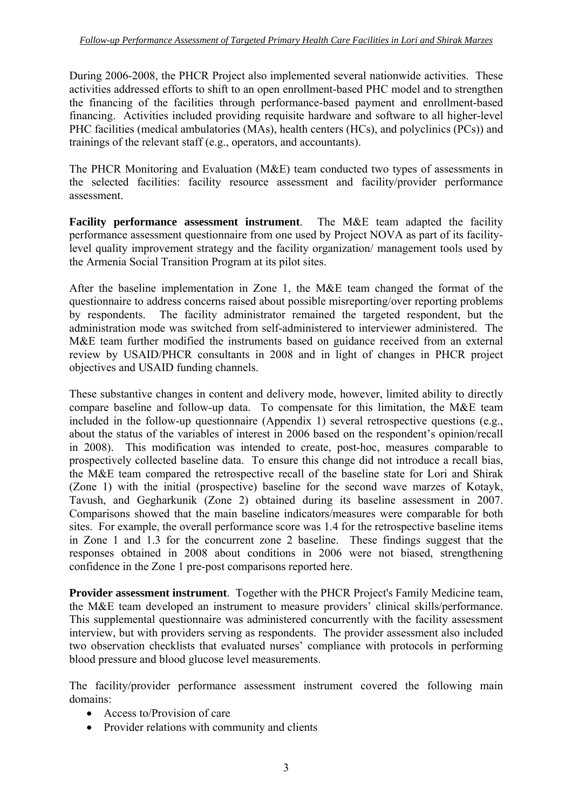During 2006-2008, the PHCR Project also implemented several nationwide activities. These activities addressed efforts to shift to an open enrollment-based PHC model and to strengthen the financing of the facilities through performance-based payment and enrollment-based financing. Activities included providing requisite hardware and software to all higher-level PHC facilities (medical ambulatories (MAs), health centers (HCs), and polyclinics (PCs)) and trainings of the relevant staff (e.g., operators, and accountants).

The PHCR Monitoring and Evaluation (M&E) team conducted two types of assessments in the selected facilities: facility resource assessment and facility/provider performance assessment.

**Facility performance assessment instrument**. The M&E team adapted the facility performance assessment questionnaire from one used by Project NOVA as part of its facilitylevel quality improvement strategy and the facility organization/ management tools used by the Armenia Social Transition Program at its pilot sites.

After the baseline implementation in Zone 1, the M&E team changed the format of the questionnaire to address concerns raised about possible misreporting/over reporting problems by respondents. The facility administrator remained the targeted respondent, but the administration mode was switched from self-administered to interviewer administered. The M&E team further modified the instruments based on guidance received from an external review by USAID/PHCR consultants in 2008 and in light of changes in PHCR project objectives and USAID funding channels.

These substantive changes in content and delivery mode, however, limited ability to directly compare baseline and follow-up data. To compensate for this limitation, the M&E team included in the follow-up questionnaire (Appendix 1) several retrospective questions (e.g., about the status of the variables of interest in 2006 based on the respondent's opinion/recall in 2008). This modification was intended to create, post-hoc, measures comparable to prospectively collected baseline data. To ensure this change did not introduce a recall bias, the M&E team compared the retrospective recall of the baseline state for Lori and Shirak (Zone 1) with the initial (prospective) baseline for the second wave marzes of Kotayk, Tavush, and Gegharkunik (Zone 2) obtained during its baseline assessment in 2007. Comparisons showed that the main baseline indicators/measures were comparable for both sites. For example, the overall performance score was 1.4 for the retrospective baseline items in Zone 1 and 1.3 for the concurrent zone 2 baseline. These findings suggest that the responses obtained in 2008 about conditions in 2006 were not biased, strengthening confidence in the Zone 1 pre-post comparisons reported here.

**Provider assessment instrument**. Together with the PHCR Project's Family Medicine team, the M&E team developed an instrument to measure providers' clinical skills/performance. This supplemental questionnaire was administered concurrently with the facility assessment interview, but with providers serving as respondents. The provider assessment also included two observation checklists that evaluated nurses' compliance with protocols in performing blood pressure and blood glucose level measurements.

The facility/provider performance assessment instrument covered the following main domains:

- Access to/Provision of care
- Provider relations with community and clients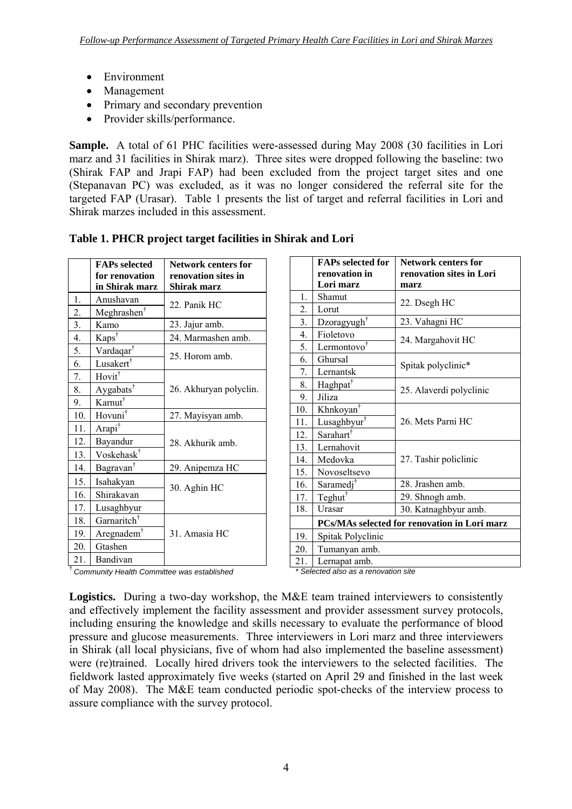- Environment
- Management
- Primary and secondary prevention
- Provider skills/performance.

**Sample.** A total of 61 PHC facilities were-assessed during May 2008 (30 facilities in Lori marz and 31 facilities in Shirak marz). Three sites were dropped following the baseline: two (Shirak FAP and Jrapi FAP) had been excluded from the project target sites and one (Stepanavan PC) was excluded, as it was no longer considered the referral site for the targeted FAP (Urasar). Table 1 presents the list of target and referral facilities in Lori and Shirak marzes included in this assessment.

|                  | <b>FAPs selected</b><br>for renovation | <b>Network centers for</b><br>renovation sites in |
|------------------|----------------------------------------|---------------------------------------------------|
|                  | in Shirak marz                         | Shirak marz                                       |
| 1.               | Anushavan                              |                                                   |
| 2.               | Meghrashen <sup>†</sup>                | 22. Panik HC                                      |
| 3.               | Kamo                                   | 23. Jajur amb.                                    |
| $\overline{4}$ . | Kaps <sup>†</sup>                      | 24. Marmashen amb.                                |
| 5.               | Vardaqar <sup>†</sup>                  | 25. Horom amb.                                    |
| 6.               | Lusakert <sup>†</sup>                  |                                                   |
| 7.               | Hovit <sup>†</sup>                     |                                                   |
| 8.               | Aygabats <sup>†</sup>                  | 26. Akhuryan polyclin.                            |
| 9.               | Karnut <sup>†</sup>                    |                                                   |
| 10.              | Hovuni <sup>†</sup>                    | 27. Mayisyan amb.                                 |
| 11.              | Arapi <sup>†</sup>                     |                                                   |
| 12.              | Bayandur                               | 28. Akhurik amb.                                  |
| 13.              | Voskehask <sup>†</sup>                 |                                                   |
| 14.              | Bagravan <sup>†</sup>                  | 29. Anipemza HC                                   |
| 15.              | Isahakyan                              |                                                   |
| 16.              | Shirakavan                             | 30. Aghin HC                                      |
| 17.              | Lusaghbyur                             |                                                   |
| 18.              | Garnaritch <sup>†</sup>                |                                                   |
| 19.              | Aregnadem <sup>†</sup>                 | 31. Amasia HC                                     |
| 20.              | Gtashen                                |                                                   |
| 21.              | Bandivan                               |                                                   |

|  | Table 1. PHCR project target facilities in Shirak and Lori |
|--|------------------------------------------------------------|

|                  | <b>FAPs selected for</b><br>renovation in | <b>Network centers for</b><br>renovation sites in Lori |
|------------------|-------------------------------------------|--------------------------------------------------------|
|                  | Lori marz                                 | marz                                                   |
| $1.$             | Shamut                                    |                                                        |
| 2.               | Lorut                                     | 22. Dsegh HC                                           |
| 3.               | Dzoragyugh <sup>†</sup>                   | 23. Vahagni HC                                         |
| $\overline{4}$ . | Fioletovo                                 |                                                        |
| 5.               | Lermontovo <sup>†</sup>                   | 24. Margahovit HC                                      |
| 6.               | Ghursal                                   |                                                        |
| 7.               | Lernantsk                                 | Spitak polyclinic*                                     |
| 8.               | Haghpat <sup>†</sup>                      | 25. Alaverdi polyclinic                                |
| 9.               | Jiliza                                    |                                                        |
| 10.              | Khnkoyan <sup>†</sup>                     |                                                        |
| 11.              | Lusaghbyur <sup>†</sup>                   | 26. Mets Parni HC                                      |
| 12.              | Sarahart <sup>†</sup>                     |                                                        |
| 13.              | Lernahovit                                |                                                        |
| 14.              | Medovka                                   | 27. Tashir policlinic                                  |
| 15.              | Novoseltsevo                              |                                                        |
| 16.              | Saramedj <sup>†</sup>                     | 28. Jrashen amb.                                       |
| 17.              | Teghut <sup>†</sup>                       | 29. Shnogh amb.                                        |
| 18.              | Urasar                                    | 30. Katnaghbyur amb.                                   |
|                  |                                           | PCs/MAs selected for renovation in Lori marz           |
| 19.              | Spitak Polyclinic                         |                                                        |
| 20.              | Tumanyan amb.                             |                                                        |
| 21.              | Lernapat amb.                             |                                                        |

† *Community Health Committee was established*

*\* Selected also as a renovation site* 

**Logistics.** During a two-day workshop, the M&E team trained interviewers to consistently and effectively implement the facility assessment and provider assessment survey protocols, including ensuring the knowledge and skills necessary to evaluate the performance of blood pressure and glucose measurements. Three interviewers in Lori marz and three interviewers in Shirak (all local physicians, five of whom had also implemented the baseline assessment) were (re)trained. Locally hired drivers took the interviewers to the selected facilities. The fieldwork lasted approximately five weeks (started on April 29 and finished in the last week of May 2008). The M&E team conducted periodic spot-checks of the interview process to assure compliance with the survey protocol.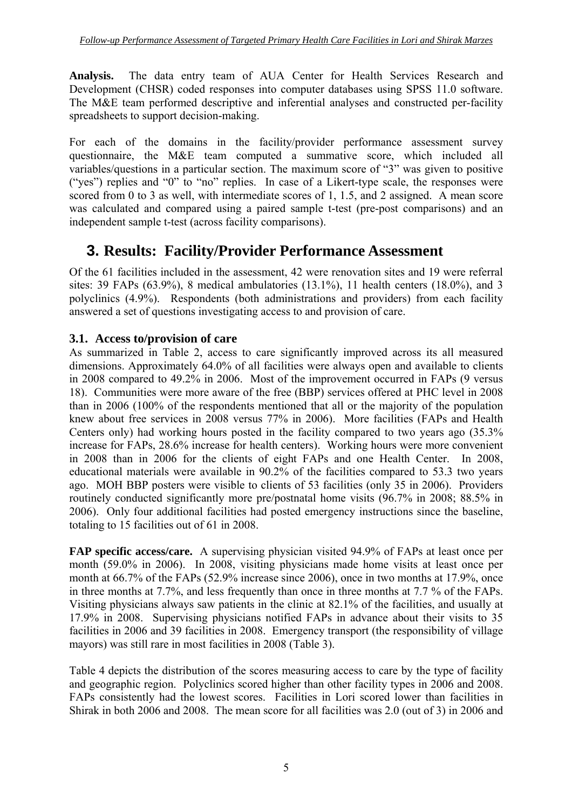**Analysis.** The data entry team of AUA Center for Health Services Research and Development (CHSR) coded responses into computer databases using SPSS 11.0 software. The M&E team performed descriptive and inferential analyses and constructed per-facility spreadsheets to support decision-making.

For each of the domains in the facility/provider performance assessment survey questionnaire, the M&E team computed a summative score, which included all variables/questions in a particular section. The maximum score of "3" was given to positive ("yes") replies and "0" to "no" replies. In case of a Likert-type scale, the responses were scored from 0 to 3 as well, with intermediate scores of 1, 1.5, and 2 assigned. A mean score was calculated and compared using a paired sample t-test (pre-post comparisons) and an independent sample t-test (across facility comparisons).

## **3. Results: Facility/Provider Performance Assessment**

Of the 61 facilities included in the assessment, 42 were renovation sites and 19 were referral sites: 39 FAPs (63.9%), 8 medical ambulatories (13.1%), 11 health centers (18.0%), and 3 polyclinics (4.9%). Respondents (both administrations and providers) from each facility answered a set of questions investigating access to and provision of care.

#### **3.1. Access to/provision of care**

As summarized in Table 2, access to care significantly improved across its all measured dimensions. Approximately 64.0% of all facilities were always open and available to clients in 2008 compared to 49.2% in 2006. Most of the improvement occurred in FAPs (9 versus 18). Communities were more aware of the free (BBP) services offered at PHC level in 2008 than in 2006 (100% of the respondents mentioned that all or the majority of the population knew about free services in 2008 versus 77% in 2006). More facilities (FAPs and Health Centers only) had working hours posted in the facility compared to two years ago (35.3% increase for FAPs, 28.6% increase for health centers). Working hours were more convenient in 2008 than in 2006 for the clients of eight FAPs and one Health Center. In 2008, educational materials were available in 90.2% of the facilities compared to 53.3 two years ago. MOH BBP posters were visible to clients of 53 facilities (only 35 in 2006). Providers routinely conducted significantly more pre/postnatal home visits (96.7% in 2008; 88.5% in 2006). Only four additional facilities had posted emergency instructions since the baseline, totaling to 15 facilities out of 61 in 2008.

**FAP specific access/care.** A supervising physician visited 94.9% of FAPs at least once per month (59.0% in 2006). In 2008, visiting physicians made home visits at least once per month at 66.7% of the FAPs (52.9% increase since 2006), once in two months at 17.9%, once in three months at 7.7%, and less frequently than once in three months at 7.7 % of the FAPs. Visiting physicians always saw patients in the clinic at 82.1% of the facilities, and usually at 17.9% in 2008. Supervising physicians notified FAPs in advance about their visits to 35 facilities in 2006 and 39 facilities in 2008. Emergency transport (the responsibility of village mayors) was still rare in most facilities in 2008 (Table 3).

Table 4 depicts the distribution of the scores measuring access to care by the type of facility and geographic region. Polyclinics scored higher than other facility types in 2006 and 2008. FAPs consistently had the lowest scores. Facilities in Lori scored lower than facilities in Shirak in both 2006 and 2008. The mean score for all facilities was 2.0 (out of 3) in 2006 and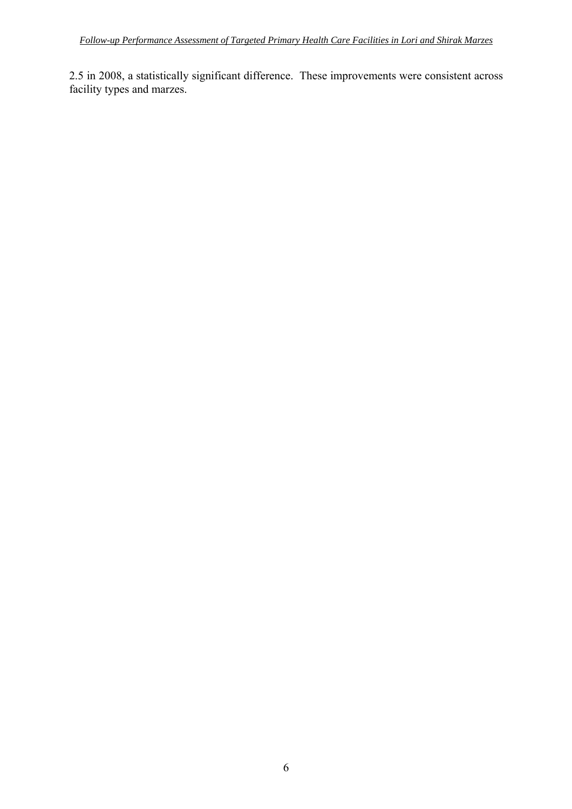2.5 in 2008, a statistically significant difference. These improvements were consistent across facility types and marzes.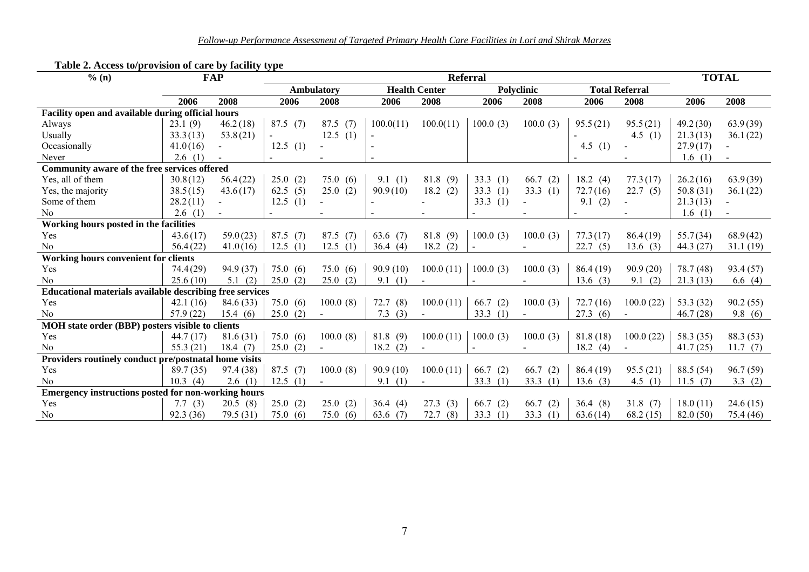| % (n)                                                      |           | <b>FAP</b> | <b>Referral</b> |                   |            |                      |             |                   |           |                       | <b>TOTAL</b> |           |
|------------------------------------------------------------|-----------|------------|-----------------|-------------------|------------|----------------------|-------------|-------------------|-----------|-----------------------|--------------|-----------|
|                                                            |           |            |                 | <b>Ambulatory</b> |            | <b>Health Center</b> |             | <b>Polyclinic</b> |           | <b>Total Referral</b> |              |           |
|                                                            | 2006      | 2008       | 2006            | 2008              | 2006       | 2008                 | 2006        | 2008              | 2006      | 2008                  | 2006         | 2008      |
| Facility open and available during official hours          |           |            |                 |                   |            |                      |             |                   |           |                       |              |           |
| Always                                                     | 23.1(9)   | 46.2(18)   | 87.5(7)         | 87.5(7)           | 100.0(11)  | 100.0(11)            | 100.0(3)    | 100.0(3)          | 95.5(21)  | 95.5(21)              | 49.2(30)     | 63.9(39)  |
| Usually                                                    | 33.3(13)  | 53.8(21)   |                 | 12.5(1)           |            |                      |             |                   |           | 4.5 $(1)$             | 21.3(13)     | 36.1(22)  |
| Occasionally                                               | 41.0(16)  |            | 12.5(1)         |                   |            |                      |             |                   | 4.5 $(1)$ |                       | 27.9(17)     |           |
| Never                                                      | 2.6(1)    |            |                 |                   |            |                      |             |                   |           |                       | 1.6(1)       |           |
| Community aware of the free services offered               |           |            |                 |                   |            |                      |             |                   |           |                       |              |           |
| Yes, all of them                                           | 30.8(12)  | 56.4(22)   | 25.0(2)         | 75.0(6)           | 9.1(1)     | 81.8(9)              | 33.3 $(1)$  | 66.7<br>(2)       | 18.2 (4)  | 77.3(17)              | 26.2(16)     | 63.9(39)  |
| Yes, the majority                                          | 38.5(15)  | 43.6(17)   | 62.5(5)         | 25.0(2)           | 90.9(10)   | 18.2(2)              | 33.3(1)     | 33.3(1)           | 72.7(16)  | 22.7(5)               | 50.8 (31)    | 36.1(22)  |
| Some of them                                               | 28.2(11)  |            | 12.5(1)         |                   |            |                      | 33.3 $(1)$  |                   | 9.1(2)    |                       | 21.3(13)     |           |
| N <sub>0</sub>                                             | 2.6(1)    |            |                 |                   |            |                      |             |                   |           |                       | 1.6(1)       |           |
| Working hours posted in the facilities                     |           |            |                 |                   |            |                      |             |                   |           |                       |              |           |
| Yes                                                        | 43.6(17)  | 59.0(23)   | 87.5(7)         | 87.5(7)           | 63.6 $(7)$ | 81.8(9)              | 100.0(3)    | 100.0(3)          | 77.3(17)  | 86.4(19)              | 55.7(34)     | 68.9(42)  |
| No                                                         | 56.4(22)  | 41.0(16)   | 12.5(1)         | 12.5<br>(1)       | 36.4(4)    | 18.2<br>(2)          |             |                   | 22.7(5)   | 13.6(3)               | 44.3 (27)    | 31.1(19)  |
| Working hours convenient for clients                       |           |            |                 |                   |            |                      |             |                   |           |                       |              |           |
| Yes                                                        | 74.4(29)  | 94.9 (37)  | 75.0(6)         | 75.0(6)           | 90.9(10)   | 100.0(11)            | 100.0(3)    | 100.0(3)          | 86.4(19)  | 90.9(20)              | 78.7 (48)    | 93.4(57)  |
| N <sub>o</sub>                                             | 25.6(10)  | 5.1(2)     | 25.0(2)         | 25.0(2)           | 9.1(1)     |                      |             |                   | 13.6(3)   | 9.1(2)                | 21.3(13)     | 6.6 $(4)$ |
| Educational materials available describing free services   |           |            |                 |                   |            |                      |             |                   |           |                       |              |           |
| Yes                                                        | 42.1(16)  | 84.6 (33)  | 75.0(6)         | 100.0(8)          | 72.7(8)    | 100.0(11)            | 66.7(2)     | 100.0(3)          | 72.7(16)  | 100.0(22)             | 53.3 $(32)$  | 90.2(55)  |
| No                                                         | 57.9(22)  | 15.4(6)    | 25.0(2)         | $\sim$            | 7.3(3)     | $\blacksquare$       | 33.3<br>(1) |                   | 27.3(6)   |                       | 46.7(28)     | 9.8(6)    |
| MOH state order (BBP) posters visible to clients           |           |            |                 |                   |            |                      |             |                   |           |                       |              |           |
| Yes                                                        | 44.7(17)  | 81.6(31)   | 75.0(6)         | 100.0(8)          | 81.8(9)    | 100.0(11)            | 100.0(3)    | 100.0(3)          | 81.8(18)  | 100.0(22)             | 58.3 (35)    | 88.3 (53) |
| N <sub>0</sub>                                             | 55.3(21)  | 18.4(7)    | 25.0(2)         |                   | 18.2(2)    |                      |             |                   | 18.2(4)   |                       | 41.7(25)     | 11.7(7)   |
| Providers routinely conduct pre/postnatal home visits      |           |            |                 |                   |            |                      |             |                   |           |                       |              |           |
| Yes                                                        | 89.7 (35) | 97.4 (38)  | 87.5(7)         | 100.0(8)          | 90.9(10)   | 100.0(11)            | 66.7(2)     | 66.7(2)           | 86.4(19)  | 95.5(21)              | 88.5 (54)    | 96.7(59)  |
| N <sub>0</sub>                                             | 10.3(4)   | 2.6(1)     | 12.5(1)         |                   | 9.1(1)     |                      | 33.3 $(1)$  | 33.3(1)           | 13.6(3)   | 4.5 $(1)$             | 11.5(7)      | 3.3 $(2)$ |
| <b>Emergency instructions posted for non-working hours</b> |           |            |                 |                   |            |                      |             |                   |           |                       |              |           |
| Yes                                                        | 7.7 $(3)$ | 20.5(8)    | 25.0(2)         | 25.0(2)           | 36.4(4)    | 27.3(3)              | 66.7(2)     | 66.7(2)           | 36.4(8)   | 31.8(7)               | 18.0(11)     | 24.6(15)  |
| N <sub>0</sub>                                             | 92.3 (36) | 79.5(31)   | 75.0(6)         | 75.0(6)           | 63.6 $(7)$ | 72.7<br>(8)          | 33.3 $(1)$  | 33.3(1)           | 63.6(14)  | 68.2(15)              | 82.0(50)     | 75.4 (46) |

#### **Table 2. Access to/provision of care by facility type**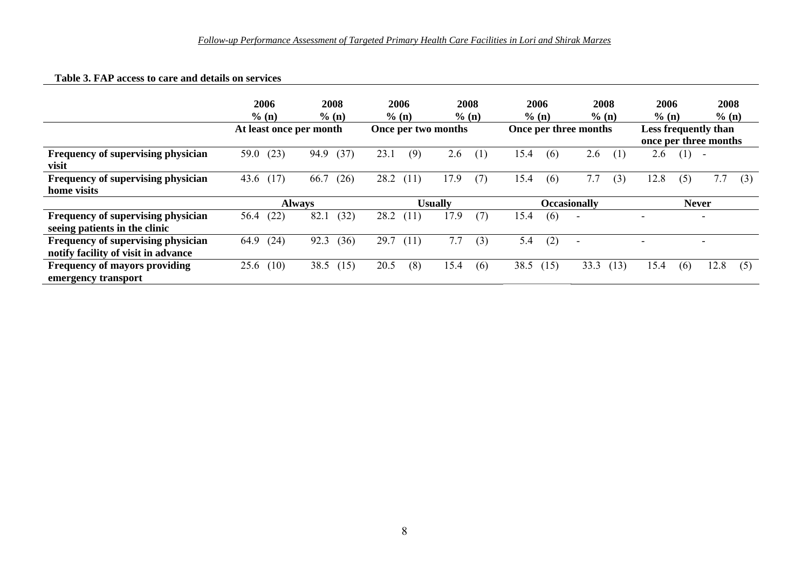#### **Table 3. FAP access to care and details on services**

|                                                                           | 2006                    | 2008          | 2006                | 2008           | 2006                  | 2008                     | 2006                                          | 2008                     |
|---------------------------------------------------------------------------|-------------------------|---------------|---------------------|----------------|-----------------------|--------------------------|-----------------------------------------------|--------------------------|
|                                                                           | % (n)                   | % (n)         | % (n)               | % (n)          | % (n)                 | $\%$ (n)                 | % (n)                                         | % (n)                    |
|                                                                           | At least once per month |               | Once per two months |                | Once per three months |                          | Less frequently than<br>once per three months |                          |
| Frequency of supervising physician                                        | (23)                    | (37)          | (9)                 | 2.6            | 15.4                  | 2.6                      | 2.6                                           | $\overline{\phantom{a}}$ |
| visit                                                                     | 59.0                    | 94.9          | 23.1                | (1)            | (6)                   | (1)                      | (1)                                           |                          |
| Frequency of supervising physician                                        | (17)                    | 66.7          | 28.2                | 17.9           | 15.4                  | 7.7                      | 12.8                                          | 7.7                      |
| home visits                                                               | 43.6                    | (26)          | (11)                | (7)            | (6)                   | (3)                      | (5)                                           | (3)                      |
|                                                                           |                         | <b>Always</b> |                     | <b>Usually</b> |                       | <b>Occasionally</b>      | <b>Never</b>                                  |                          |
| Frequency of supervising physician<br>seeing patients in the clinic       | (22)<br>56.4            | 82.1<br>(32)  | 28.2<br>(11)        | 17.9<br>(7)    | 15.4<br>(6)           | $\overline{\phantom{a}}$ | -                                             | $\overline{\phantom{0}}$ |
| Frequency of supervising physician<br>notify facility of visit in advance | (24)<br>64.9            | (36)<br>92.3  | 29.7<br>(11)        | 7.7<br>(3)     | 5.4<br>(2)            | $\overline{\phantom{a}}$ |                                               |                          |
| Frequency of mayors providing                                             | (10)                    | 38.5          | 20.5                | 15.4           | 38.5                  | 33.3                     | 15.4                                          | 12.8                     |
| emergency transport                                                       | 25.6                    | (15)          | (8)                 | (6)            | (15)                  | (13)                     | (6)                                           | (5)                      |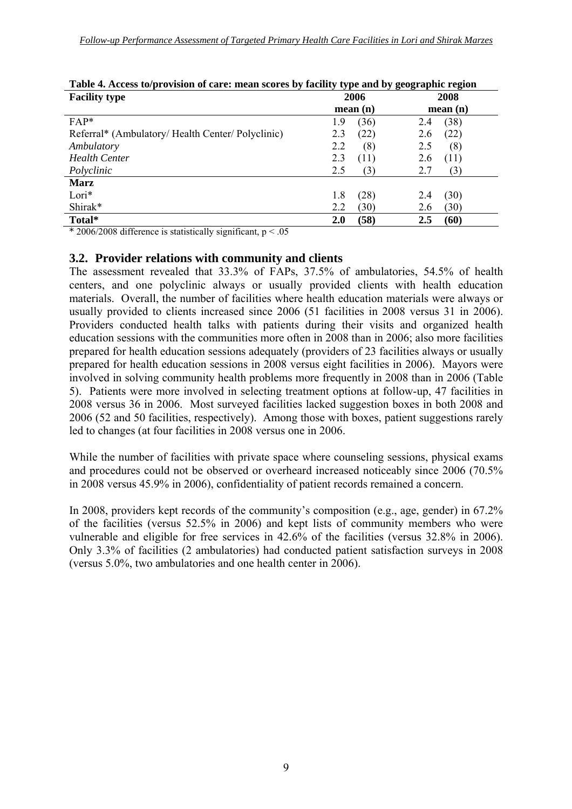| <b>Facility type</b>                            | . .<br>2006 | $\overline{\phantom{a}}$<br>-<br>2008 |
|-------------------------------------------------|-------------|---------------------------------------|
|                                                 | mean(n)     | mean(n)                               |
| $FAP*$                                          | (36)<br>1.9 | (38)<br>2.4                           |
| Referral* (Ambulatory/Health Center/Polyclinic) | (22)<br>2.3 | (22)<br>2.6                           |
| Ambulatory                                      | 2.2<br>(8)  | 2.5<br>(8)                            |
| <b>Health Center</b>                            | 2.3<br>(11) | (11)<br>2.6                           |
| Polyclinic                                      | 2.5<br>(3)  | 2.7<br>(3)                            |
| <b>Marz</b>                                     |             |                                       |
| Lori*                                           | (28)<br>1.8 | (30)<br>2.4                           |
| Shirak*                                         | (30)<br>2.2 | (30)<br>2.6                           |
| Total*                                          | (58)<br>2.0 | (60)<br>2.5                           |

|                             |  |                                   | Table 4. Access to/provision of care: mean scores by facility type and by geographic region |
|-----------------------------|--|-----------------------------------|---------------------------------------------------------------------------------------------|
| $\sim$ $\sim$ $\sim$ $\sim$ |  | $\bullet \bullet \bullet \bullet$ | $\bullet \bullet \bullet \bullet$                                                           |

\* 2006/2008 difference is statistically significant,  $p < .05$ 

#### **3.2. Provider relations with community and clients**

The assessment revealed that 33.3% of FAPs, 37.5% of ambulatories, 54.5% of health centers, and one polyclinic always or usually provided clients with health education materials. Overall, the number of facilities where health education materials were always or usually provided to clients increased since 2006 (51 facilities in 2008 versus 31 in 2006). Providers conducted health talks with patients during their visits and organized health education sessions with the communities more often in 2008 than in 2006; also more facilities prepared for health education sessions adequately (providers of 23 facilities always or usually prepared for health education sessions in 2008 versus eight facilities in 2006). Mayors were involved in solving community health problems more frequently in 2008 than in 2006 (Table 5). Patients were more involved in selecting treatment options at follow-up, 47 facilities in 2008 versus 36 in 2006. Most surveyed facilities lacked suggestion boxes in both 2008 and 2006 (52 and 50 facilities, respectively). Among those with boxes, patient suggestions rarely led to changes (at four facilities in 2008 versus one in 2006.

While the number of facilities with private space where counseling sessions, physical exams and procedures could not be observed or overheard increased noticeably since 2006 (70.5% in 2008 versus 45.9% in 2006), confidentiality of patient records remained a concern.

In 2008, providers kept records of the community's composition (e.g., age, gender) in 67.2% of the facilities (versus 52.5% in 2006) and kept lists of community members who were vulnerable and eligible for free services in 42.6% of the facilities (versus 32.8% in 2006). Only 3.3% of facilities (2 ambulatories) had conducted patient satisfaction surveys in 2008 (versus 5.0%, two ambulatories and one health center in 2006).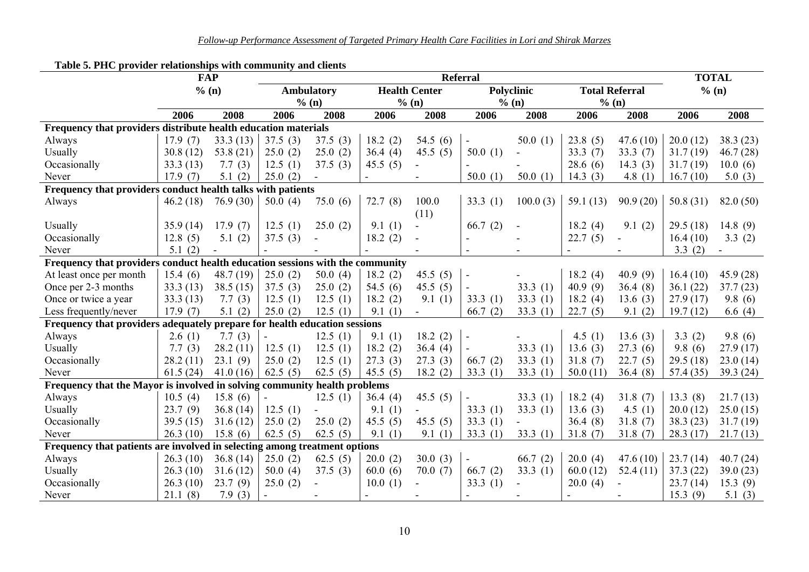|                                                                               | Table 5. PHC provider relationships with community and clients<br><b>FAP</b> |             |            | <b>Referral</b>   |            |                      |                |            |             |                       |           |              |
|-------------------------------------------------------------------------------|------------------------------------------------------------------------------|-------------|------------|-------------------|------------|----------------------|----------------|------------|-------------|-----------------------|-----------|--------------|
|                                                                               |                                                                              | % (n)       |            | <b>Ambulatory</b> |            | <b>Health Center</b> |                | Polyclinic |             | <b>Total Referral</b> | % (n)     | <b>TOTAL</b> |
|                                                                               |                                                                              |             | % (n)      |                   | % (n)      |                      | % (n)          |            | % (n)       |                       |           |              |
|                                                                               | 2006                                                                         | 2008        | 2006       | 2008              | 2006       | 2008                 | 2006           | 2008       | 2006        | 2008                  | 2006      | 2008         |
| Frequency that providers distribute health education materials                |                                                                              |             |            |                   |            |                      |                |            |             |                       |           |              |
| Always                                                                        | 17.9(7)                                                                      | 33.3(13)    | 37.5(3)    | 37.5(3)           | 18.2(2)    | 54.5 $(6)$           |                | 50.0(1)    | 23.8(5)     | 47.6(10)              | 20.0(12)  | 38.3(23)     |
| Usually                                                                       | 30.8(12)                                                                     | 53.8 $(21)$ | 25.0(2)    | 25.0(2)           | 36.4(4)    | 45.5 $(5)$           | 50.0(1)        |            | 33.3(7)     | 33.3(7)               | 31.7(19)  | 46.7(28)     |
| Occasionally                                                                  | 33.3(13)                                                                     | 7.7(3)      | 12.5(1)    | 37.5(3)           | 45.5(5)    |                      |                |            | 28.6(6)     | 14.3 $(3)$            | 31.7(19)  | 10.0(6)      |
| Never                                                                         | 17.9(7)                                                                      | 5.1(2)      | 25.0(2)    |                   |            |                      | 50.0(1)        | 50.0(1)    | 14.3 $(3)$  | 4.8 $(1)$             | 16.7(10)  | 5.0(3)       |
| Frequency that providers conduct health talks with patients                   |                                                                              |             |            |                   |            |                      |                |            |             |                       |           |              |
| Always                                                                        | 46.2(18)                                                                     | 76.9(30)    | 50.0(4)    | 75.0(6)           | 72.7(8)    | 100.0                | 33.3 $(1)$     | 100.0(3)   | 59.1 $(13)$ | 90.9(20)              | 50.8(31)  | 82.0(50)     |
|                                                                               |                                                                              |             |            |                   |            | (11)                 |                |            |             |                       |           |              |
| Usually                                                                       | 35.9(14)                                                                     | 17.9(7)     | 12.5(1)    | 25.0(2)           | 9.1(1)     |                      | 66.7 $(2)$     |            | 18.2(4)     | 9.1(2)                | 29.5(18)  | 14.8 $(9)$   |
| Occasionally                                                                  | 12.8(5)                                                                      | 5.1(2)      | 37.5(3)    |                   | 18.2(2)    |                      |                |            | 22.7(5)     |                       | 16.4(10)  | 3.3(2)       |
| Never                                                                         | 5.1(2)                                                                       |             |            |                   |            |                      |                |            |             |                       | 3.3(2)    |              |
| Frequency that providers conduct health education sessions with the community |                                                                              |             |            |                   |            |                      |                |            |             |                       |           |              |
| At least once per month                                                       | 15.4(6)                                                                      | 48.7(19)    | 25.0(2)    | 50.0(4)           | 18.2(2)    | 45.5 $(5)$           | $\blacksquare$ |            | 18.2(4)     | 40.9(9)               | 16.4(10)  | 45.9(28)     |
| Once per 2-3 months                                                           | 33.3(13)                                                                     | 38.5(15)    | 37.5(3)    | 25.0(2)           | 54.5 $(6)$ | 45.5 $(5)$           |                | 33.3 $(1)$ | 40.9(9)     | 36.4(8)               | 36.1(22)  | 37.7(23)     |
| Once or twice a year                                                          | 33.3(13)                                                                     | 7.7(3)      | 12.5(1)    | 12.5(1)           | 18.2(2)    | 9.1(1)               | 33.3(1)        | 33.3(1)    | 18.2(4)     | 13.6(3)               | 27.9(17)  | 9.8(6)       |
| Less frequently/never                                                         | 17.9(7)                                                                      | 5.1(2)      | 25.0(2)    | 12.5(1)           | 9.1(1)     |                      | 66.7(2)        | 33.3(1)    | 22.7(5)     | 9.1(2)                | 19.7(12)  | 6.6 $(4)$    |
| Frequency that providers adequately prepare for health education sessions     |                                                                              |             |            |                   |            |                      |                |            |             |                       |           |              |
| Always                                                                        | 2.6(1)                                                                       | 7.7(3)      |            | 12.5(1)           | 9.1(1)     | 18.2(2)              | $\blacksquare$ |            | 4.5 $(1)$   | 13.6(3)               | 3.3(2)    | 9.8(6)       |
| Usually                                                                       | 7.7(3)                                                                       | 28.2(11)    | 12.5(1)    | 12.5(1)           | 18.2(2)    | 36.4(4)              |                | 33.3(1)    | 13.6(3)     | 27.3(6)               | 9.8(6)    | 27.9(17)     |
| Occasionally                                                                  | 28.2(11)                                                                     | 23.1(9)     | 25.0(2)    | 12.5(1)           | 27.3(3)    | 27.3(3)              | 66.7(2)        | 33.3(1)    | 31.8(7)     | 22.7(5)               | 29.5(18)  | 23.0(14)     |
| Never                                                                         | 61.5(24)                                                                     | 41.0(16)    | 62.5 $(5)$ | 62.5 $(5)$        | 45.5 $(5)$ | 18.2(2)              | 33.3(1)        | 33.3(1)    | 50.0(11)    | 36.4(8)               | 57.4 (35) | 39.3(24)     |
| Frequency that the Mayor is involved in solving community health problems     |                                                                              |             |            |                   |            |                      |                |            |             |                       |           |              |
| Always                                                                        | 10.5(4)                                                                      | 15.8(6)     |            | 12.5(1)           | 36.4(4)    | 45.5 $(5)$           |                | 33.3(1)    | 18.2(4)     | 31.8(7)               | 13.3(8)   | 21.7(13)     |
| Usually                                                                       | 23.7(9)                                                                      | 36.8(14)    | 12.5(1)    |                   | 9.1(1)     |                      | 33.3 $(1)$     | 33.3(1)    | 13.6(3)     | 4.5 $(1)$             | 20.0(12)  | 25.0(15)     |
| Occasionally                                                                  | 39.5(15)                                                                     | 31.6(12)    | 25.0(2)    | 25.0(2)           | 45.5 $(5)$ | 45.5 $(5)$           | 33.3(1)        |            | 36.4(8)     | 31.8(7)               | 38.3(23)  | 31.7(19)     |
| Never                                                                         | 26.3(10)                                                                     | 15.8(6)     | 62.5 $(5)$ | 62.5 $(5)$        | 9.1(1)     | 9.1(1)               | 33.3 $(1)$     | 33.3(1)    | 31.8(7)     | 31.8(7)               | 28.3(17)  | 21.7(13)     |
| Frequency that patients are involved in selecting among treatment options     |                                                                              |             |            |                   |            |                      |                |            |             |                       |           |              |
| Always                                                                        | 26.3(10)                                                                     | 36.8(14)    | 25.0(2)    | 62.5 $(5)$        | 20.0(2)    | 30.0(3)              |                | 66.7(2)    | 20.0(4)     | 47.6(10)              | 23.7(14)  | 40.7(24)     |
| Usually                                                                       | 26.3(10)                                                                     | 31.6(12)    | 50.0(4)    | 37.5(3)           | 60.0(6)    | 70.0(7)              | 66.7 $(2)$     | 33.3(1)    | 60.0(12)    | 52.4(11)              | 37.3(22)  | 39.0(23)     |
| Occasionally                                                                  | 26.3(10)                                                                     | 23.7(9)     | 25.0(2)    |                   | 10.0(1)    |                      | 33.3 $(1)$     |            | 20.0(4)     |                       | 23.7(14)  | 15.3(9)      |
| Never                                                                         | 21.1(8)                                                                      | 7.9(3)      |            |                   |            |                      |                |            |             |                       | 15.3(9)   | 5.1 $(3)$    |

#### **Table 5. PHC provider relationships with community and clients**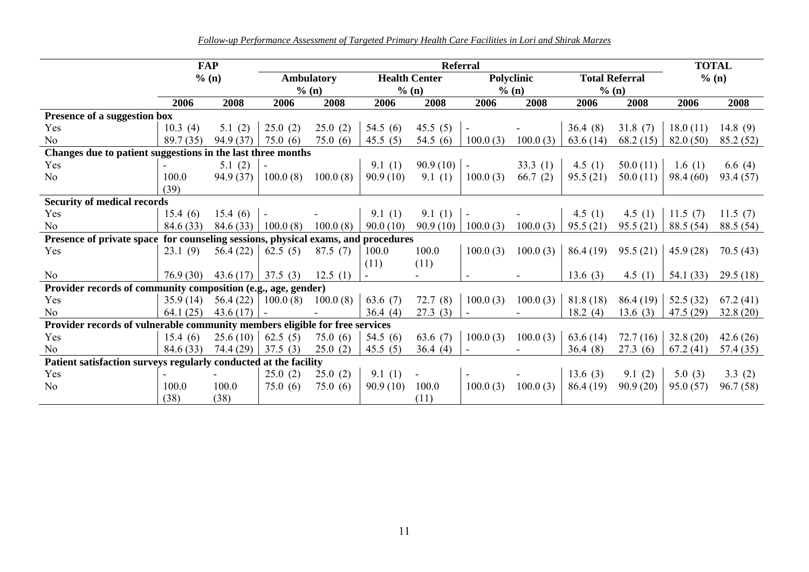*Follow-up Performance Assessment of Targeted Primary Health Care Facilities in Lori and Shirak Marzes*

|                                                                                   | <b>FAP</b> |           |                          | <b>Referral</b>   |            |                      |                |            |           |                       |           |            |
|-----------------------------------------------------------------------------------|------------|-----------|--------------------------|-------------------|------------|----------------------|----------------|------------|-----------|-----------------------|-----------|------------|
|                                                                                   |            | % (n)     |                          | <b>Ambulatory</b> |            | <b>Health Center</b> |                | Polyclinic |           | <b>Total Referral</b> | % (n)     |            |
|                                                                                   |            |           | $%$ (n)                  |                   | $%$ (n)    |                      |                | $%$ (n)    |           | % (n)                 |           |            |
|                                                                                   | 2006       | 2008      | 2006                     | 2008              | 2006       | 2008                 | 2006           | 2008       | 2006      | 2008                  | 2006      | 2008       |
| Presence of a suggestion box                                                      |            |           |                          |                   |            |                      |                |            |           |                       |           |            |
| Yes                                                                               | 10.3(4)    | 5.1(2)    | 25.0(2)                  | 25.0(2)           | 54.5 $(6)$ | 45.5 $(5)$           |                |            | 36.4(8)   | 31.8(7)               | 18.0(11)  | 14.8 $(9)$ |
| No                                                                                | 89.7 (35)  | 94.9 (37) | 75.0(6)                  | 75.0(6)           | 45.5 $(5)$ | 54.5 $(6)$           | 100.0(3)       | 100.0(3)   | 63.6(14)  | 68.2(15)              | 82.0(50)  | 85.2 (52)  |
| Changes due to patient suggestions in the last three months                       |            |           |                          |                   |            |                      |                |            |           |                       |           |            |
| Yes                                                                               |            | 5.1(2)    |                          |                   | 9.1(1)     | 90.9(10)             | $\blacksquare$ | 33.3(1)    | 4.5 $(1)$ | 50.0(11)              | 1.6 $(1)$ | 6.6 $(4)$  |
| N <sub>o</sub>                                                                    | 100.0      | 94.9 (37) | 100.0(8)                 | 100.0(8)          | 90.9(10)   | 9.1(1)               | 100.0(3)       | 66.7(2)    | 95.5(21)  | 50.0(11)              | 98.4(60)  | 93.4 (57)  |
|                                                                                   | (39)       |           |                          |                   |            |                      |                |            |           |                       |           |            |
| <b>Security of medical records</b>                                                |            |           |                          |                   |            |                      |                |            |           |                       |           |            |
| Yes                                                                               | 15.4(6)    | 15.4(6)   | $\overline{\phantom{a}}$ |                   | 9.1(1)     | 9.1(1)               | $\blacksquare$ |            | 4.5 $(1)$ | 4.5 $(1)$             | 11.5(7)   | 11.5 $(7)$ |
| N <sub>o</sub>                                                                    | 84.6(33)   | 84.6 (33) | 100.0(8)                 | 100.0(8)          | 90.0(10)   | 90.9(10)             | 100.0(3)       | 100.0(3)   | 95.5(21)  | 95.5(21)              | 88.5 (54) | 88.5 (54)  |
| Presence of private space for counseling sessions, physical exams, and procedures |            |           |                          |                   |            |                      |                |            |           |                       |           |            |
| Yes                                                                               | 23.1(9)    | 56.4(22)  | 62.5 $(5)$               | 87.5(7)           | 100.0      | 100.0                | 100.0(3)       | 100.0(3)   | 86.4(19)  | 95.5(21)              | 45.9(28)  | 70.5(43)   |
|                                                                                   |            |           |                          |                   | (11)       | (11)                 |                |            |           |                       |           |            |
| N <sub>o</sub>                                                                    | 76.9(30)   | 43.6(17)  | 37.5(3)                  | 12.5(1)           |            |                      |                |            | 13.6(3)   | 4.5 $(1)$             | 54.1 (33) | 29.5(18)   |
| Provider records of community composition (e.g., age, gender)                     |            |           |                          |                   |            |                      |                |            |           |                       |           |            |
| Yes                                                                               | 35.9(14)   | 56.4(22)  | 100.0(8)                 | 100.0(8)          | 63.6 $(7)$ | 72.7(8)              | 100.0(3)       | 100.0(3)   | 81.8(18)  | 86.4(19)              | 52.5(32)  | 67.2(41)   |
| N <sub>o</sub>                                                                    | 64.1(25)   | 43.6(17)  |                          |                   | 36.4(4)    | 27.3(3)              |                |            | 18.2(4)   | 13.6(3)               | 47.5(29)  | 32.8(20)   |
| Provider records of vulnerable community members eligible for free services       |            |           |                          |                   |            |                      |                |            |           |                       |           |            |
| Yes                                                                               | 15.4(6)    | 25.6(10)  | 62.5 $(5)$               | 75.0(6)           | 54.5 $(6)$ | 63.6 $(7)$           | 100.0(3)       | 100.0(3)   | 63.6(14)  | 72.7(16)              | 32.8(20)  | 42.6(26)   |
| N <sub>0</sub>                                                                    | 84.6 (33)  | 74.4 (29) | 37.5(3)                  | 25.0(2)           | 45.5(5)    | 36.4(4)              |                |            | 36.4(8)   | 27.3(6)               | 67.2(41)  | 57.4 (35)  |
| Patient satisfaction surveys regularly conducted at the facility                  |            |           |                          |                   |            |                      |                |            |           |                       |           |            |
| Yes                                                                               |            |           | 25.0(2)                  | 25.0(2)           | 9.1(1)     | $\blacksquare$       |                |            | 13.6(3)   | 9.1(2)                | 5.0(3)    | 3.3(2)     |
| N <sub>o</sub>                                                                    | 100.0      | 100.0     | 75.0(6)                  | 75.0(6)           | 90.9(10)   | 100.0                | 100.0(3)       | 100.0(3)   | 86.4 (19) | 90.9(20)              | 95.0(57)  | 96.7(58)   |
|                                                                                   | (38)       | (38)      |                          |                   |            | (11)                 |                |            |           |                       |           |            |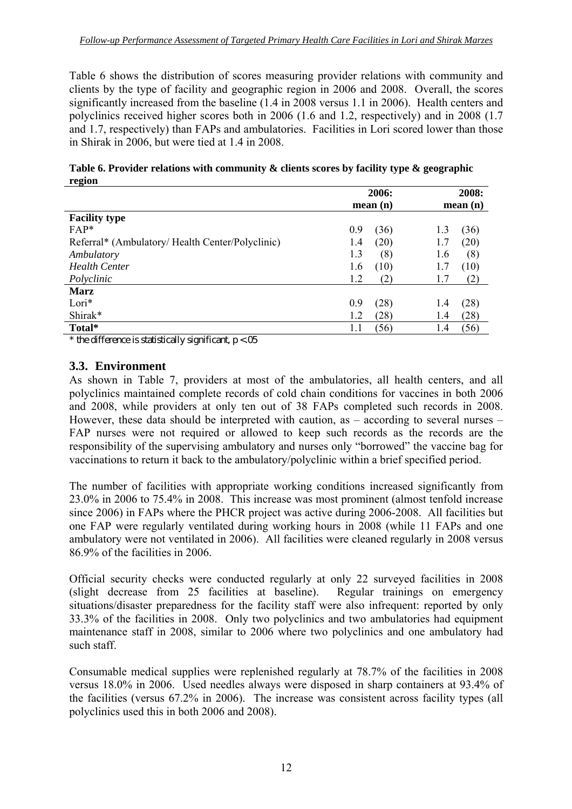Table 6 shows the distribution of scores measuring provider relations with community and clients by the type of facility and geographic region in 2006 and 2008. Overall, the scores significantly increased from the baseline (1.4 in 2008 versus 1.1 in 2006). Health centers and polyclinics received higher scores both in 2006 (1.6 and 1.2, respectively) and in 2008 (1.7 and 1.7, respectively) than FAPs and ambulatories. Facilities in Lori scored lower than those in Shirak in 2006, but were tied at 1.4 in 2008.

**Table 6. Provider relations with community & clients scores by facility type & geographic region** 

|                                                  | 2006:       | 2008:       |
|--------------------------------------------------|-------------|-------------|
|                                                  | mean(n)     | mean(n)     |
| <b>Facility type</b>                             |             |             |
| $FAP*$                                           | 0.9<br>(36) | (36)<br>1.3 |
| Referral* (Ambulatory/ Health Center/Polyclinic) | (20)<br>1.4 | (20)<br>1.7 |
| Ambulatory                                       | 1.3<br>(8)  | (8)<br>1.6  |
| <b>Health Center</b>                             | (10)<br>1.6 | (10)<br>1.7 |
| Polyclinic                                       | 1.2<br>(2)  | (2)<br>1.7  |
| <b>Marz</b>                                      |             |             |
| $Lori*$                                          | 0.9<br>(28) | (28)<br>1.4 |
| Shirak*                                          | 1.2<br>(28) | (28)<br>1.4 |
| Total*                                           | (56)        | (56)<br>1.4 |

\* the difference is statistically significant,  $p < 0.05$ 

#### **3.3. Environment**

As shown in Table 7, providers at most of the ambulatories, all health centers, and all polyclinics maintained complete records of cold chain conditions for vaccines in both 2006 and 2008, while providers at only ten out of 38 FAPs completed such records in 2008. However, these data should be interpreted with caution, as – according to several nurses – FAP nurses were not required or allowed to keep such records as the records are the responsibility of the supervising ambulatory and nurses only "borrowed" the vaccine bag for vaccinations to return it back to the ambulatory/polyclinic within a brief specified period.

The number of facilities with appropriate working conditions increased significantly from 23.0% in 2006 to 75.4% in 2008. This increase was most prominent (almost tenfold increase since 2006) in FAPs where the PHCR project was active during 2006-2008. All facilities but one FAP were regularly ventilated during working hours in 2008 (while 11 FAPs and one ambulatory were not ventilated in 2006). All facilities were cleaned regularly in 2008 versus 86.9% of the facilities in 2006.

Official security checks were conducted regularly at only 22 surveyed facilities in 2008 (slight decrease from 25 facilities at baseline). Regular trainings on emergency situations/disaster preparedness for the facility staff were also infrequent: reported by only 33.3% of the facilities in 2008. Only two polyclinics and two ambulatories had equipment maintenance staff in 2008, similar to 2006 where two polyclinics and one ambulatory had such staff.

Consumable medical supplies were replenished regularly at 78.7% of the facilities in 2008 versus 18.0% in 2006. Used needles always were disposed in sharp containers at 93.4% of the facilities (versus 67.2% in 2006). The increase was consistent across facility types (all polyclinics used this in both 2006 and 2008).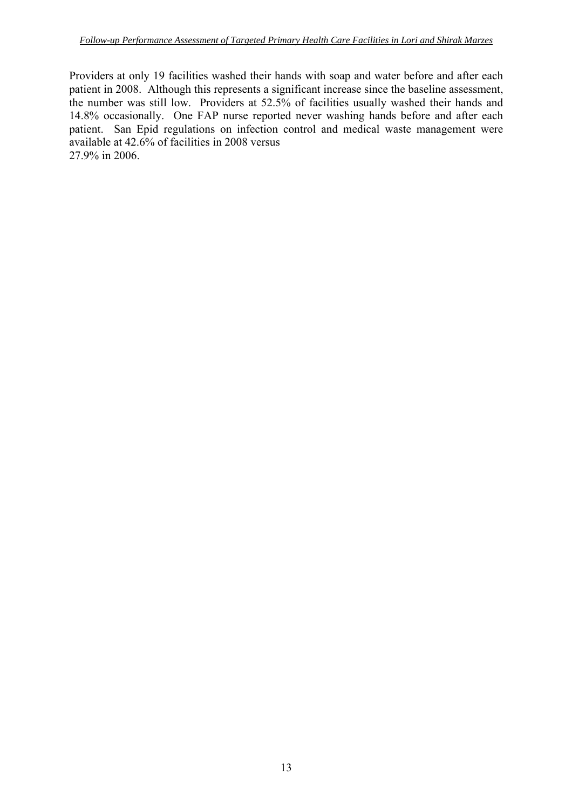Providers at only 19 facilities washed their hands with soap and water before and after each patient in 2008. Although this represents a significant increase since the baseline assessment, the number was still low. Providers at 52.5% of facilities usually washed their hands and 14.8% occasionally. One FAP nurse reported never washing hands before and after each patient. San Epid regulations on infection control and medical waste management were available at 42.6% of facilities in 2008 versus 27.9% in 2006.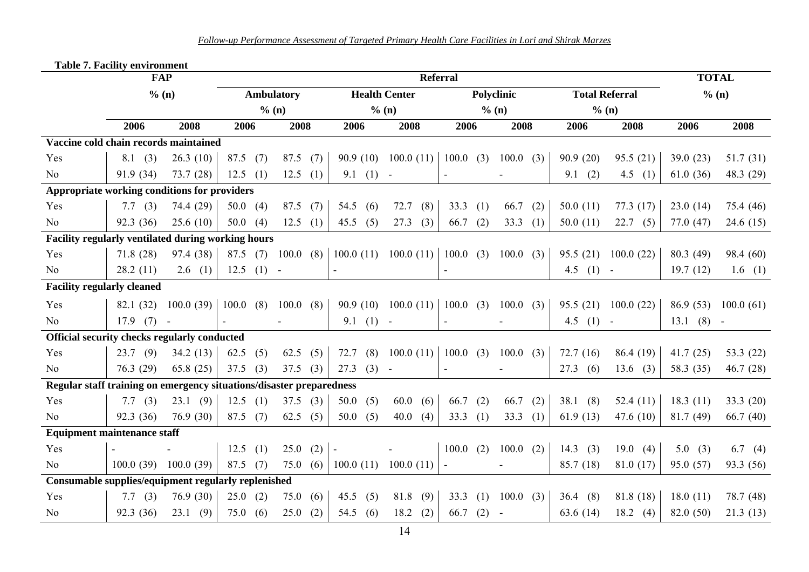|                                                                      | Table 7. Facility environment<br><b>FAP</b> |           |            |     |                   |     |                     |                                           | <b>Referral</b>             |     |                         |             |                       | <b>TOTAL</b>   |             |
|----------------------------------------------------------------------|---------------------------------------------|-----------|------------|-----|-------------------|-----|---------------------|-------------------------------------------|-----------------------------|-----|-------------------------|-------------|-----------------------|----------------|-------------|
|                                                                      | % (n)                                       |           |            |     | <b>Ambulatory</b> |     |                     | <b>Health Center</b>                      |                             |     | Polyclinic              |             | <b>Total Referral</b> | % (n)          |             |
|                                                                      |                                             |           |            |     | % (n)             |     |                     | % (n)                                     |                             |     | % (n)                   |             | % (n)                 |                |             |
|                                                                      | 2006                                        | 2008      | 2006       |     | 2008              |     | 2006                | 2008                                      | 2006                        |     | 2008                    | 2006        | 2008                  | 2006           | 2008        |
| Vaccine cold chain records maintained                                |                                             |           |            |     |                   |     |                     |                                           |                             |     |                         |             |                       |                |             |
| Yes                                                                  | 8.1(3)                                      | 26.3(10)  | $87.5$ (7) |     | $87.5$ (7)        |     | 90.9(10)            | 100.0(11)                                 | 100.0(3)                    |     | 100.0(3)                | 90.9(20)    | 95.5(21)              | 39.0(23)       | 51.7(31)    |
| No                                                                   | 91.9 (34)                                   | 73.7(28)  | $12.5$ (1) |     | 12.5              | (1) | $9.1$ (1) -         |                                           | $\blacksquare$              |     |                         | 9.1(2)      | 4.5 $(1)$             | 61.0(36)       | 48.3 (29)   |
| Appropriate working conditions for providers                         |                                             |           |            |     |                   |     |                     |                                           |                             |     |                         |             |                       |                |             |
| Yes                                                                  | 7.7 $(3)$                                   | 74.4 (29) | 50.0 $(4)$ |     | $87.5$ (7)        |     | 54.5 $(6)$          | 72.7<br>(8)                               | 33.3                        | (1) | 66.7<br>(2)             | 50.0 $(11)$ | 77.3(17)              | 23.0(14)       | 75.4 (46)   |
| No                                                                   | 92.3 (36)                                   | 25.6(10)  | 50.0(4)    |     | 12.5              | (1) | 45.5 $(5)$          | 27.3<br>(3)                               | 66.7                        | (2) | 33.3<br>(1)             | 50.0(11)    | 22.7(5)               | 77.0 (47)      | 24.6(15)    |
| Facility regularly ventilated during working hours                   |                                             |           |            |     |                   |     |                     |                                           |                             |     |                         |             |                       |                |             |
| Yes                                                                  | 71.8(28)                                    | 97.4 (38) | $87.5$ (7) |     | 100.0(8)          |     |                     | 100.0 (11) 100.0 (11) 100.0 (3) 100.0 (3) |                             |     |                         | 95.5(21)    | 100.0(22)             | 80.3 (49)      | 98.4 (60)   |
| No                                                                   | 28.2(11)                                    | 2.6(1)    | 12.5       | (1) | $\sim$            |     | $\bar{\phantom{a}}$ |                                           |                             |     |                         | 4.5 $(1)$   | $\sim$ $-$            | 19.7(12)       | 1.6(1)      |
| <b>Facility regularly cleaned</b>                                    |                                             |           |            |     |                   |     |                     |                                           |                             |     |                         |             |                       |                |             |
| Yes                                                                  | 82.1 (32)                                   | 100.0(39) | 100.0(8)   |     | 100.0(8)          |     | 90.9(10)            | 100.0(11)                                 |                             |     | $100.0$ (3) $100.0$ (3) | 95.5(21)    | 100.0(22)             | 86.9(53)       | 100.0(61)   |
| N <sub>o</sub>                                                       | $17.9$ (7) -                                |           |            |     |                   |     | $9.1$ (1) -         |                                           | ÷,                          |     |                         | 4.5 $(1)$   | $\sim$                | $13.1$ $(8)$ - |             |
| Official security checks regularly conducted                         |                                             |           |            |     |                   |     |                     |                                           |                             |     |                         |             |                       |                |             |
| Yes                                                                  | 23.7(9)                                     | 34.2(13)  | 62.5       | (5) | 62.5 (5)          |     | $72.7$ (8)          | 100.0(11)                                 | 100.0(3)                    |     | 100.0<br>(3)            | 72.7(16)    | 86.4(19)              | 41.7(25)       | 53.3 $(22)$ |
| N <sub>o</sub>                                                       | 76.3(29)                                    | 65.8(25)  | 37.5       | (3) | 37.5              | (3) | 27.3<br>$(3) -$     |                                           | $\blacksquare$              |     |                         | 27.3(6)     | 13.6(3)               | 58.3 (35)      | 46.7(28)    |
| Regular staff training on emergency situations/disaster preparedness |                                             |           |            |     |                   |     |                     |                                           |                             |     |                         |             |                       |                |             |
| Yes                                                                  | 7.7 $(3)$                                   | 23.1(9)   | 12.5(1)    |     | 37.5(3)           |     | 50.0<br>(5)         | 60.0<br>(6)                               | 66.7                        | (2) | 66.7<br>(2)             | 38.1(8)     | 52.4 $(11)$           | 18.3(11)       | 33.3(20)    |
| N <sub>o</sub>                                                       | 92.3 (36)                                   | 76.9(30)  | 87.5       | (7) | 62.5              | (5) | 50.0(5)             | 40.0<br>(4)                               | 33.3                        | (1) | 33.3<br>(1)             | 61.9(13)    | 47.6 $(10)$           | 81.7(49)       | 66.7(40)    |
| <b>Equipment maintenance staff</b>                                   |                                             |           |            |     |                   |     |                     |                                           |                             |     |                         |             |                       |                |             |
| Yes                                                                  |                                             |           | 12.5       | (1) | 25.0              | (2) | $\blacksquare$      |                                           | 100.0(2)                    |     | 100.0<br>(2)            | 14.3 $(3)$  | 19.0(4)               | 5.0(3)         | 6.7 (4)     |
| No                                                                   | $100.0(39)$ $100.0(39)$                     |           | $87.5$ (7) |     | 75.0(6)           |     | 100.0(11)           | 100.0(11)                                 | $\mathcal{L}_{\mathcal{A}}$ |     |                         | 85.7 (18)   | 81.0(17)              | 95.0(57)       | 93.3 (56)   |
| Consumable supplies/equipment regularly replenished                  |                                             |           |            |     |                   |     |                     |                                           |                             |     |                         |             |                       |                |             |
| Yes                                                                  | 7.7(3)                                      | 76.9(30)  | 25.0(2)    |     | 75.0              | (6) | 45.5<br>(5)         | 81.8<br>(9)                               | 33.3                        | (1) | 100.0<br>(3)            | 36.4(8)     | 81.8 (18)             | 18.0(11)       | 78.7 (48)   |
| No                                                                   | 92.3 (36)                                   | 23.1(9)   | 75.0(6)    |     | 25.0              | (2) | 54.5<br>(6)         | 18.2<br>(2)                               | 66.7                        | (2) | $\blacksquare$          | 63.6 (14)   | $18.2 \quad (4)$      | 82.0 (50)      | 21.3(13)    |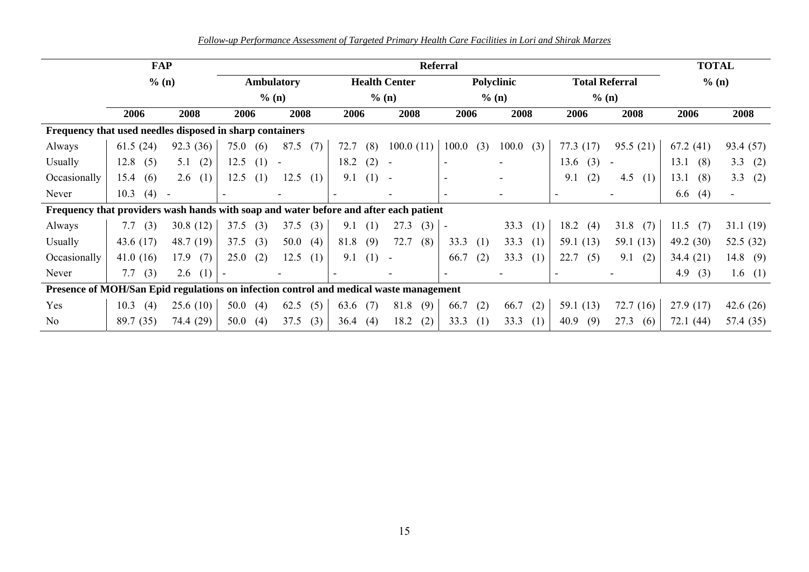*Follow-up Performance Assessment of Targeted Primary Health Care Facilities in Lori and Shirak Marzes*

|                                                                                        | <b>FAP</b>  |             | <b>Referral</b> |     |                          |       |      |                      |                          |         |                          |     |       |     |             |                          | <b>TOTAL</b> |             |
|----------------------------------------------------------------------------------------|-------------|-------------|-----------------|-----|--------------------------|-------|------|----------------------|--------------------------|---------|--------------------------|-----|-------|-----|-------------|--------------------------|--------------|-------------|
|                                                                                        | % (n)       |             |                 |     | <b>Ambulatory</b>        |       |      | <b>Health Center</b> |                          |         | Polyclinic               |     |       |     |             | <b>Total Referral</b>    | % (n)        |             |
|                                                                                        |             |             | $%$ (n)         |     |                          | % (n) |      |                      |                          | $%$ (n) |                          |     |       |     | $\%$ (n)    |                          |              |             |
|                                                                                        | 2006        | 2008        | 2006            |     | 2008                     |       | 2006 |                      | 2008                     |         | 2006                     |     | 2008  |     | 2006        | 2008                     | 2006         | 2008        |
| Frequency that used needles disposed in sharp containers                               |             |             |                 |     |                          |       |      |                      |                          |         |                          |     |       |     |             |                          |              |             |
| Always                                                                                 | 61.5(24)    | 92.3 (36)   | 75.0            | (6) | 87.5                     | (7)   | 72.7 | (8)                  | 100.0(11)                |         | 100.0                    | (3) | 100.0 | (3) | 77.3(17)    | 95.5(21)                 | 67.2(41)     | 93.4 (57)   |
| Usually                                                                                | 12.8<br>(5) | (2)<br>5.1  | 12.5            | (1) | $\overline{\phantom{a}}$ |       | 18.2 | (2)                  | $\overline{\phantom{a}}$ |         | $\blacksquare$           |     |       |     | 13.6<br>(3) | $\overline{\phantom{a}}$ | 13.1<br>(8)  | 3.3<br>(2)  |
| Occasionally                                                                           | (6)<br>15.4 | 2.6<br>(1)  | 12.5            | (1) | 12.5                     | (1)   | 9.1  | (1)                  | $\sim$                   |         | $\overline{\phantom{a}}$ |     |       |     | (2)<br>9.1  | 4.5<br>(1)               | 13.1<br>(8)  | 3.3<br>(2)  |
| Never                                                                                  | (4)<br>10.3 |             |                 |     |                          |       |      |                      |                          |         |                          |     |       |     |             |                          | (4)<br>6.6   |             |
| Frequency that providers wash hands with soap and water before and after each patient  |             |             |                 |     |                          |       |      |                      |                          |         |                          |     |       |     |             |                          |              |             |
| Always                                                                                 | (3)<br>7.7  | 30.8(12)    | 37.5            | (3) | 37.5                     | (3)   | 9.1  | (1)                  | (3)<br>27.3              |         | $\overline{\phantom{a}}$ |     | 33.3  | (1) | 18.2<br>(4) | 31.8<br>(7)              | 11.5<br>(7)  | 31.1(19)    |
| <b>Usually</b>                                                                         | 43.6 $(17)$ | 48.7 (19)   | 37.5            | (3) | 50.0                     | (4)   | 81.8 | (9)                  | 72.7<br>(8)              |         | 33.3                     | (1) | 33.3  | (1) | 59.1(13)    | 59.1 $(13)$              | 49.2 $(30)$  | 52.5 $(32)$ |
| Occasionally                                                                           | 41.0(16)    | 17.9<br>(7) | 25.0            | (2) | 12.5                     | (1)   | 9.1  | (1)                  | $\sim$                   |         | 66.7                     | (2) | 33.3  | (1) | 22.7<br>(5) | 9.1<br>(2)               | 34.4(21)     | 14.8<br>(9) |
| Never                                                                                  | (3)<br>7.7  | 2.6<br>(1)  |                 |     |                          |       |      |                      |                          |         |                          |     |       |     |             |                          | 4.9<br>(3)   | 1.6(1)      |
| Presence of MOH/San Epid regulations on infection control and medical waste management |             |             |                 |     |                          |       |      |                      |                          |         |                          |     |       |     |             |                          |              |             |
| Yes                                                                                    | 10.3<br>(4) | 25.6(10)    | 50.0            | (4) | 62.5                     | (5)   | 63.6 | (7)                  | (9)<br>81.8              |         | 66.7                     | (2) | 66.7  | (2) | 59.1 $(13)$ | 72.7(16)                 | 27.9(17)     | 42.6 $(26)$ |
| No                                                                                     | 89.7 (35)   | 74.4 (29)   | 50.0            | (4) | 37.5                     | (3)   | 36.4 | (4)                  | 18.2<br>(2)              |         | 33.3                     | (1) | 33.3  | (1) | (9)<br>40.9 | 27.3<br>(6)              | 72.1 (44)    | 57.4 (35)   |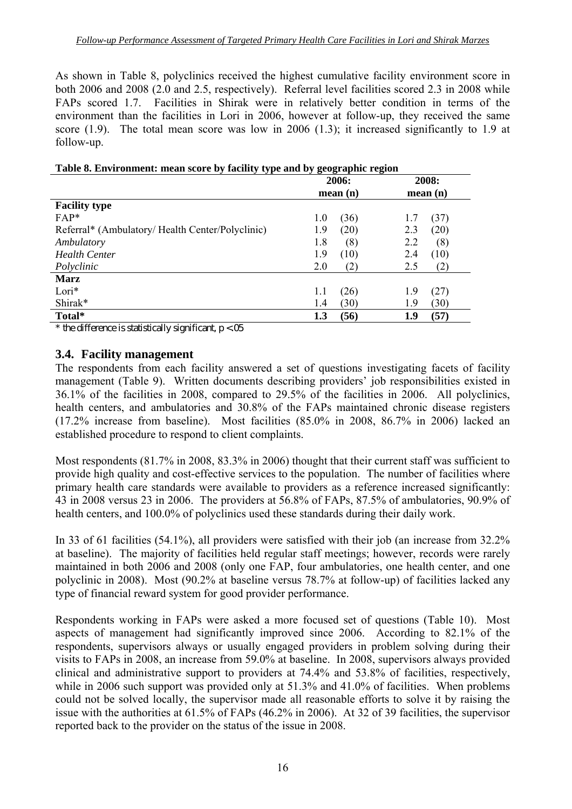As shown in Table 8, polyclinics received the highest cumulative facility environment score in both 2006 and 2008 (2.0 and 2.5, respectively). Referral level facilities scored 2.3 in 2008 while FAPs scored 1.7. Facilities in Shirak were in relatively better condition in terms of the environment than the facilities in Lori in 2006, however at follow-up, they received the same score (1.9). The total mean score was low in 2006 (1.3); it increased significantly to 1.9 at follow-up.

| Twore or EH an omnemy mean begin by racing type and by geographic region |             |             |
|--------------------------------------------------------------------------|-------------|-------------|
|                                                                          | 2006:       | 2008:       |
|                                                                          | mean(n)     | mean(n)     |
| <b>Facility type</b>                                                     |             |             |
| $FAP*$                                                                   | (36)<br>1.0 | (37)        |
| Referral* (Ambulatory/ Health Center/Polyclinic)                         | 1.9<br>(20) | (20)<br>2.3 |
| Ambulatory                                                               | 1.8<br>(8)  | 2.2<br>(8)  |
| <b>Health Center</b>                                                     | 1.9<br>(10) | (10)<br>2.4 |
| Polyclinic                                                               | 2.0<br>(2)  | 2.5<br>(2)  |
| <b>Marz</b>                                                              |             |             |
| $Lori*$                                                                  | (26)<br>1.1 | (27)<br>1.9 |
| Shirak*                                                                  | (30)<br>1.4 | (30)<br>1.9 |
| Total*                                                                   | (56)<br>1.3 | (57)<br>1.9 |

\* the difference is statistically significant,  $p < 0.05$ 

#### **3.4. Facility management**

The respondents from each facility answered a set of questions investigating facets of facility management (Table 9). Written documents describing providers' job responsibilities existed in 36.1% of the facilities in 2008, compared to 29.5% of the facilities in 2006. All polyclinics, health centers, and ambulatories and 30.8% of the FAPs maintained chronic disease registers (17.2% increase from baseline). Most facilities (85.0% in 2008, 86.7% in 2006) lacked an established procedure to respond to client complaints.

Most respondents (81.7% in 2008, 83.3% in 2006) thought that their current staff was sufficient to provide high quality and cost-effective services to the population. The number of facilities where primary health care standards were available to providers as a reference increased significantly: 43 in 2008 versus 23 in 2006. The providers at 56.8% of FAPs, 87.5% of ambulatories, 90.9% of health centers, and 100.0% of polyclinics used these standards during their daily work.

In 33 of 61 facilities (54.1%), all providers were satisfied with their job (an increase from 32.2% at baseline). The majority of facilities held regular staff meetings; however, records were rarely maintained in both 2006 and 2008 (only one FAP, four ambulatories, one health center, and one polyclinic in 2008). Most (90.2% at baseline versus 78.7% at follow-up) of facilities lacked any type of financial reward system for good provider performance.

Respondents working in FAPs were asked a more focused set of questions (Table 10). Most aspects of management had significantly improved since 2006. According to 82.1% of the respondents, supervisors always or usually engaged providers in problem solving during their visits to FAPs in 2008, an increase from 59.0% at baseline. In 2008, supervisors always provided clinical and administrative support to providers at 74.4% and 53.8% of facilities, respectively, while in 2006 such support was provided only at 51.3% and 41.0% of facilities. When problems could not be solved locally, the supervisor made all reasonable efforts to solve it by raising the issue with the authorities at 61.5% of FAPs (46.2% in 2006). At 32 of 39 facilities, the supervisor reported back to the provider on the status of the issue in 2008.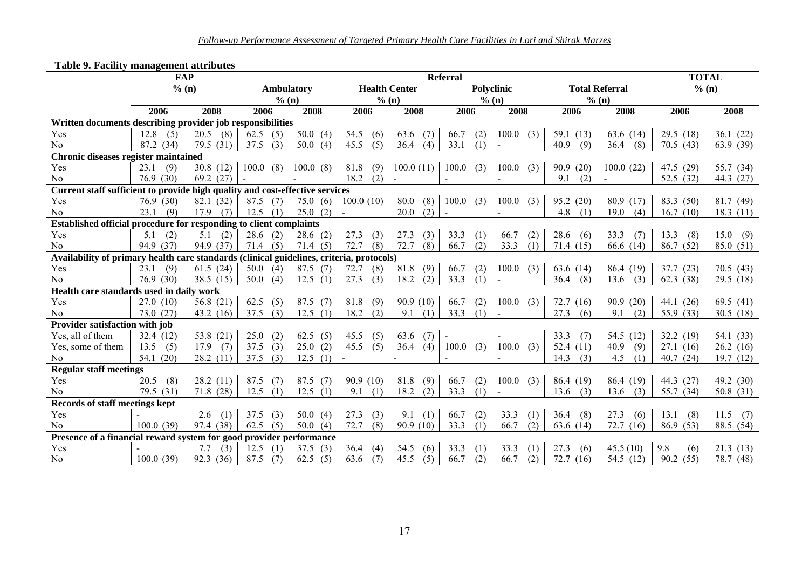|                                                                                          | <b>FAP</b>  |             |             | <b>TOTAL</b> |                      |             |          |            |              |             |                       |             |             |
|------------------------------------------------------------------------------------------|-------------|-------------|-------------|--------------|----------------------|-------------|----------|------------|--------------|-------------|-----------------------|-------------|-------------|
|                                                                                          | % (n)       |             | Ambulatory  |              | <b>Health Center</b> |             |          | Polyclinic |              |             | <b>Total Referral</b> | % (n)       |             |
|                                                                                          |             |             | % (n)       |              | % (n)                |             |          | % (n)      |              |             | % (n)                 |             |             |
|                                                                                          | 2006        | 2008        | 2006        | 2008         | 2006                 | 2008        | 2006     |            | 2008         | 2006        | 2008                  | 2006        | 2008        |
| Written documents describing provider job responsibilities                               |             |             |             |              |                      |             |          |            |              |             |                       |             |             |
| Yes                                                                                      | $12.8$ (5)  | $20.5$ (8)  | 62.5<br>(5) | 50.0 $(4)$   | 54.5<br>(6)          | 63.6<br>(7) | 66.7     | (2)        | 100.0<br>(3) | 59.1 $(13)$ | 63.6 (14)             | 29.5(18)    | 36.1(22)    |
| N <sub>0</sub>                                                                           | 87.2 (34)   | 79.5 (31)   | 37.5<br>(3) | 50.0<br>(4)  | 45.5<br>(5)          | 36.4<br>(4) | 33.1     | (1)        | $\sim$       | 40.9<br>(9) | 36.4<br>(8)           | 70.5(43)    | 63.9(39)    |
| <b>Chronic diseases register maintained</b>                                              |             |             |             |              |                      |             |          |            |              |             |                       |             |             |
| Yes                                                                                      | 23.1(9)     | 30.8(12)    | 100.0(8)    | 100.0(8)     | 81.8<br>(9)          | 100.0(11)   | 100.0(3) |            | 100.0<br>(3) | 90.9(20)    | 100.0(22)             | 47.5 (29)   | 55.7 (34)   |
| N <sub>0</sub>                                                                           | 76.9(30)    | 69.2 $(27)$ |             |              | 18.2<br>(2)          |             |          |            |              | 9.1<br>(2)  |                       | 52.5(32)    | 44.3 (27)   |
| Current staff sufficient to provide high quality and cost-effective services             |             |             |             |              |                      |             |          |            |              |             |                       |             |             |
| Yes                                                                                      | 76.9(30)    | 82.1 (32)   | 87.5<br>(7) | 75.0(6)      | 100.0(10)            | 80.0<br>(8) | 100.0    | (3)        | 100.0<br>(3) | 95.2(20)    | 80.9(17)              | 83.3 (50)   | 81.7 (49)   |
| N <sub>0</sub>                                                                           | 23.1<br>(9) | 17.9<br>(7) | 12.5<br>(1) | 25.0<br>(2)  |                      | (2)<br>20.0 |          |            |              | 4.8<br>(1)  | 19.0<br>(4)           | 16.7(10)    | 18.3 $(11)$ |
| Established official procedure for responding to client complaints                       |             |             |             |              |                      |             |          |            |              |             |                       |             |             |
| Yes                                                                                      | 5.1<br>(2)  | 5.1<br>(2)  | 28.6<br>(2) | 28.6(2)      | 27.3<br>(3)          | 27.3<br>(3) | 33.3     | (1)        | 66.7<br>(2)  | 28.6<br>(6) | 33.3<br>(7)           | 13.3<br>(8) | 15.0(9)     |
| N <sub>0</sub>                                                                           | 94.9 (37)   | 94.9 (37)   | 71.4(5)     | 71.4(5)      | 72.7<br>(8)          | 72.7<br>(8) | 66.7     | (2)        | 33.3<br>(1)  | 71.4(15)    | 66.6 (14)             | 86.7(52)    | 85.0 (51)   |
| Availability of primary health care standards (clinical guidelines, criteria, protocols) |             |             |             |              |                      |             |          |            |              |             |                       |             |             |
| Yes                                                                                      | $23.1$ (9)  | 61.5(24)    | 50.0(4)     | 87.5(7)      | 72.7<br>(8)          | 81.8<br>(9) | 66.7     | (2)        | 100.0<br>(3) | 63.6 (14)   | 86.4 (19)             | 37.7(23)    | 70.5(43)    |
| N <sub>0</sub>                                                                           | 76.9(30)    | 38.5 $(15)$ | 50.0<br>(4) | 12.5<br>(1)  | 27.3<br>(3)          | 18.2<br>(2) | 33.3     | (1)        | $\sim$       | 36.4<br>(8) | 13.6<br>(3)           | 62.3(38)    | 29.5(18)    |
| Health care standards used in daily work                                                 |             |             |             |              |                      |             |          |            |              |             |                       |             |             |
| Yes                                                                                      | 27.0(10)    | 56.8 $(21)$ | 62.5<br>(5) | 87.5<br>(7)  | 81.8<br>(9)          | 90.9(10)    | 66.7     | (2)        | 100.0(3)     | 72.7(16)    | 90.9(20)              | 44.1 $(26)$ | 69.5 $(41)$ |
| N <sub>0</sub>                                                                           | 73.0(27)    | 43.2 $(16)$ | 37.5<br>(3) | 12.5<br>(1)  | 18.2<br>(2)          | 9.1<br>(1)  | 33.3     | (1)        | $\sim$       | 27.3<br>(6) | 9.1<br>(2)            | 55.9 (33)   | 30.5(18)    |
| Provider satisfaction with job                                                           |             |             |             |              |                      |             |          |            |              |             |                       |             |             |
| Yes, all of them                                                                         | 32.4(12)    | 53.8 $(21)$ | 25.0<br>(2) | 62.5<br>(5)  | 45.5<br>(5)          | 63.6<br>(7) |          |            |              | 33.3<br>(7) | 54.5 (12)             | 32.2(19)    | 54.1 (33)   |
| Yes, some of them                                                                        | 13.5(5)     | $17.9$ (7)  | 37.5<br>(3) | 25.0(2)      | 45.5<br>(5)          | 36.4 $(4)$  | 100.0(3) |            | 100.0<br>(3) | 52.4 $(11)$ | 40.9<br>(9)           | 27.1(16)    | 26.2(16)    |
| N <sub>0</sub>                                                                           | 54.1 $(20)$ | 28.2(11)    | 37.5<br>(3) | 12.5<br>(1)  |                      |             |          |            |              | 14.3<br>(3) | 4.5<br>(1)            | 40.7(24)    | 19.7(12)    |
| <b>Regular staff meetings</b>                                                            |             |             |             |              |                      |             |          |            |              |             |                       |             |             |
| Yes                                                                                      | (8)<br>20.5 | 28.2(11)    | 87.5<br>(7) | 87.5<br>(7)  | 90.9(10)             | 81.8<br>(9) | 66.7     | (2)        | 100.0<br>(3) | 86.4 (19)   | 86.4 (19)             | 44.3 (27)   | 49.2 (30)   |
| N <sub>0</sub>                                                                           | 79.5 (31)   | 71.8(28)    | 12.5<br>(1) | 12.5<br>(1)  | 9.1<br>(1)           | 18.2<br>(2) | 33.3     | (1)        |              | 13.6<br>(3) | 13.6<br>(3)           | 55.7 (34)   | 50.8 $(31)$ |
| Records of staff meetings kept                                                           |             |             |             |              |                      |             |          |            |              |             |                       |             |             |
| Yes                                                                                      |             | $2.6$ (1)   | 37.5<br>(3) | 50.0(4)      | 27.3<br>(3)          | 9.1<br>(1)  | 66.7     | (2)        | 33.3<br>(1)  | (8)<br>36.4 | 27.3<br>(6)           | 13.1<br>(8) | $11.5$ (7)  |
| No                                                                                       | 100.0(39)   | 97.4 (38)   | 62.5(5)     | 50.0 $(4)$   | 72.7<br>(8)          | 90.9(10)    | 33.3     | (1)        | 66.7<br>(2)  | 63.6 $(14)$ | 72.7(16)              | 86.9(53)    | 88.5 (54)   |
| Presence of a financial reward system for good provider performance                      |             |             |             |              |                      |             |          |            |              |             |                       |             |             |
| Yes                                                                                      |             | (3)<br>7.7  | 12.5<br>(1) | 37.5<br>(3)  | 36.4<br>(4)          | 54.5<br>(6) | 33.3     | (1)        | 33.3<br>(1)  | 27.3<br>(6) | 45.5(10)              | 9.8<br>(6)  | 21.3(13)    |
| No                                                                                       | 100.0(39)   | 92.3 (36)   | 87.5<br>(7) | 62.5<br>(5)  | 63.6<br>(7)          | 45.5<br>(5) | 66.7     | (2)        | 66.7<br>(2)  | 72.7(16)    | 54.5 (12)             | 90.2(55)    | 78.7 (48)   |

#### **Table 9. Facility management attributes**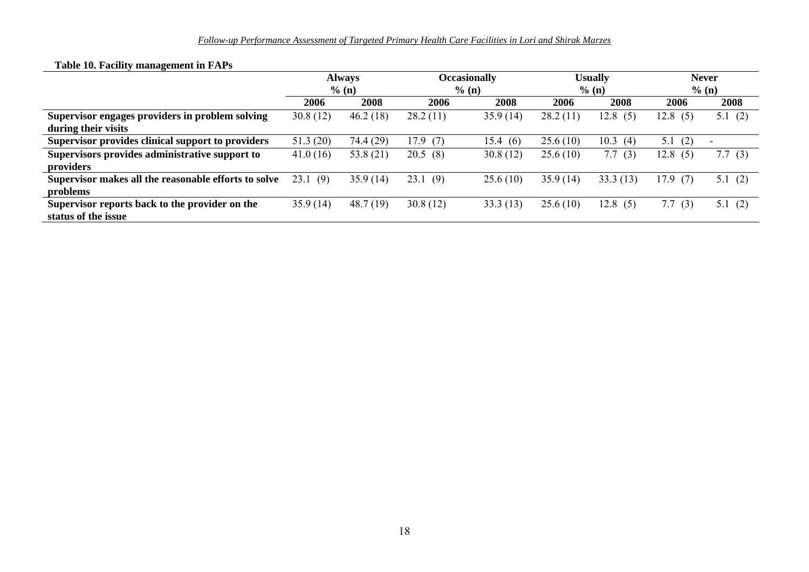|                                                      |             | <b>Always</b><br>% (n) |             | <b>Occasionally</b><br>% (n) |          | <b>Usually</b><br>% (n) | <b>Never</b><br>% (n) |           |  |
|------------------------------------------------------|-------------|------------------------|-------------|------------------------------|----------|-------------------------|-----------------------|-----------|--|
|                                                      | 2006        | 2008                   | 2006        | 2008                         | 2006     | 2008                    | 2006                  | 2008      |  |
| Supervisor engages providers in problem solving      | 30.8(12)    | 46.2(18)               | 28.2(11)    | 35.9(14)                     | 28.2(11) | 12.8<br>(5)             | 12.8<br>(5)           | 5.1(2)    |  |
| during their visits                                  |             |                        |             |                              |          |                         |                       |           |  |
| Supervisor provides clinical support to providers    | 51.3(20)    | 74.4 (29)              | 17.9<br>(7) | 15.4(6)                      | 25.6(10) | 10.3<br>(4)             | 5.1<br>(2)            |           |  |
| Supervisors provides administrative support to       | 41.0(16)    | 53.8 $(21)$            | 20.5(8)     | 30.8(12)                     | 25.6(10) | 7.7<br>(3)              | 12.8(5)               | 7.7 $(3)$ |  |
| providers                                            |             |                        |             |                              |          |                         |                       |           |  |
| Supervisor makes all the reasonable efforts to solve | 23.1<br>(9) | 35.9(14)               | 23.1<br>(9) | 25.6(10)                     | 35.9(14) | 33.3(13)                | 17.9(7)               | 5.1 $(2)$ |  |
| problems                                             |             |                        |             |                              |          |                         |                       |           |  |
| Supervisor reports back to the provider on the       | 35.9(14)    | 48.7(19)               | 30.8(12)    | 33.3(13)                     | 25.6(10) | 12.8<br>(5)             | 7.7(3)                | 5.1(2)    |  |
| status of the issue                                  |             |                        |             |                              |          |                         |                       |           |  |

#### **Table 10. Facility management in FAPs**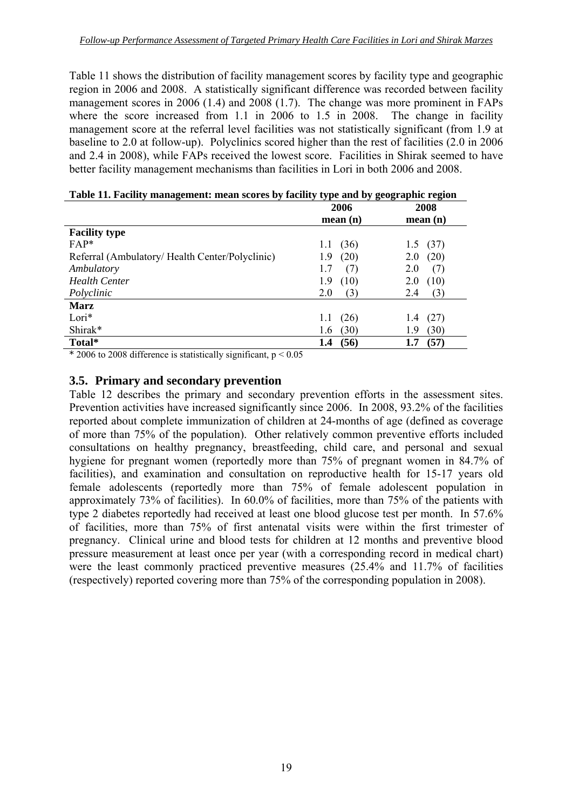Table 11 shows the distribution of facility management scores by facility type and geographic region in 2006 and 2008. A statistically significant difference was recorded between facility management scores in 2006 (1.4) and 2008 (1.7). The change was more prominent in FAPs where the score increased from 1.1 in 2006 to 1.5 in 2008. The change in facility management score at the referral level facilities was not statistically significant (from 1.9 at baseline to 2.0 at follow-up). Polyclinics scored higher than the rest of facilities (2.0 in 2006 and 2.4 in 2008), while FAPs received the lowest score. Facilities in Shirak seemed to have better facility management mechanisms than facilities in Lori in both 2006 and 2008.

|                                                | 2006        | 2008        |
|------------------------------------------------|-------------|-------------|
|                                                | mean(n)     | mean(n)     |
| <b>Facility type</b>                           |             |             |
| $FAP*$                                         | (36)<br>1.1 | (37)<br>1.5 |
| Referral (Ambulatory/Health Center/Polyclinic) | (20)<br>1.9 | (20)<br>2.0 |
| Ambulatory                                     | (7)<br>1.7  | 2.0<br>(7)  |
| <b>Health Center</b>                           | (10)<br>1.9 | (10)<br>2.0 |
| Polyclinic                                     | 2.0<br>(3)  | (3)<br>2.4  |
| <b>Marz</b>                                    |             |             |
| $Lori*$                                        | (26)<br>1.1 | (27)<br>1.4 |
| Shirak*                                        | (30)<br>1.6 | (30)<br>1.9 |
| Total*                                         | (56)<br>1.4 | (57)<br>1.7 |

| Table 11. Facility management: mean scores by facility type and by geographic region |  |  |
|--------------------------------------------------------------------------------------|--|--|
|                                                                                      |  |  |

 $*$  2006 to 2008 difference is statistically significant,  $p < 0.05$ 

#### **3.5. Primary and secondary prevention**

Table 12 describes the primary and secondary prevention efforts in the assessment sites. Prevention activities have increased significantly since 2006. In 2008, 93.2% of the facilities reported about complete immunization of children at 24-months of age (defined as coverage of more than 75% of the population). Other relatively common preventive efforts included consultations on healthy pregnancy, breastfeeding, child care, and personal and sexual hygiene for pregnant women (reportedly more than 75% of pregnant women in 84.7% of facilities), and examination and consultation on reproductive health for 15-17 years old female adolescents (reportedly more than 75% of female adolescent population in approximately 73% of facilities). In 60.0% of facilities, more than 75% of the patients with type 2 diabetes reportedly had received at least one blood glucose test per month. In 57.6% of facilities, more than 75% of first antenatal visits were within the first trimester of pregnancy. Clinical urine and blood tests for children at 12 months and preventive blood pressure measurement at least once per year (with a corresponding record in medical chart) were the least commonly practiced preventive measures (25.4% and 11.7% of facilities (respectively) reported covering more than 75% of the corresponding population in 2008).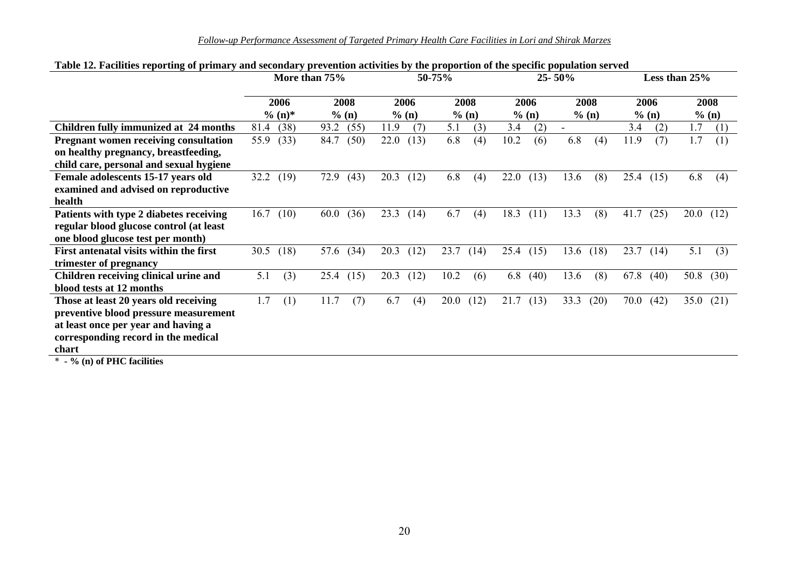|  | Follow-up Performance Assessment of Targeted Primary Health Care Facilities in Lori and Shirak Marzes |  |  |  |
|--|-------------------------------------------------------------------------------------------------------|--|--|--|
|--|-------------------------------------------------------------------------------------------------------|--|--|--|

| More than 75% |      |                           |      |                       |      |                      |               |                      |      |                        |             | Less than 25% |      |                        |              |
|---------------|------|---------------------------|------|-----------------------|------|----------------------|---------------|----------------------|------|------------------------|-------------|---------------|------|------------------------|--------------|
|               |      |                           |      |                       |      |                      |               |                      |      |                        |             |               |      |                        | 2008         |
|               |      |                           |      |                       |      |                      |               |                      |      |                        |             |               |      |                        |              |
|               |      |                           |      |                       |      |                      |               |                      |      |                        |             |               |      |                        | (1)          |
| 55.9          | (33) | 84.7                      | (50) | 22.0                  | (13) | 6.8                  | (4)           | 10.2                 | (6)  | 6.8                    | (4)         | 11.9          | (7)  | 1.7                    | (1)          |
|               |      |                           |      |                       |      |                      |               |                      |      |                        |             |               |      |                        |              |
|               |      |                           |      |                       |      |                      |               |                      |      |                        |             |               |      |                        |              |
| 32.2          | (19) | 72.9                      | (43) | 20.3                  | (12) | 6.8                  | (4)           | 22.0                 | (13) | 13.6                   | (8)         | 25.4          | (15) | 6.8                    | (4)          |
|               |      |                           |      |                       |      |                      |               |                      |      |                        |             |               |      |                        |              |
|               |      |                           |      |                       |      |                      |               |                      |      |                        |             |               |      |                        |              |
| 16.7          | (10) | 60.0                      | (36) | 23.3                  | (14) | 6.7                  | (4)           | 18.3                 | (11) | 13.3                   | (8)         | 41.7          | (25) | 20.0                   | (12)         |
|               |      |                           |      |                       |      |                      |               |                      |      |                        |             |               |      |                        |              |
|               |      |                           |      |                       |      |                      |               |                      |      |                        |             |               |      |                        |              |
| 30.5          | (18) | 57.6                      | (34) | 20.3                  | (12) | 23.7                 | (14)          | 25.4                 | (15) | 13.6                   | (18)        | 23.7          | (14) | 5.1                    | (3)          |
|               |      |                           |      |                       |      |                      |               |                      |      |                        |             |               |      |                        |              |
| 5.1           | (3)  | 25.4                      | (15) | 20.3                  | (12) | 10.2                 | (6)           | 6.8                  | (40) | 13.6                   | (8)         | 67.8          | (40) | 50.8                   | (30)         |
|               |      |                           |      |                       |      |                      |               |                      |      |                        |             |               |      |                        |              |
| 1.7           | (1)  | 11.7                      | (7)  | 6.7                   | (4)  | 20.0                 | (12)          | 21.7                 | (13) | 33.3                   | (20)        | 70.0          | (42) | 35.0                   | (21)         |
|               |      |                           |      |                       |      |                      |               |                      |      |                        |             |               |      |                        |              |
|               |      |                           |      |                       |      |                      |               |                      |      |                        |             |               |      |                        |              |
|               |      |                           |      |                       |      |                      |               |                      |      |                        |             |               |      |                        |              |
|               |      |                           |      |                       |      |                      |               |                      |      |                        |             |               |      |                        |              |
|               | 81.4 | 2006<br>$\%$ (n)*<br>(38) | 93.2 | 2008<br>% (n)<br>(55) | 11.9 | 2006<br>% (n)<br>(7) | 50-75%<br>5.1 | 2008<br>% (n)<br>(3) | 3.4  | 2006<br>$%$ (n)<br>(2) | $25 - 50\%$ | 2008<br>% (n) | 3.4  | 2006<br>$%$ (n)<br>(2) | % (n)<br>1.7 |

#### **Table 12. Facilities reporting of primary and secondary prevention activities by the proportion of the specific population served**

\* **- % (n) of PHC facilities**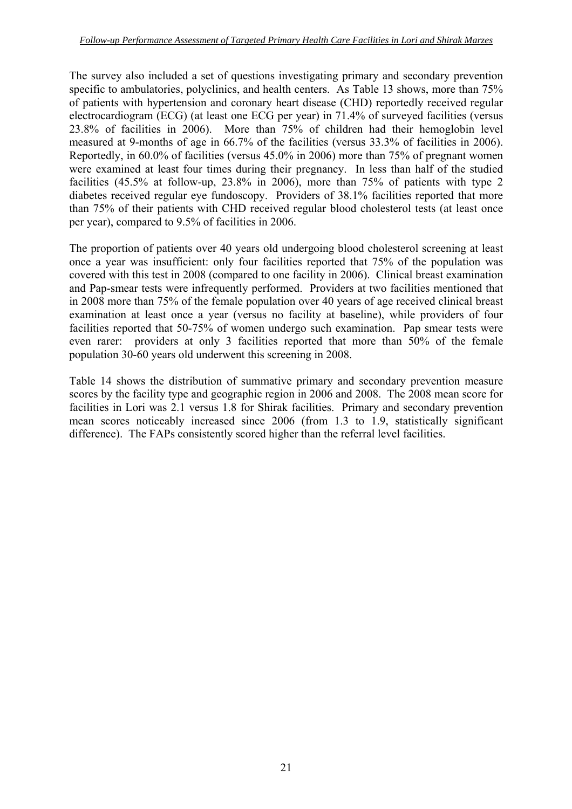The survey also included a set of questions investigating primary and secondary prevention specific to ambulatories, polyclinics, and health centers. As Table 13 shows, more than 75% of patients with hypertension and coronary heart disease (CHD) reportedly received regular electrocardiogram (ECG) (at least one ECG per year) in 71.4% of surveyed facilities (versus 23.8% of facilities in 2006). More than 75% of children had their hemoglobin level measured at 9-months of age in 66.7% of the facilities (versus 33.3% of facilities in 2006). Reportedly, in 60.0% of facilities (versus 45.0% in 2006) more than 75% of pregnant women were examined at least four times during their pregnancy. In less than half of the studied facilities (45.5% at follow-up, 23.8% in 2006), more than 75% of patients with type 2 diabetes received regular eye fundoscopy. Providers of 38.1% facilities reported that more than 75% of their patients with CHD received regular blood cholesterol tests (at least once per year), compared to 9.5% of facilities in 2006.

The proportion of patients over 40 years old undergoing blood cholesterol screening at least once a year was insufficient: only four facilities reported that 75% of the population was covered with this test in 2008 (compared to one facility in 2006). Clinical breast examination and Pap-smear tests were infrequently performed. Providers at two facilities mentioned that in 2008 more than 75% of the female population over 40 years of age received clinical breast examination at least once a year (versus no facility at baseline), while providers of four facilities reported that 50-75% of women undergo such examination. Pap smear tests were even rarer: providers at only 3 facilities reported that more than 50% of the female population 30-60 years old underwent this screening in 2008.

Table 14 shows the distribution of summative primary and secondary prevention measure scores by the facility type and geographic region in 2006 and 2008. The 2008 mean score for facilities in Lori was 2.1 versus 1.8 for Shirak facilities. Primary and secondary prevention mean scores noticeably increased since 2006 (from 1.3 to 1.9, statistically significant difference). The FAPs consistently scored higher than the referral level facilities.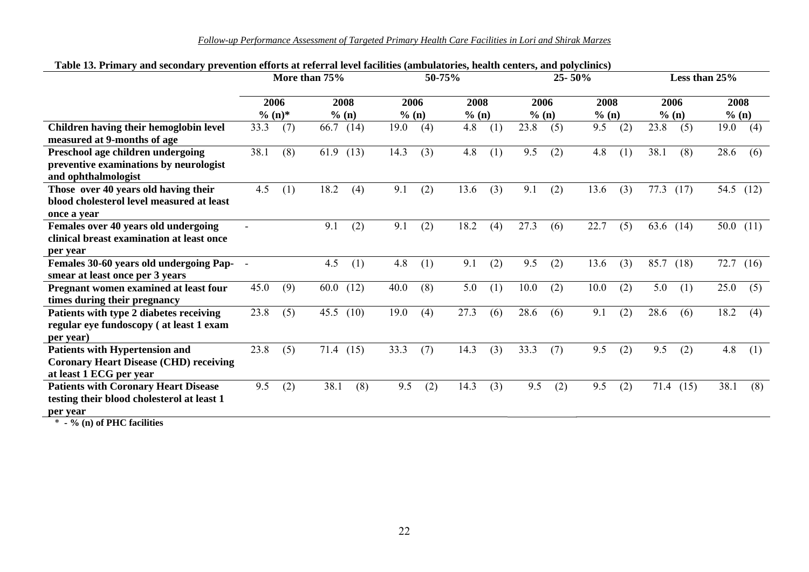*Follow-up Performance Assessment of Targeted Primary Health Care Facilities in Lori and Shirak Marzes*

|                                               | More than 75% |          |      |       |       | 50-75% |       | 25-50% |       |     | Less than 25% |     |      |       |       |             |
|-----------------------------------------------|---------------|----------|------|-------|-------|--------|-------|--------|-------|-----|---------------|-----|------|-------|-------|-------------|
|                                               |               | 2006     |      | 2008  | 2006  |        | 2008  |        | 2006  |     | 2008          |     |      | 2006  | 2008  |             |
|                                               |               | $% (n)*$ |      | % (n) | % (n) |        | % (n) |        | % (n) |     | % (n)         |     |      | % (n) | % (n) |             |
| Children having their hemoglobin level        | 33.3          | (7)      | 66.7 | (14)  | 19.0  | (4)    | 4.8   | (1)    | 23.8  | (5) | 9.5           | (2) | 23.8 | (5)   | 19.0  | (4)         |
| measured at 9-months of age                   |               |          |      |       |       |        |       |        |       |     |               |     |      |       |       |             |
| Preschool age children undergoing             | 38.1          | (8)      | 61.9 | (13)  | 14.3  | (3)    | 4.8   | (1)    | 9.5   | (2) | 4.8           | (1) | 38.1 | (8)   | 28.6  | (6)         |
| preventive examinations by neurologist        |               |          |      |       |       |        |       |        |       |     |               |     |      |       |       |             |
| and ophthalmologist                           |               |          |      |       |       |        |       |        |       |     |               |     |      |       |       |             |
| Those over 40 years old having their          | 4.5           | (1)      | 18.2 | (4)   | 9.1   | (2)    | 13.6  | (3)    | 9.1   | (2) | 13.6          | (3) | 77.3 | (17)  | 54.5  | (12)        |
| blood cholesterol level measured at least     |               |          |      |       |       |        |       |        |       |     |               |     |      |       |       |             |
| once a vear                                   |               |          |      |       |       |        |       |        |       |     |               |     |      |       |       |             |
| Females over 40 years old undergoing          |               |          | 9.1  | (2)   | 9.1   | (2)    | 18.2  | (4)    | 27.3  | (6) | 22.7          | (5) | 63.6 | (14)  |       | 50.0 $(11)$ |
| clinical breast examination at least once     |               |          |      |       |       |        |       |        |       |     |               |     |      |       |       |             |
| per year                                      |               |          |      |       |       |        |       |        |       |     |               |     |      |       |       |             |
| Females 30-60 years old undergoing Pap- -     |               |          | 4.5  | (1)   | 4.8   | (1)    | 9.1   | (2)    | 9.5   | (2) | 13.6          | (3) | 85.7 | (18)  | 72.7  | (16)        |
| smear at least once per 3 years               |               |          |      |       |       |        |       |        |       |     |               |     |      |       |       |             |
| Pregnant women examined at least four         | 45.0          | (9)      | 60.0 | (12)  | 40.0  | (8)    | 5.0   | (1)    | 10.0  | (2) | 10.0          | (2) | 5.0  | (1)   | 25.0  | (5)         |
| times during their pregnancy                  |               |          |      |       |       |        |       |        |       |     |               |     |      |       |       |             |
| Patients with type 2 diabetes receiving       | 23.8          | (5)      | 45.5 | (10)  | 19.0  | (4)    | 27.3  | (6)    | 28.6  | (6) | 9.1           | (2) | 28.6 | (6)   | 18.2  | (4)         |
| regular eye fundoscopy (at least 1 exam       |               |          |      |       |       |        |       |        |       |     |               |     |      |       |       |             |
| per year)                                     |               |          |      |       |       |        |       |        |       |     |               |     |      |       |       |             |
| Patients with Hypertension and                | 23.8          | (5)      | 71.4 | (15)  | 33.3  | (7)    | 14.3  | (3)    | 33.3  | (7) | 9.5           | (2) | 9.5  | (2)   | 4.8   | (1)         |
| <b>Coronary Heart Disease (CHD) receiving</b> |               |          |      |       |       |        |       |        |       |     |               |     |      |       |       |             |
| at least 1 ECG per year                       |               |          |      |       |       |        |       |        |       |     |               |     |      |       |       |             |
| <b>Patients with Coronary Heart Disease</b>   | 9.5           | (2)      | 38.1 | (8)   | 9.5   | (2)    | 14.3  | (3)    | 9.5   | (2) | 9.5           | (2) | 71.4 | (15)  | 38.1  | (8)         |
| testing their blood cholesterol at least 1    |               |          |      |       |       |        |       |        |       |     |               |     |      |       |       |             |
| per year                                      |               |          |      |       |       |        |       |        |       |     |               |     |      |       |       |             |
| $0 \leq \ell \leq 0$ presence their           |               |          |      |       |       |        |       |        |       |     |               |     |      |       |       |             |

#### **Table 13. Primary and secondary prevention efforts at referral level facilities (ambulatories, health centers, and polyclinics)**

\* **- % (n) of PHC facilities**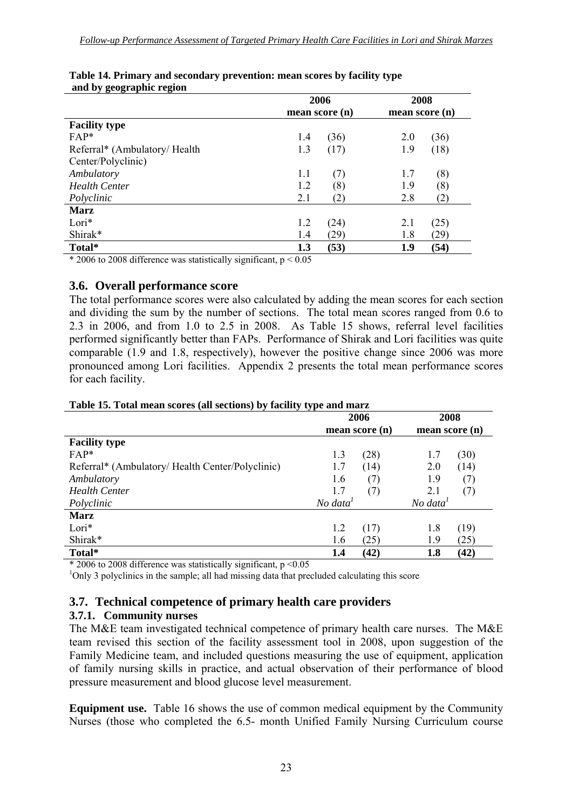| mean score (n)<br>mean score (n) |
|----------------------------------|
|                                  |
| (36)<br>(36)<br>2.0              |
| (18)<br>(17)<br>1.9              |
|                                  |
| (7)<br>1.7<br>(8)                |
| (8)<br>(8)<br>1.9                |
| (2)<br>2.8<br>(2)                |
|                                  |
| (25)<br>(24)<br>2.1              |
| (29)<br>(29)<br>1.8              |
| (53)<br>(54)<br>1.9              |
|                                  |

#### **Table 14. Primary and secondary prevention: mean scores by facility type and by geographic region**

 $*$  2006 to 2008 difference was statistically significant,  $p < 0.05$ 

#### **3.6. Overall performance score**

The total performance scores were also calculated by adding the mean scores for each section and dividing the sum by the number of sections. The total mean scores ranged from 0.6 to 2.3 in 2006, and from 1.0 to 2.5 in 2008. As Table 15 shows, referral level facilities performed significantly better than FAPs. Performance of Shirak and Lori facilities was quite comparable (1.9 and 1.8, respectively), however the positive change since 2006 was more pronounced among Lori facilities. Appendix 2 presents the total mean performance scores for each facility.

|                                                  | 2006                 | 2008                 |
|--------------------------------------------------|----------------------|----------------------|
|                                                  | mean score (n)       | mean score (n)       |
| <b>Facility type</b>                             |                      |                      |
| $FAP*$                                           | 1.3<br>(28)          | (30)<br>1.7          |
| Referral* (Ambulatory/ Health Center/Polyclinic) | 1.7<br>(14)          | 2.0<br>(14)          |
| Ambulatory                                       | (7)<br>1.6           | 1.9<br>(7)           |
| <b>Health Center</b>                             | 1.7<br>(7)           | 2.1<br>(7)           |
| Polyclinic                                       | No data <sup>1</sup> | No data <sup>1</sup> |
| <b>Marz</b>                                      |                      |                      |
| Lori*                                            | 1.2<br>(17)          | (19)<br>1.8          |
| Shirak*                                          | 1.6<br>(25)          | (25)<br>1.9          |
| Total*                                           | (42)<br>1.4          | (42)<br>1.8          |

#### **Table 15. Total mean scores (all sections) by facility type and marz**

 $*$  2006 to 2008 difference was statistically significant, p <0.05

<sup>1</sup>Only 3 polyclinics in the sample; all had missing data that precluded calculating this score

#### **3.7. Technical competence of primary health care providers**

#### **3.7.1. Community nurses**

The M&E team investigated technical competence of primary health care nurses. The M&E team revised this section of the facility assessment tool in 2008, upon suggestion of the Family Medicine team, and included questions measuring the use of equipment, application of family nursing skills in practice, and actual observation of their performance of blood pressure measurement and blood glucose level measurement.

**Equipment use.** Table 16 shows the use of common medical equipment by the Community Nurses (those who completed the 6.5- month Unified Family Nursing Curriculum course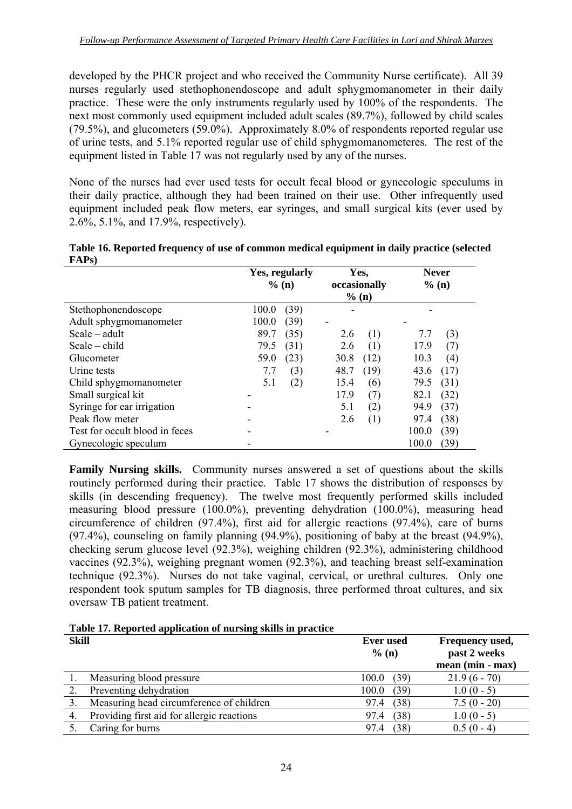developed by the PHCR project and who received the Community Nurse certificate). All 39 nurses regularly used stethophonendoscope and adult sphygmomanometer in their daily practice. These were the only instruments regularly used by 100% of the respondents. The next most commonly used equipment included adult scales (89.7%), followed by child scales (79.5%), and glucometers (59.0%). Approximately 8.0% of respondents reported regular use of urine tests, and 5.1% reported regular use of child sphygmomanometeres. The rest of the equipment listed in Table 17 was not regularly used by any of the nurses.

None of the nurses had ever used tests for occult fecal blood or gynecologic speculums in their daily practice, although they had been trained on their use. Other infrequently used equipment included peak flow meters, ear syringes, and small surgical kits (ever used by 2.6%, 5.1%, and 17.9%, respectively).

| Table 16. Reported frequency of use of common medical equipment in daily practice (selected<br>FAP <sub>s</sub> ) |                |      |              |
|-------------------------------------------------------------------------------------------------------------------|----------------|------|--------------|
|                                                                                                                   | Yes, regularly | Yes. | <b>Never</b> |

|                                | <b>Yes, regularly</b><br>$%$ (n) | r es,<br>occasionally | Never<br>% (n) |
|--------------------------------|----------------------------------|-----------------------|----------------|
|                                |                                  | % (n)                 |                |
| Stethophonendoscope            | 100.0<br>(39)                    |                       |                |
| Adult sphygmomanometer         | 100.0<br>(39)                    |                       |                |
| $Scale - adult$                | 89.7<br>(35)                     | (1)<br>2.6            | (3)<br>7.7     |
| $Scale - child$                | 79.5<br>(31)                     | (1)<br>2.6            | 17.9<br>(7)    |
| Glucometer                     | 59.0<br>(23)                     | (12)<br>30.8          | 10.3<br>(4)    |
| Urine tests                    | 7.7<br>(3)                       | (19)<br>48.7          | (17)<br>43.6   |
| Child sphygmomanometer         | (2)<br>5.1                       | 15.4<br>(6)           | (31)<br>79.5   |
| Small surgical kit             |                                  | 17.9<br>(7)           | (32)<br>82.1   |
| Syringe for ear irrigation     |                                  | 5.1<br>(2)            | (37)<br>94.9   |
| Peak flow meter                |                                  | 2.6<br>(1)            | (38)<br>97.4   |
| Test for occult blood in feces |                                  |                       | 100.0<br>(39)  |
| Gynecologic speculum           |                                  |                       | 100.0<br>(39)  |

**Family Nursing skills.** Community nurses answered a set of questions about the skills routinely performed during their practice. Table 17 shows the distribution of responses by skills (in descending frequency). The twelve most frequently performed skills included measuring blood pressure (100.0%), preventing dehydration (100.0%), measuring head circumference of children (97.4%), first aid for allergic reactions (97.4%), care of burns (97.4%), counseling on family planning (94.9%), positioning of baby at the breast (94.9%), checking serum glucose level (92.3%), weighing children (92.3%), administering childhood vaccines (92.3%), weighing pregnant women (92.3%), and teaching breast self-examination technique (92.3%). Nurses do not take vaginal, cervical, or urethral cultures. Only one respondent took sputum samples for TB diagnosis, three performed throat cultures, and six oversaw TB patient treatment.

**Table 17. Reported application of nursing skills in practice** 

| <b>Skill</b> |                                            | <b>Ever</b> used<br>% (n) | Frequency used,<br>past 2 weeks<br>mean (min - max) |
|--------------|--------------------------------------------|---------------------------|-----------------------------------------------------|
|              | Measuring blood pressure                   | (39)<br>100.0             | $21.9(6 - 70)$                                      |
|              | Preventing dehydration                     | (39)<br>100.0             | $1.0(0-5)$                                          |
|              | Measuring head circumference of children   | (38)<br>97.4              | $7.5(0 - 20)$                                       |
| 4.           | Providing first aid for allergic reactions | (38)<br>97.4              | $1.0(0-5)$                                          |
|              | Caring for burns                           | (38)<br>97.4              | $0.5(0-4)$                                          |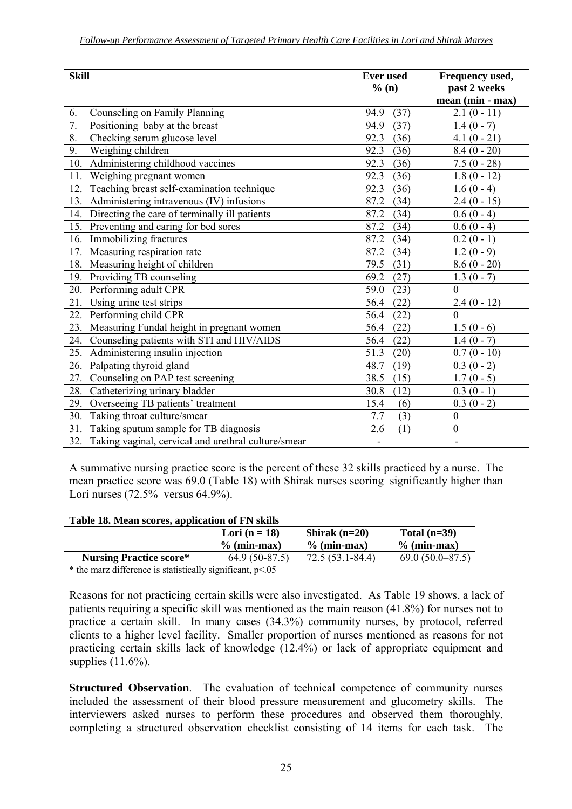| <b>Skill</b>                                               | <b>Ever</b> used<br>% (n) | Frequency used,<br>past 2 weeks |  |
|------------------------------------------------------------|---------------------------|---------------------------------|--|
|                                                            |                           | mean (min - max)                |  |
| 6.<br>Counseling on Family Planning                        | (37)<br>94.9              | $2.1(0-11)$                     |  |
| $\overline{7}$ .<br>Positioning baby at the breast         | 94.9<br>(37)              | $1.4(0 - 7)$                    |  |
| 8.<br>Checking serum glucose level                         | 92.3<br>(36)              | $4.1(0 - 21)$                   |  |
| 9.<br>Weighing children                                    | 92.3<br>(36)              | $8.4(0 - 20)$                   |  |
| Administering childhood vaccines<br>10.                    | 92.3<br>(36)              | $7.5(0 - 28)$                   |  |
| Weighing pregnant women<br>11.                             | 92.3<br>(36)              | $1.8(0 - 12)$                   |  |
| Teaching breast self-examination technique<br>12.          | 92.3<br>(36)              | $1.6(0 - 4)$                    |  |
| Administering intravenous (IV) infusions<br>13.            | 87.2<br>(34)              | $2.4(0 - 15)$                   |  |
| Directing the care of terminally ill patients<br>14.       | 87.2<br>(34)              | $0.6(0-4)$                      |  |
| Preventing and caring for bed sores<br>15.                 | 87.2<br>(34)              | $0.6(0-4)$                      |  |
| Immobilizing fractures<br>16.                              | 87.2<br>(34)              | $0.2(0-1)$                      |  |
| Measuring respiration rate<br>17.                          | 87.2<br>(34)              | $1.2(0-9)$                      |  |
| Measuring height of children<br>18.                        | 79.5<br>(31)              | $8.6(0 - 20)$                   |  |
| Providing TB counseling<br>19.                             | (27)<br>69.2              | $1.3(0 - 7)$                    |  |
| Performing adult CPR<br>20.                                | 59.0<br>(23)              | $\mathbf{0}$                    |  |
| Using urine test strips<br>21.                             | 56.4<br>(22)              | $2.4(0 - 12)$                   |  |
| Performing child CPR<br>22.                                | (22)<br>56.4              | $\mathbf{0}$                    |  |
| Measuring Fundal height in pregnant women<br>23.           | 56.4<br>(22)              | $1.5(0-6)$                      |  |
| Counseling patients with STI and HIV/AIDS<br>24.           | 56.4<br>(22)              | $1.4(0-7)$                      |  |
| Administering insulin injection<br>25.                     | 51.3<br>(20)              | $0.7(0-10)$                     |  |
| Palpating thyroid gland<br>26.                             | 48.7<br>(19)              | $0.3(0-2)$                      |  |
| Counseling on PAP test screening<br>27.                    | 38.5<br>(15)              | $1.7(0-5)$                      |  |
| Catheterizing urinary bladder<br>28.                       | 30.8<br>(12)              | $0.3(0-1)$                      |  |
| Overseeing TB patients' treatment<br>29.                   | 15.4<br>(6)               | $0.3(0-2)$                      |  |
| Taking throat culture/smear<br>30.                         | (3)<br>7.7                | $\boldsymbol{0}$                |  |
| Taking sputum sample for TB diagnosis<br>31.               | (1)<br>2.6                | $\boldsymbol{0}$                |  |
| 32.<br>Taking vaginal, cervical and urethral culture/smear | $\overline{\phantom{a}}$  | $\overline{\phantom{a}}$        |  |

A summative nursing practice score is the percent of these 32 skills practiced by a nurse. The mean practice score was 69.0 (Table 18) with Shirak nurses scoring significantly higher than Lori nurses (72.5% versus 64.9%).

#### **Table 18. Mean scores, application of FN skills**

|                                | Lori $(n = 18)$ | Shirak $(n=20)$  | Total $(n=39)$    |
|--------------------------------|-----------------|------------------|-------------------|
|                                | $%$ (min-max)   | $\%$ (min-max)   | $%$ (min-max)     |
| <b>Nursing Practice score*</b> | $64.9(50-87.5)$ | 72.5 (53.1-84.4) | $69.0(50.0-87.5)$ |

 $*$  the marz difference is statistically significant,  $p<.05$ 

Reasons for not practicing certain skills were also investigated. As Table 19 shows, a lack of patients requiring a specific skill was mentioned as the main reason (41.8%) for nurses not to practice a certain skill. In many cases (34.3%) community nurses, by protocol, referred clients to a higher level facility. Smaller proportion of nurses mentioned as reasons for not practicing certain skills lack of knowledge (12.4%) or lack of appropriate equipment and supplies  $(11.6\%)$ .

**Structured Observation**. The evaluation of technical competence of community nurses included the assessment of their blood pressure measurement and glucometry skills. The interviewers asked nurses to perform these procedures and observed them thoroughly, completing a structured observation checklist consisting of 14 items for each task. The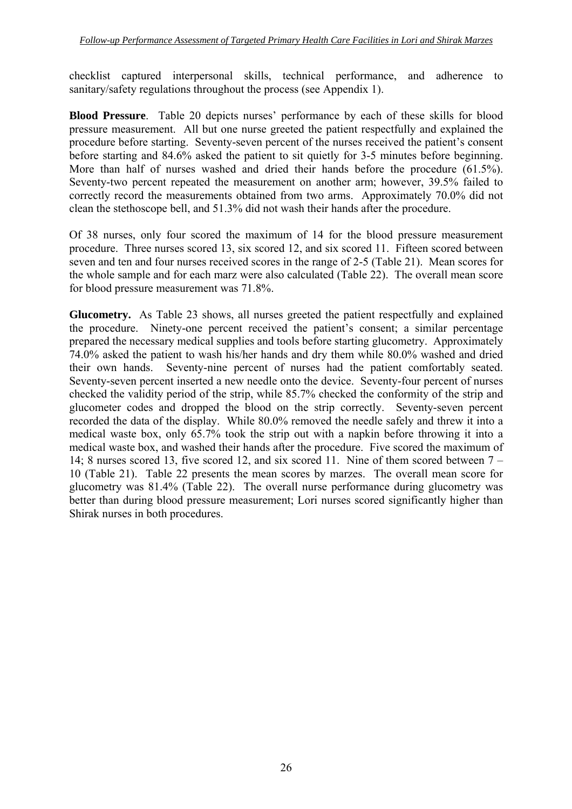checklist captured interpersonal skills, technical performance, and adherence to sanitary/safety regulations throughout the process (see Appendix 1).

**Blood Pressure**. Table 20 depicts nurses' performance by each of these skills for blood pressure measurement. All but one nurse greeted the patient respectfully and explained the procedure before starting. Seventy-seven percent of the nurses received the patient's consent before starting and 84.6% asked the patient to sit quietly for 3-5 minutes before beginning. More than half of nurses washed and dried their hands before the procedure (61.5%). Seventy-two percent repeated the measurement on another arm; however, 39.5% failed to correctly record the measurements obtained from two arms. Approximately 70.0% did not clean the stethoscope bell, and 51.3% did not wash their hands after the procedure.

Of 38 nurses, only four scored the maximum of 14 for the blood pressure measurement procedure. Three nurses scored 13, six scored 12, and six scored 11. Fifteen scored between seven and ten and four nurses received scores in the range of 2-5 (Table 21). Mean scores for the whole sample and for each marz were also calculated (Table 22). The overall mean score for blood pressure measurement was 71.8%.

**Glucometry.** As Table 23 shows, all nurses greeted the patient respectfully and explained the procedure. Ninety-one percent received the patient's consent; a similar percentage prepared the necessary medical supplies and tools before starting glucometry. Approximately 74.0% asked the patient to wash his/her hands and dry them while 80.0% washed and dried their own hands. Seventy-nine percent of nurses had the patient comfortably seated. Seventy-seven percent inserted a new needle onto the device. Seventy-four percent of nurses checked the validity period of the strip, while 85.7% checked the conformity of the strip and glucometer codes and dropped the blood on the strip correctly. Seventy-seven percent recorded the data of the display. While 80.0% removed the needle safely and threw it into a medical waste box, only 65.7% took the strip out with a napkin before throwing it into a medical waste box, and washed their hands after the procedure. Five scored the maximum of 14; 8 nurses scored 13, five scored 12, and six scored 11. Nine of them scored between 7 – 10 (Table 21). Table 22 presents the mean scores by marzes. The overall mean score for glucometry was 81.4% (Table 22). The overall nurse performance during glucometry was better than during blood pressure measurement; Lori nurses scored significantly higher than Shirak nurses in both procedures.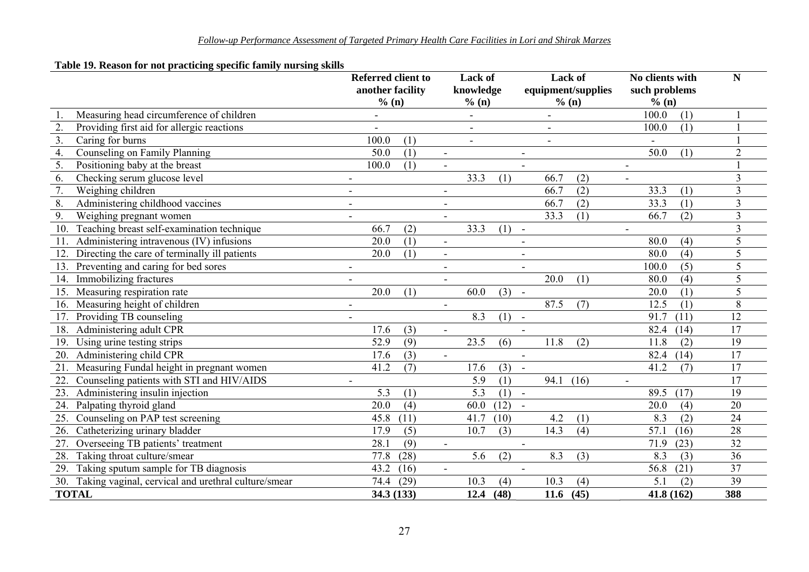#### **Table 19. Reason for not practicing specific family nursing skills**

|              |                                                     | <b>Referred client to</b><br>another facility |                          | Lack of<br>knowledge | equipment/supplies       | Lack of | No clients with<br>such problems |      | ${\bf N}$       |
|--------------|-----------------------------------------------------|-----------------------------------------------|--------------------------|----------------------|--------------------------|---------|----------------------------------|------|-----------------|
|              |                                                     | % (n)                                         |                          | % (n)                | % (n)                    |         | % (n)                            |      |                 |
|              | Measuring head circumference of children            |                                               |                          |                      |                          |         | 100.0                            | (1)  |                 |
| 2.           | Providing first aid for allergic reactions          |                                               |                          |                      |                          |         | 100.0                            | (1)  |                 |
| 3.           | Caring for burns                                    | 100.0<br>(1)                                  |                          |                      |                          |         |                                  |      |                 |
| 4.           | Counseling on Family Planning                       | 50.0<br>(1)                                   | $\blacksquare$           |                      | $\overline{\phantom{a}}$ |         | 50.0                             | (1)  | $\overline{2}$  |
| 5.           | Positioning baby at the breast                      | 100.0<br>(1)                                  | $\mathbf{r}$             |                      |                          |         | $\overline{\phantom{a}}$         |      |                 |
| 6.           | Checking serum glucose level                        | $\overline{\phantom{a}}$                      |                          | 33.3<br>(1)          | 66.7                     | (2)     | $\blacksquare$                   |      | $\overline{3}$  |
| 7.           | Weighing children                                   |                                               |                          |                      | 66.7                     | (2)     | 33.3                             | (1)  | 3               |
| 8.           | Administering childhood vaccines                    | -                                             |                          |                      | 66.7                     | (2)     | 33.3                             | (1)  | 3               |
| 9.           | Weighing pregnant women                             | $\blacksquare$                                | $\blacksquare$           |                      | 33.3                     | (1)     | 66.7                             | (2)  | $\overline{3}$  |
| 10.          | Teaching breast self-examination technique          | 66.7<br>(2)                                   |                          | 33.3<br>(1)          | $\blacksquare$           |         | $\blacksquare$                   |      | 3               |
| 11.          | Administering intravenous (IV) infusions            | (1)<br>20.0                                   | $\overline{\phantom{a}}$ |                      |                          |         | 80.0                             | (4)  | 5               |
|              | Directing the care of terminally ill patients       | (1)<br>20.0                                   | $\blacksquare$           |                      | $\overline{\phantom{a}}$ |         | 80.0                             | (4)  | 5               |
| 13.          | Preventing and caring for bed sores                 | $\blacksquare$                                | $\blacksquare$           |                      |                          |         | 100.0                            | (5)  | 5               |
| 14.          | Immobilizing fractures                              | $\overline{\phantom{a}}$                      | $\blacksquare$           |                      | 20.0                     | (1)     | 80.0                             | (4)  | 5               |
| 15.          | Measuring respiration rate                          | 20.0<br>(1)                                   |                          | 60.0<br>(3)          | $\blacksquare$           |         | 20.0                             | (1)  | 5               |
| 16.          | Measuring height of children                        | $\overline{\phantom{0}}$                      |                          |                      | 87.5                     | (7)     | 12.5                             | (1)  | 8               |
| 17.          | Providing TB counseling                             | $\overline{a}$                                |                          | 8.3<br>(1)           | $\blacksquare$           |         | 91.7                             | (11) | $\overline{12}$ |
| 18.          | Administering adult CPR                             | 17.6<br>(3)                                   |                          |                      |                          |         | 82.4                             | (14) | 17              |
| 19.          | Using urine testing strips                          | (9)<br>52.9                                   |                          | 23.5<br>(6)          | 11.8                     | (2)     | 11.8                             | (2)  | 19              |
| 20.          | Administering child CPR                             | 17.6<br>(3)                                   | $\blacksquare$           |                      | $\blacksquare$           |         | 82.4                             | (14) | $\overline{17}$ |
| 21.          | Measuring Fundal height in pregnant women           | (7)<br>41.2                                   |                          | 17.6<br>(3)          | $\blacksquare$           |         | 41.2                             | (7)  | $\overline{17}$ |
| 22.          | Counseling patients with STI and HIV/AIDS           | $\blacksquare$                                |                          | 5.9<br>(1)           | 94.1                     | (16)    | $\blacksquare$                   |      | $\overline{17}$ |
| 23.          | Administering insulin injection                     | 5.3<br>(1)                                    |                          | 5.3<br>(1)           | $\overline{a}$           |         | 89.5                             | (17) | 19              |
| 24.          | Palpating thyroid gland                             | (4)<br>20.0                                   |                          | (12)<br>60.0         |                          |         | 20.0                             | (4)  | $\overline{20}$ |
| 25.          | Counseling on PAP test screening                    | 45.8<br>(11)                                  |                          | 41.7<br>(10)         | 4.2                      | (1)     | 8.3                              | (2)  | $\overline{24}$ |
| 26.          | Catheterizing urinary bladder                       | 17.9<br>(5)                                   |                          | 10.7<br>(3)          | 14.3                     | (4)     | 57.1                             | (16) | $\overline{28}$ |
| 27.          | Overseeing TB patients' treatment                   | 28.1<br>(9)                                   | $\blacksquare$           |                      | $\blacksquare$           |         | 71.9                             | (23) | 32              |
| 28.          | Taking throat culture/smear                         | (28)<br>77.8                                  |                          | 5.6<br>(2)           | 8.3                      | (3)     | 8.3                              | (3)  | $\overline{36}$ |
| 29.          | Taking sputum sample for TB diagnosis               | (16)<br>43.2                                  |                          |                      |                          |         | 56.8                             | (21) | $\overline{37}$ |
| 30.          | Taking vaginal, cervical and urethral culture/smear | (29)<br>74.4                                  |                          | 10.3<br>(4)          | 10.3                     | (4)     | 5.1                              | (2)  | 39              |
| <b>TOTAL</b> |                                                     | 34.3 (133)                                    |                          | 12.4<br>(48)         | 11.6                     | (45)    | 41.8(162)                        |      | 388             |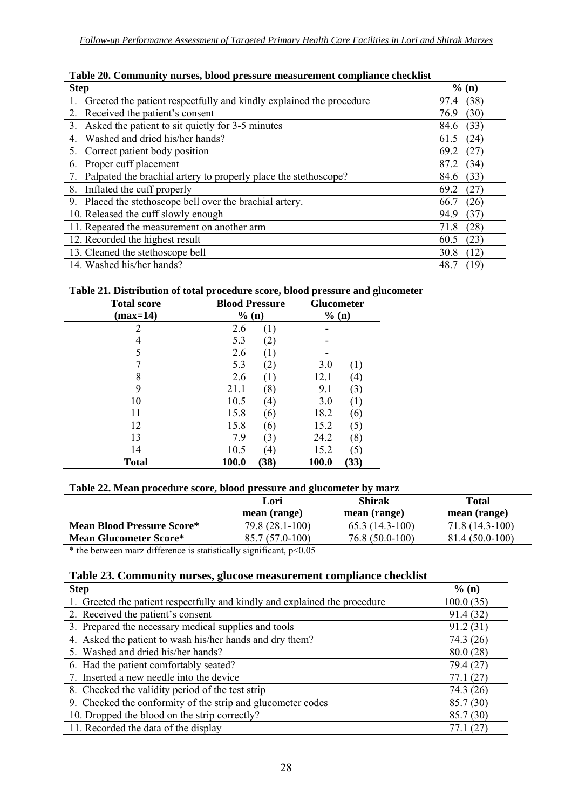| <b>Step</b>                                                         | % (n)        |
|---------------------------------------------------------------------|--------------|
| Greeted the patient respectfully and kindly explained the procedure | (38)<br>97.4 |
| Received the patient's consent<br>2.                                | (30)<br>76.9 |
| Asked the patient to sit quietly for 3-5 minutes<br>$3_{-}$         | (33)<br>84.6 |
| Washed and dried his/her hands?                                     | (24)<br>61.5 |
| Correct patient body position                                       | (27)<br>69.2 |
| Proper cuff placement<br>6.                                         | (34)<br>87.2 |
| Palpated the brachial artery to properly place the stethoscope?     | (33)<br>84.6 |
| Inflated the cuff properly<br>8.                                    | (27)<br>69.2 |
| 9. Placed the stethoscope bell over the brachial artery.            | (26)<br>66.7 |
| 10. Released the cuff slowly enough                                 | (37)<br>94.9 |
| 11. Repeated the measurement on another arm                         | (28)<br>71.8 |
| 12. Recorded the highest result                                     | (23)<br>60.5 |
| 13. Cleaned the stethoscope bell                                    | (12)<br>30.8 |
| 14. Washed his/her hands?                                           | (19)<br>48.  |

| Table 20. Community nurses, blood pressure measurement compliance checklist |  |  |
|-----------------------------------------------------------------------------|--|--|
|                                                                             |  |  |

#### **Table 21. Distribution of total procedure score, blood pressure and glucometer**

| <b>Total score</b> | <b>Blood Pressure</b> |                  | <b>Glucometer</b> |      |
|--------------------|-----------------------|------------------|-------------------|------|
| (max=14)           | % (n)                 |                  | % (n)             |      |
| 2                  | 2.6                   | (1)              |                   |      |
|                    | 5.3                   | 2)               |                   |      |
| 5                  | 2.6                   | $\perp$          |                   |      |
|                    | 5.3                   | (2)              | 3.0               | (1)  |
| 8                  | 2.6                   | (1)              | 12.1              | (4)  |
| 9                  | 21.1                  | (8)              | 9.1               | (3)  |
| 10                 | 10.5                  | (4)              | 3.0               | (1)  |
| 11                 | 15.8                  | (6)              | 18.2              | (6)  |
| 12                 | 15.8                  | (6)              | 15.2              | (5)  |
| 13                 | 7.9                   | (3)              | 24.2              | (8)  |
| 14                 | 10.5                  | $\left(4\right)$ | 15.2              | 5)   |
| <b>Total</b>       | 100.0                 | (38)             | <b>100.0</b>      | (33) |

#### **Table 22. Mean procedure score, blood pressure and glucometer by marz**

|                                   | Lori<br>mean (range)                                                                                                                                                                          | <b>Shirak</b><br>mean (range) | Total<br>mean (range) |
|-----------------------------------|-----------------------------------------------------------------------------------------------------------------------------------------------------------------------------------------------|-------------------------------|-----------------------|
| <b>Mean Blood Pressure Score*</b> | 79.8 (28.1-100)                                                                                                                                                                               | $65.3(14.3-100)$              | $71.8(14.3-100)$      |
| <b>Mean Glucometer Score*</b>     | 85.7 (57.0-100)                                                                                                                                                                               | 76.8 (50.0-100)               | $81.4(50.0-100)$      |
| 1.00<br>$\sim 1$ $\sim$ $\sim$    | $\mathcal{L} = \mathcal{L} \cdot \mathcal{L} = \mathcal{L} \cdot \mathcal{L} = \mathcal{L} \cdot \mathcal{L} \cdot \mathcal{L} = \mathcal{L} \cdot \mathcal{L} \cdot \mathcal{L}$<br>$\Omega$ |                               |                       |

 $*$  the between marz difference is statistically significant,  $p<0.05$ 

## **Table 23. Community nurses, glucose measurement compliance checklist**

| <b>Step</b>                                                                | % (n)     |
|----------------------------------------------------------------------------|-----------|
| 1. Greeted the patient respectfully and kindly and explained the procedure | 100.0(35) |
| 2. Received the patient's consent                                          | 91.4(32)  |
| 3. Prepared the necessary medical supplies and tools                       | 91.2(31)  |
| 4. Asked the patient to wash his/her hands and dry them?                   | 74.3 (26) |
| 5. Washed and dried his/her hands?                                         | 80.0(28)  |
| 6. Had the patient comfortably seated?                                     | 79.4 (27) |
| 7. Inserted a new needle into the device                                   | 77.1 (27) |
| 8. Checked the validity period of the test strip                           | 74.3 (26) |
| 9. Checked the conformity of the strip and glucometer codes                | 85.7 (30) |
| 10. Dropped the blood on the strip correctly?                              | 85.7 (30) |
| 11. Recorded the data of the display                                       | 77.1 (27) |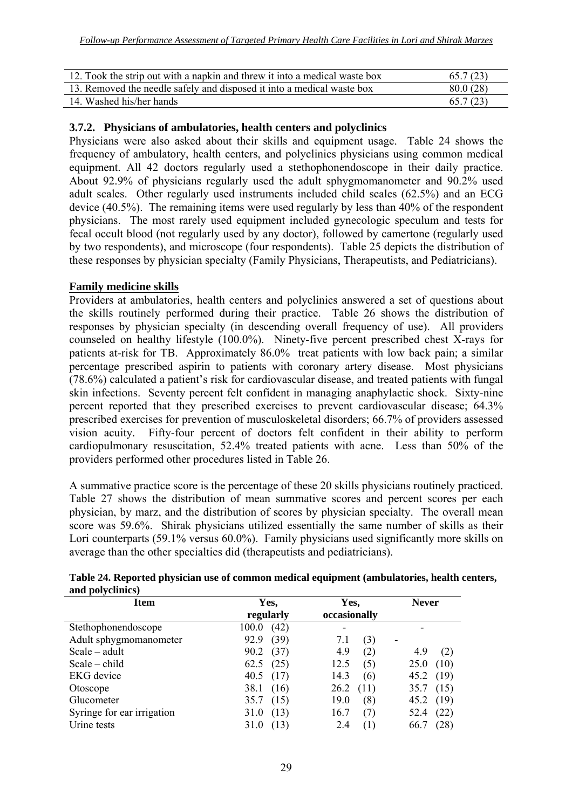| 12. Took the strip out with a napkin and threw it into a medical waste box | 65.7(23) |
|----------------------------------------------------------------------------|----------|
| 13. Removed the needle safely and disposed it into a medical waste box     | 80.0(28) |
| 14. Washed his/her hands                                                   | 65.7(23) |

#### **3.7.2. Physicians of ambulatories, health centers and polyclinics**

Physicians were also asked about their skills and equipment usage. Table 24 shows the frequency of ambulatory, health centers, and polyclinics physicians using common medical equipment. All 42 doctors regularly used a stethophonendoscope in their daily practice. About 92.9% of physicians regularly used the adult sphygmomanometer and 90.2% used adult scales. Other regularly used instruments included child scales (62.5%) and an ECG device (40.5%). The remaining items were used regularly by less than 40% of the respondent physicians. The most rarely used equipment included gynecologic speculum and tests for fecal occult blood (not regularly used by any doctor), followed by camertone (regularly used by two respondents), and microscope (four respondents). Table 25 depicts the distribution of these responses by physician specialty (Family Physicians, Therapeutists, and Pediatricians).

#### **Family medicine skills**

Providers at ambulatories, health centers and polyclinics answered a set of questions about the skills routinely performed during their practice. Table 26 shows the distribution of responses by physician specialty (in descending overall frequency of use). All providers counseled on healthy lifestyle (100.0%). Ninety-five percent prescribed chest X-rays for patients at-risk for TB. Approximately 86.0% treat patients with low back pain; a similar percentage prescribed aspirin to patients with coronary artery disease. Most physicians (78.6%) calculated a patient's risk for cardiovascular disease, and treated patients with fungal skin infections. Seventy percent felt confident in managing anaphylactic shock. Sixty-nine percent reported that they prescribed exercises to prevent cardiovascular disease; 64.3% prescribed exercises for prevention of musculoskeletal disorders; 66.7% of providers assessed vision acuity. Fifty-four percent of doctors felt confident in their ability to perform cardiopulmonary resuscitation, 52.4% treated patients with acne. Less than 50% of the providers performed other procedures listed in Table 26.

A summative practice score is the percentage of these 20 skills physicians routinely practiced. Table 27 shows the distribution of mean summative scores and percent scores per each physician, by marz, and the distribution of scores by physician specialty. The overall mean score was 59.6%. Shirak physicians utilized essentially the same number of skills as their Lori counterparts (59.1% versus 60.0%). Family physicians used significantly more skills on average than the other specialties did (therapeutists and pediatricians).

| ana poryennics             |               |              |              |
|----------------------------|---------------|--------------|--------------|
| Item                       | Yes,          | Yes,         | <b>Never</b> |
|                            | regularly     | occasionally |              |
| Stethophonendoscope        | (42)<br>100.0 |              |              |
| Adult sphygmomanometer     | (39)<br>92.9  | (3)<br>7.1   | -            |
| $Scale - adult$            | (37)<br>90.2  | 4.9<br>(2)   | (2)<br>4.9   |
| $Scale - child$            | (25)<br>62.5  | 12.5<br>(5)  | (10)<br>25.0 |
| <b>EKG</b> device          | (17)<br>40.5  | 14.3<br>(6)  | 45.2(19)     |
| Otoscope                   | 38.1<br>(16)  | 26.2<br>(11) | (15)<br>35.7 |
| Glucometer                 | (15)<br>35.7  | 19.0<br>(8)  | 45.2 $(19)$  |
| Syringe for ear irrigation | (13)<br>31.0  | 16.7<br>(7)  | (22)<br>52.4 |
| Urine tests                | (13)<br>31.0  | 2.4<br>(1)   | (28)<br>66.7 |

#### **Table 24. Reported physician use of common medical equipment (ambulatories, health centers, and polyclinics)**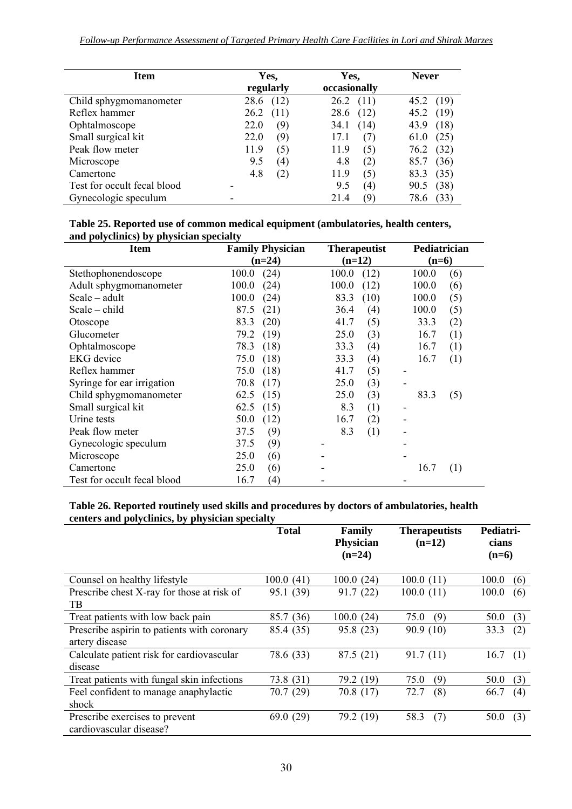| <b>Item</b>                 | Yes,<br>regularly | Yes,<br>occasionally | <b>Never</b> |
|-----------------------------|-------------------|----------------------|--------------|
| Child sphygmomanometer      | (12)<br>28.6      | 26.2<br>(11)         | 45.2 (19)    |
| Reflex hammer               | 26.2<br>(11)      | 28.6<br>(12)         | 45.2 (19)    |
| Ophtalmoscope               | 22.0              | 34.1                 | 43.9         |
|                             | (9)               | (14)                 | (18)         |
| Small surgical kit          | (9)               | 17.1                 | (25)         |
|                             | 22.0              | (7)                  | 61.0         |
| Peak flow meter             | 11.9              | (5)                  | (32)         |
|                             | (5)               | 11.9                 | 76.2         |
| Microscope                  | 9.5               | 4.8                  | (36)         |
|                             | (4)               | (2)                  | 85.7         |
| Camertone                   | 4.8               | 11.9                 | 83.3         |
|                             | (2)               | (5)                  | (35)         |
| Test for occult fecal blood |                   | 9.5<br>(4)           | (38)<br>90.5 |
| Gynecologic speculum        |                   | 21.4<br>Ч            | 78.6<br>(33) |

| Table 25. Reported use of common medical equipment (ambulatories, health centers, |
|-----------------------------------------------------------------------------------|
| and polyclinics) by physician specialty                                           |

| and polyenmes) by physician specially<br><b>Item</b> | <b>Family Physician</b><br><b>Therapeutist</b> |          |          | Pediatrician |   |         |     |
|------------------------------------------------------|------------------------------------------------|----------|----------|--------------|---|---------|-----|
|                                                      |                                                | $(n=24)$ | $(n=12)$ |              |   | $(n=6)$ |     |
| Stethophonendoscope                                  | 100.0                                          | (24)     | 100.0    | (12)         |   | 100.0   | (6) |
| Adult sphygmomanometer                               | 100.0                                          | (24)     | 100.0    | (12)         |   | 100.0   | (6) |
| $Scale - adult$                                      | 100.0                                          | (24)     | 83.3     | (10)         |   | 100.0   | (5) |
| $Scale - child$                                      | 87.5                                           | (21)     | 36.4     | (4)          |   | 100.0   | (5) |
| Otoscope                                             | 83.3                                           | (20)     | 41.7     | (5)          |   | 33.3    | (2) |
| Glucometer                                           | 79.2                                           | (19)     | 25.0     | (3)          |   | 16.7    | (1) |
| Ophtalmoscope                                        | 78.3                                           | (18)     | 33.3     | (4)          |   | 16.7    | (1) |
| <b>EKG</b> device                                    | 75.0                                           | (18)     | 33.3     | (4)          |   | 16.7    | (1) |
| Reflex hammer                                        | 75.0                                           | (18)     | 41.7     | (5)          |   |         |     |
| Syringe for ear irrigation                           | 70.8                                           | (17)     | 25.0     | (3)          |   |         |     |
| Child sphygmomanometer                               | 62.5                                           | (15)     | 25.0     | (3)          |   | 83.3    | (5) |
| Small surgical kit                                   | 62.5                                           | (15)     | 8.3      | (1)          | - |         |     |
| Urine tests                                          | 50.0                                           | (12)     | 16.7     | (2)          |   |         |     |
| Peak flow meter                                      | 37.5                                           | (9)      | 8.3      | (1)          |   |         |     |
| Gynecologic speculum                                 | 37.5                                           | (9)      |          |              |   |         |     |
| Microscope                                           | 25.0                                           | (6)      |          |              |   |         |     |
| Camertone                                            | 25.0                                           | (6)      |          |              |   | 16.7    | (1) |
| Test for occult fecal blood                          | 16.7                                           | (4)      |          |              |   |         |     |

#### **Table 26. Reported routinely used skills and procedures by doctors of ambulatories, health centers and polyclinics, by physician specialty**

|                                                           | <b>Total</b> | <b>Therapeutists</b><br><b>Family</b><br>Physician<br>$(n=12)$<br>$(n=24)$ |             | Pediatri-<br>cians<br>$(n=6)$ |
|-----------------------------------------------------------|--------------|----------------------------------------------------------------------------|-------------|-------------------------------|
|                                                           |              |                                                                            |             |                               |
| Counsel on healthy lifestyle                              | 100.0(41)    | 100.0(24)                                                                  | 100.0(11)   | 100.0<br>(6)                  |
| Prescribe chest X-ray for those at risk of<br>TB.         | 95.1 (39)    | 91.7(22)                                                                   | 100.0(11)   | 100.0<br>(6)                  |
|                                                           |              |                                                                            |             |                               |
| Treat patients with low back pain                         | (36)<br>85.7 | 100.0(24)                                                                  | (9)<br>75.0 | 50.0<br>(3)                   |
| Prescribe aspirin to patients with coronary               | 85.4 (35)    | 95.8 (23)                                                                  | 90.9(10)    | 33.3<br>(2)                   |
| artery disease                                            |              |                                                                            |             |                               |
| Calculate patient risk for cardiovascular                 | 78.6 (33)    | 87.5(21)                                                                   | 91.7(11)    | 16.7<br>(1)                   |
| disease                                                   |              |                                                                            |             |                               |
| Treat patients with fungal skin infections                | 73.8 (31)    | 79.2 (19)                                                                  | (9)<br>75.0 | 50.0<br>(3)                   |
| Feel confident to manage anaphylactic                     | 70.7 (29)    | 70.8(17)                                                                   | 72.7<br>(8) | 66.7<br>(4)                   |
| shock                                                     |              |                                                                            |             |                               |
| Prescribe exercises to prevent<br>cardiovascular disease? | 69.0(29)     | 79.2 (19)                                                                  | (7)<br>58.3 | 50.0<br>(3)                   |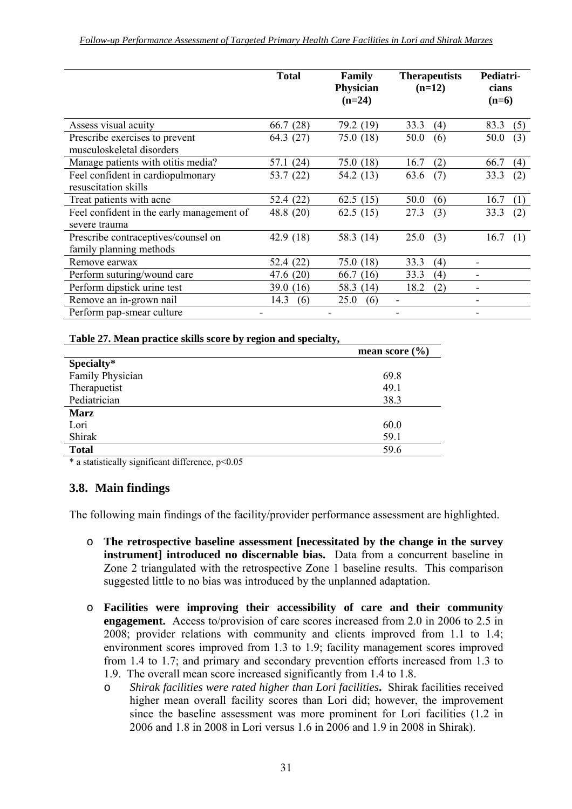|                                                                | <b>Total</b> | Family<br><b>Therapeutists</b><br>Physician<br>$(n=12)$<br>$(n=24)$ |             | Pediatri-<br>cians<br>$(n=6)$ |
|----------------------------------------------------------------|--------------|---------------------------------------------------------------------|-------------|-------------------------------|
| Assess visual acuity                                           | 66.7 (28)    | 79.2 (19)                                                           | 33.3<br>(4) | 83.3<br>(5)                   |
| Prescribe exercises to prevent<br>musculoskeletal disorders    | 64.3 (27)    | 75.0 (18)                                                           | 50.0<br>(6) | (3)<br>50.0                   |
| Manage patients with otitis media?                             | (24)<br>57.1 | 75.0 (18)                                                           | (2)<br>16.7 | 66.7<br>(4)                   |
| Feel confident in cardiopulmonary<br>resuscitation skills      | 53.7 (22)    | 54.2 (13)                                                           | 63.6<br>(7) | (2)<br>33.3                   |
| Treat patients with acne                                       | 52.4 (22)    | 62.5 $(15)$                                                         | 50.0<br>(6) | 16.7<br>(1)                   |
| Feel confident in the early management of<br>severe trauma     | 48.8 $(20)$  | 62.5 $(15)$                                                         | 27.3<br>(3) | (2)<br>33.3                   |
| Prescribe contraceptives/counsel on<br>family planning methods | 42.9 (18)    | 58.3 (14)                                                           | 25.0<br>(3) | 16.7<br>(1)                   |
| Remove earwax                                                  | 52.4 (22)    | 75.0(18)                                                            | 33.3<br>(4) |                               |
| Perform suturing/wound care                                    | 47.6 $(20)$  | 66.7(16)                                                            | 33.3<br>(4) |                               |
| Perform dipstick urine test                                    | 39.0<br>(16) | 58.3 (14)                                                           | 18.2<br>(2) |                               |
| Remove an in-grown nail                                        | 14.3<br>(6)  | 25.0<br>(6)                                                         |             |                               |
| Perform pap-smear culture                                      |              |                                                                     |             |                               |

#### **Table 27. Mean practice skills score by region and specialty,**

|                  | mean score $(\% )$ |
|------------------|--------------------|
| Specialty*       |                    |
| Family Physician | 69.8               |
| Therapuetist     | 49.1               |
| Pediatrician     | 38.3               |
| <b>Marz</b>      |                    |
| Lori             | 60.0               |
| Shirak           | 59.1               |
| <b>Total</b>     | 59.6               |

 $*$  a statistically significant difference,  $p \le 0.05$ 

#### **3.8. Main findings**

The following main findings of the facility/provider performance assessment are highlighted.

- o **The retrospective baseline assessment [necessitated by the change in the survey instrument] introduced no discernable bias.** Data from a concurrent baseline in Zone 2 triangulated with the retrospective Zone 1 baseline results. This comparison suggested little to no bias was introduced by the unplanned adaptation.
- o **Facilities were improving their accessibility of care and their community engagement.** Access to/provision of care scores increased from 2.0 in 2006 to 2.5 in 2008; provider relations with community and clients improved from 1.1 to 1.4; environment scores improved from 1.3 to 1.9; facility management scores improved from 1.4 to 1.7; and primary and secondary prevention efforts increased from 1.3 to 1.9. The overall mean score increased significantly from 1.4 to 1.8.
	- o *Shirak facilities were rated higher than Lori facilities***.** Shirak facilities received higher mean overall facility scores than Lori did; however, the improvement since the baseline assessment was more prominent for Lori facilities (1.2 in 2006 and 1.8 in 2008 in Lori versus 1.6 in 2006 and 1.9 in 2008 in Shirak).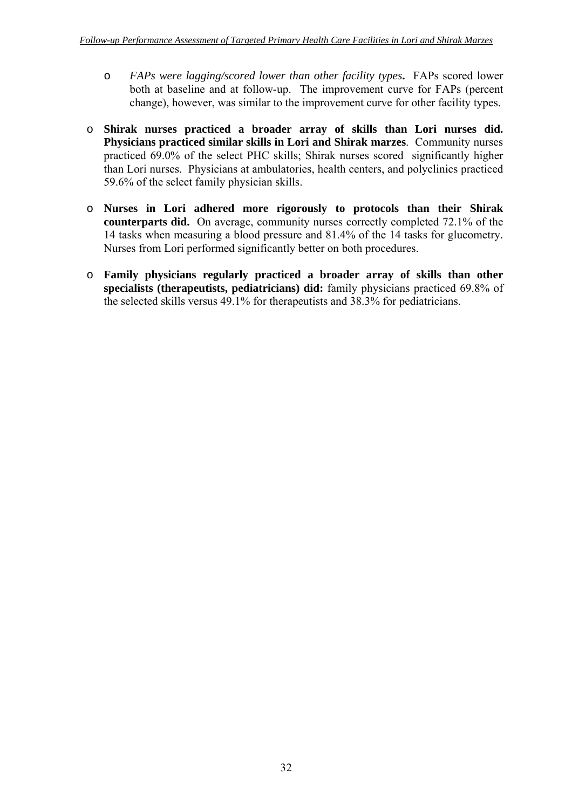- o *FAPs were lagging/scored lower than other facility types***.** FAPs scored lower both at baseline and at follow-up. The improvement curve for FAPs (percent change), however, was similar to the improvement curve for other facility types.
- o **Shirak nurses practiced a broader array of skills than Lori nurses did. Physicians practiced similar skills in Lori and Shirak marzes**. Community nurses practiced 69.0% of the select PHC skills; Shirak nurses scored significantly higher than Lori nurses. Physicians at ambulatories, health centers, and polyclinics practiced 59.6% of the select family physician skills.
- o **Nurses in Lori adhered more rigorously to protocols than their Shirak counterparts did.** On average, community nurses correctly completed 72.1% of the 14 tasks when measuring a blood pressure and 81.4% of the 14 tasks for glucometry. Nurses from Lori performed significantly better on both procedures.
- o **Family physicians regularly practiced a broader array of skills than other specialists (therapeutists, pediatricians) did:** family physicians practiced 69.8% of the selected skills versus 49.1% for therapeutists and 38.3% for pediatricians.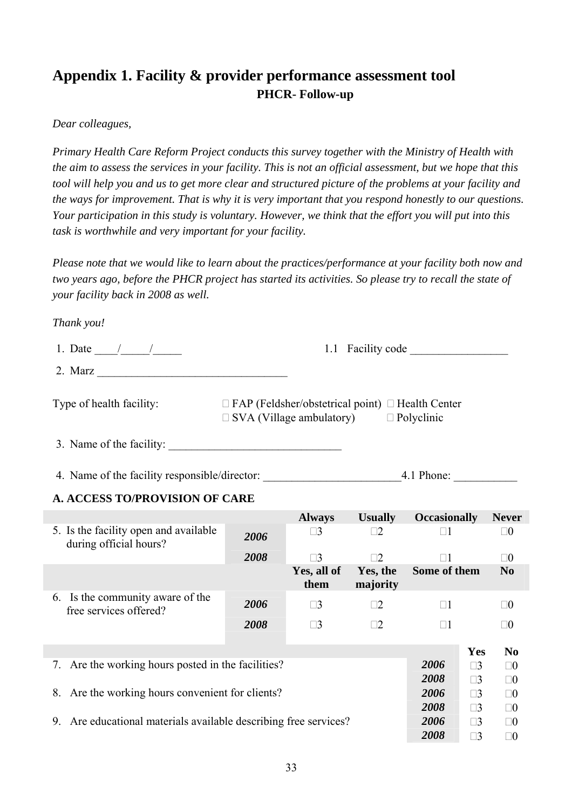## **Appendix 1. Facility & provider performance assessment tool PHCR- Follow-up**

#### *Dear colleagues,*

*Primary Health Care Reform Project conducts this survey together with the Ministry of Health with the aim to assess the services in your facility. This is not an official assessment, but we hope that this tool will help you and us to get more clear and structured picture of the problems at your facility and the ways for improvement. That is why it is very important that you respond honestly to our questions. Your participation in this study is voluntary. However, we think that the effort you will put into this task is worthwhile and very important for your facility.* 

*Please note that we would like to learn about the practices/performance at your facility both now and two years ago, before the PHCR project has started its activities. So please try to recall the state of your facility back in 2008 as well.* 

#### *Thank you!*

| 1. Date                  | 1.1 Facility code                                                                                                    |
|--------------------------|----------------------------------------------------------------------------------------------------------------------|
| 2. Marz                  |                                                                                                                      |
| Type of health facility: | $\Box$ FAP (Feldsher/obstetrical point) $\Box$ Health Center<br>$\Box$ SVA (Village ambulatory)<br>$\Box$ Polyclinic |

3. Name of the facility:

4. Name of the facility responsible/director: 4.1 Phone:

#### **A. ACCESS TO/PROVISION OF CARE**

|                                                                     |      | <b>Always</b>       | <b>Usually</b>       | <b>Occasionally</b> |          | <b>Never</b>   |
|---------------------------------------------------------------------|------|---------------------|----------------------|---------------------|----------|----------------|
| 5. Is the facility open and available<br>during official hours?     | 2006 | $\square$ 3         |                      | $\Box$ 1            |          | $\square 0$    |
|                                                                     | 2008 | $\Box$ 3            | $\exists$ 2.         | П1                  |          | $\square 0$    |
|                                                                     |      | Yes, all of<br>them | Yes, the<br>majority | Some of them        |          | N <sub>0</sub> |
| 6. Is the community aware of the<br>free services offered?          | 2006 | $\square 3$         | $\Box 2$             | $\Box$ 1            |          | $\square 0$    |
|                                                                     | 2008 | $\square$ 3         | $\Box 2$             | $\Box$              |          | $\square 0$    |
|                                                                     |      |                     |                      |                     | Yes      | N <sub>0</sub> |
| Are the working hours posted in the facilities?<br>7.               |      |                     |                      | 2006                | $\Box$ 3 | $\Box$ ()      |
|                                                                     |      |                     |                      | 2008                | $\Box$ 3 | $\Box 0$       |
| Are the working hours convenient for clients?<br>8.                 |      |                     |                      | 2006                | $\Box$ 3 | $\Box$ ()      |
|                                                                     |      |                     |                      | 2008                | $\Box$ 3 | $\Box$ ()      |
| Are educational materials available describing free services?<br>9. |      |                     |                      | 2006                | $\Box$ 3 | $\Box 0$       |
|                                                                     |      |                     |                      | 2008                | $\Box$ 3 | 70             |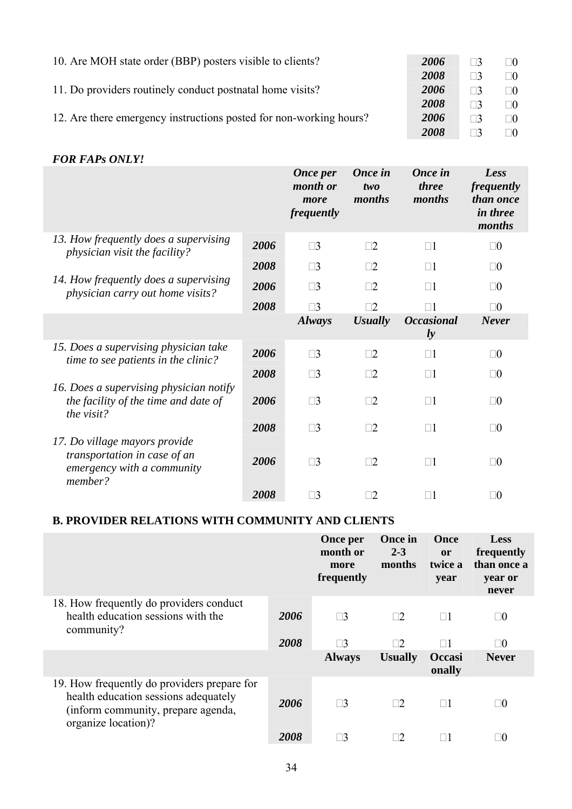| 10. Are MOH state order (BBP) posters visible to clients?          | 2006 | $\Box$ 3 | $\Box 0$ |
|--------------------------------------------------------------------|------|----------|----------|
|                                                                    | 2008 | $\Box$ 3 | ⊓∩       |
| 11. Do providers routinely conduct postnatal home visits?          | 2006 | $\Box$ 3 | $\Box 0$ |
|                                                                    | 2008 | $\Box$ 3 | $\Box 0$ |
| 12. Are there emergency instructions posted for non-working hours? | 2006 | $\Box$ 3 | $\Box 0$ |
|                                                                    | 2008 |          | $\Box 0$ |

#### *FOR FAPs ONLY!*

|                                                                                                        |      | <b>Once per</b><br>month or<br>more<br>frequently | Once in<br>two<br>months | Once in<br><i>three</i><br>months | Less<br>frequently<br>than once<br><i>in three</i><br>months |
|--------------------------------------------------------------------------------------------------------|------|---------------------------------------------------|--------------------------|-----------------------------------|--------------------------------------------------------------|
| 13. How frequently does a supervising<br><i>physician visit the facility?</i>                          | 2006 | $\square$ 3                                       | $\square$ 2              | $\Box$ 1                          | $\square 0$                                                  |
|                                                                                                        | 2008 | $\square$ 3                                       | $\square 2$              | $\Box$ 1                          | $\square 0$                                                  |
| 14. How frequently does a supervising<br>physician carry out home visits?                              | 2006 | $\square$ 3                                       | $\Box$ 2                 | $\square$ 1                       | $\square 0$                                                  |
|                                                                                                        | 2008 | $\Box$ 3                                          | 72                       | $\square$ 1                       | $\square 0$                                                  |
|                                                                                                        |      | <b>Always</b>                                     | <b>Usually</b>           | <b>Occasional</b><br>$l$ <i>y</i> | <b>Never</b>                                                 |
| 15. Does a supervising physician take<br>time to see patients in the clinic?                           | 2006 | $\square$ 3                                       | $\square$ 2              | $\Box$ 1                          | $\square 0$                                                  |
|                                                                                                        | 2008 | $\square$ 3                                       | $\Box$ 2                 | $\Box$ 1                          | $\square 0$                                                  |
| 16. Does a supervising physician notify<br>the facility of the time and date of<br>the visit?          | 2006 | $\square$ 3                                       | $\square$ 2              | $\Box$ 1                          | $\square 0$                                                  |
|                                                                                                        | 2008 | $\Box$ 3                                          | $\Box$ 2                 | $\Box$ 1                          | $\square 0$                                                  |
| 17. Do village mayors provide<br>transportation in case of an<br>emergency with a community<br>member? | 2006 | $\square$ 3                                       | $\Box$ 2                 | $\Box$ 1                          | $\square 0$                                                  |
|                                                                                                        | 2008 | $\square$ 3                                       | $\square 2$              | $\Box$ 1                          | $\square 0$                                                  |

#### **B. PROVIDER RELATIONS WITH COMMUNITY AND CLIENTS**

|                                                                                                                                                  |      | Once per<br>month or<br>more<br>frequently | Once in<br>$2 - 3$<br>months | Once<br><b>or</b><br>twice a<br>year | Less<br>frequently<br>than once a<br>year or<br>never |
|--------------------------------------------------------------------------------------------------------------------------------------------------|------|--------------------------------------------|------------------------------|--------------------------------------|-------------------------------------------------------|
| 18. How frequently do providers conduct<br>health education sessions with the<br>community?                                                      | 2006 | $\square$ 3                                | $\square$                    | $\square 1$                          | $\square 0$                                           |
|                                                                                                                                                  | 2008 | ⊣ว                                         | $\Box$ 2.                    | $\Box$ 1                             | $\Box 0$                                              |
|                                                                                                                                                  |      | <b>Always</b>                              | <b>Usually</b>               | Occasi<br>onally                     | <b>Never</b>                                          |
| 19. How frequently do providers prepare for<br>health education sessions adequately<br>(inform community, prepare agenda,<br>organize location)? | 2006 | $\square$ 3                                | $\Box 2$                     | $\Box 1$                             | $\Box 0$                                              |
|                                                                                                                                                  | 2008 |                                            | $\Box 2$                     |                                      | $\Box 0$                                              |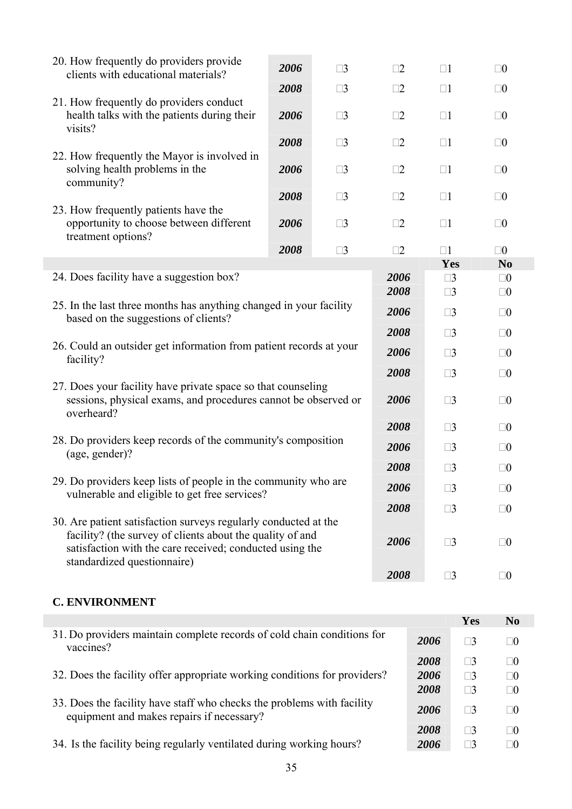| 20. How frequently do providers provide<br>clients with educational materials?                                                                                                                                          | 2006 | $\square$ 3 | $\square$ 2  | $\square$                  | $\square 0$    |
|-------------------------------------------------------------------------------------------------------------------------------------------------------------------------------------------------------------------------|------|-------------|--------------|----------------------------|----------------|
|                                                                                                                                                                                                                         | 2008 | $\square$ 3 | $\square$ 2  | $\Box$ 1                   | $\square 0$    |
| 21. How frequently do providers conduct<br>health talks with the patients during their<br>visits?                                                                                                                       | 2006 | $\square$ 3 | $\square$ 2  | $\square$ 1                | $\square 0$    |
|                                                                                                                                                                                                                         | 2008 | $\square$ 3 | $\square$ 2  | $\Box$ 1                   | $\square 0$    |
| 22. How frequently the Mayor is involved in<br>solving health problems in the<br>community?                                                                                                                             | 2006 | $\square$ 3 | $\square$ 2  | $\Box$ 1                   | $\square 0$    |
|                                                                                                                                                                                                                         | 2008 | $\square$ 3 | $\square$ 2  | $\square$ 1                | $\square 0$    |
| 23. How frequently patients have the<br>opportunity to choose between different<br>treatment options?                                                                                                                   | 2006 | $\square$ 3 | $\square$ 2  | $\Box$ 1                   | $\square 0$    |
|                                                                                                                                                                                                                         | 2008 | $\square$ 3 | $\square 2$  | $\square$                  | $\square 0$    |
|                                                                                                                                                                                                                         |      |             |              | Yes                        | N <sub>0</sub> |
| 24. Does facility have a suggestion box?                                                                                                                                                                                |      |             | 2006<br>2008 | $\square$ 3<br>$\square$ 3 | $\square 0$    |
| 25. In the last three months has anything changed in your facility<br>based on the suggestions of clients?                                                                                                              |      | 2006        | $\square$ 3  | $\square 0$<br>$\square 0$ |                |
|                                                                                                                                                                                                                         |      |             | 2008         | $\square$ 3                | $\square 0$    |
| 26. Could an outsider get information from patient records at your<br>facility?                                                                                                                                         |      |             | 2006         | $\square$ 3                | $\square 0$    |
|                                                                                                                                                                                                                         |      |             | 2008         | $\square$ 3                | $\square 0$    |
| 27. Does your facility have private space so that counseling<br>sessions, physical exams, and procedures cannot be observed or<br>overheard?                                                                            |      |             | 2006         | $\square$ 3                | $\square 0$    |
|                                                                                                                                                                                                                         |      |             | 2008         | $\square$ 3                | $\square 0$    |
| 28. Do providers keep records of the community's composition<br>(age, gender)?                                                                                                                                          |      |             | 2006         | $\square$ 3                | $\square 0$    |
|                                                                                                                                                                                                                         |      |             | 2008         | $\square$ 3                | $\square 0$    |
| 29. Do providers keep lists of people in the community who are<br>vulnerable and eligible to get free services?                                                                                                         |      |             | 2006         | $\square 3$                | $\Box 0$       |
|                                                                                                                                                                                                                         |      |             | 2008         | $\square$ 3                | $\square 0$    |
| 30. Are patient satisfaction surveys regularly conducted at the<br>facility? (the survey of clients about the quality of and<br>satisfaction with the care received; conducted using the<br>standardized questionnaire) |      | 2006        | $\square$ 3  | $\square 0$                |                |
|                                                                                                                                                                                                                         |      |             | 2008         | $\square$ 3                | $\square 0$    |
| <b>C. ENVIRONMENT</b>                                                                                                                                                                                                   |      |             |              |                            |                |

|                                                                                                                     |      | Yes      | N <sub>0</sub> |
|---------------------------------------------------------------------------------------------------------------------|------|----------|----------------|
| 31. Do providers maintain complete records of cold chain conditions for<br>vaccines?                                | 2006 | $\Box$ 3 | $\square 0$    |
|                                                                                                                     | 2008 | $\Box$ 3 | $\Box 0$       |
| 32. Does the facility offer appropriate working conditions for providers?                                           | 2006 | $\Box$ 3 | $\square 0$    |
|                                                                                                                     | 2008 | $\Box$ 3 | $\Box 0$       |
| 33. Does the facility have staff who checks the problems with facility<br>equipment and makes repairs if necessary? | 2006 | $\Box$ 3 | $\Box 0$       |
|                                                                                                                     | 2008 | $\Box$ 3 | $\Box 0$       |
| 34. Is the facility being regularly ventilated during working hours?                                                | 2006 |          | $\Box 0$       |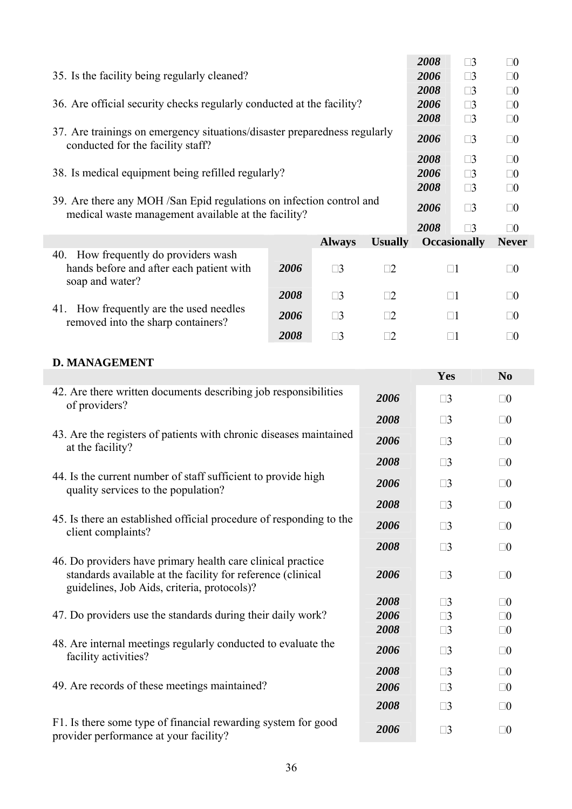|                                                                                                                            |               |                | 2008        | $\square$ 3         | $\square 0$  |
|----------------------------------------------------------------------------------------------------------------------------|---------------|----------------|-------------|---------------------|--------------|
| 35. Is the facility being regularly cleaned?                                                                               |               |                | 2006        | $\square$ 3         | $\square 0$  |
|                                                                                                                            |               |                | 2008        | $\square$ 3         | $\square 0$  |
| 36. Are official security checks regularly conducted at the facility?                                                      |               |                | 2006        | $\square$ 3         | $\square 0$  |
|                                                                                                                            |               |                | 2008        | $\square$ 3         | $\square 0$  |
| 37. Are trainings on emergency situations/disaster preparedness regularly<br>conducted for the facility staff?             | 2006          | $\square$ 3    | $\square 0$ |                     |              |
|                                                                                                                            |               |                | 2008        | $\square$ 3         | $\square 0$  |
| 38. Is medical equipment being refilled regularly?                                                                         |               |                | 2006        | $\square$ 3         | $\square 0$  |
|                                                                                                                            | 2008          | $\square$ 3    | $\square 0$ |                     |              |
| 39. Are there any MOH/San Epid regulations on infection control and<br>medical waste management available at the facility? |               |                | 2006        | $\square$ 3         | $\square 0$  |
|                                                                                                                            |               |                | 2008        | $\Box$ 3            | $\square 0$  |
|                                                                                                                            | <b>Always</b> | <b>Usually</b> |             | <b>Occasionally</b> | <b>Never</b> |
| How frequently do providers wash<br>40.<br>hands before and after each patient with<br>2006<br>soap and water?             | $\square$ 3   | $\Box 2$       |             | $\Box$ 1            | $\square 0$  |
| 2008                                                                                                                       | $\square$ 3   | $\square 2$    |             | $\Box$ 1            | $\square 0$  |
| 41. How frequently are the used needles<br>2006<br>removed into the sharp containers?                                      | $\square$ 3   | $\square 2$    |             | $\square$ 1         | $\square 0$  |
| 2008                                                                                                                       | $\square 3$   |                |             |                     | $\Box 0$     |

#### **D. MANAGEMENT**

|                                                                                                                                                                           |      | Yes         | N <sub>0</sub> |
|---------------------------------------------------------------------------------------------------------------------------------------------------------------------------|------|-------------|----------------|
| 42. Are there written documents describing job responsibilities<br>of providers?                                                                                          | 2006 | $\square$ 3 | $\square 0$    |
|                                                                                                                                                                           | 2008 | $\square$ 3 | $\square 0$    |
| 43. Are the registers of patients with chronic diseases maintained<br>at the facility?                                                                                    | 2006 | $\square$ 3 | $\square 0$    |
|                                                                                                                                                                           | 2008 | $\square$ 3 | $\square 0$    |
| 44. Is the current number of staff sufficient to provide high<br>quality services to the population?                                                                      | 2006 | $\square$ 3 | $\square 0$    |
|                                                                                                                                                                           | 2008 | $\square$ 3 | $\square 0$    |
| 45. Is there an established official procedure of responding to the<br>client complaints?                                                                                 | 2006 | $\square$ 3 | $\square 0$    |
|                                                                                                                                                                           | 2008 | $\square$ 3 | $\square 0$    |
| 46. Do providers have primary health care clinical practice<br>standards available at the facility for reference (clinical<br>guidelines, Job Aids, criteria, protocols)? | 2006 | $\square$ 3 | $\square 0$    |
|                                                                                                                                                                           | 2008 | $\square$ 3 | $\square 0$    |
| 47. Do providers use the standards during their daily work?                                                                                                               | 2006 | $\square$ 3 | $\square 0$    |
|                                                                                                                                                                           | 2008 | $\square$ 3 | $\square 0$    |
| 48. Are internal meetings regularly conducted to evaluate the<br>facility activities?                                                                                     | 2006 | $\square$ 3 | $\square 0$    |
|                                                                                                                                                                           | 2008 | $\square$ 3 | $\square 0$    |
| 49. Are records of these meetings maintained?                                                                                                                             | 2006 | $\square$ 3 | $\square 0$    |
|                                                                                                                                                                           | 2008 | $\square$ 3 | $\square 0$    |
| F1. Is there some type of financial rewarding system for good<br>provider performance at your facility?                                                                   | 2006 | $\square$ 3 | $\square 0$    |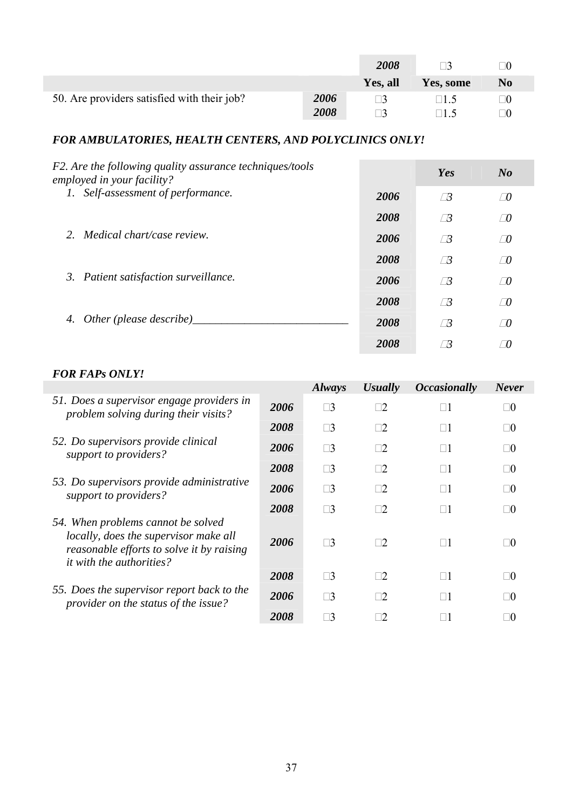|                                             |      | 2008     |                | $\mathbf{r}$   |
|---------------------------------------------|------|----------|----------------|----------------|
|                                             |      | Yes, all | Yes, some      | N <sub>0</sub> |
| 50. Are providers satisfied with their job? | 2006 |          | $\mathsf{H}$ 5 | -10            |
|                                             | 2008 |          |                | $\Box 0$       |

### *FOR AMBULATORIES, HEALTH CENTERS, AND POLYCLINICS ONLY!*

| F2. Are the following quality assurance techniques/tools<br>employed in your facility? |      | Yes        | $N_{0}$    |
|----------------------------------------------------------------------------------------|------|------------|------------|
| Self-assessment of performance.<br>1.                                                  | 2006 | $\Box$     | $\sqrt{0}$ |
|                                                                                        | 2008 | $\sqrt{3}$ | $\sqrt{D}$ |
| 2. Medical chart/case review.                                                          | 2006 | $\Box$     | $\sqrt{D}$ |
|                                                                                        | 2008 | $\Box$     | $\sqrt{0}$ |
| 3. Patient satisfaction surveillance.                                                  | 2006 | $\sqrt{3}$ | $\sqrt{0}$ |
|                                                                                        | 2008 | $\sqrt{3}$ | $\Box$     |
| Other (please describe)_<br>4.                                                         | 2008 | $\sqrt{3}$ | $\Box$     |
|                                                                                        | 2008 |            | 70         |

#### *FOR FAPs ONLY!*

|                                                                                                                                                             |      | <b>Always</b> | <b>Usually</b> | <i><b>Occasionally</b></i> | <b>Never</b> |
|-------------------------------------------------------------------------------------------------------------------------------------------------------------|------|---------------|----------------|----------------------------|--------------|
| 51. Does a supervisor engage providers in<br>problem solving during their visits?                                                                           | 2006 | $\square$ 3   | $\square 2$    | $\Box$ 1                   | $\Box 0$     |
|                                                                                                                                                             | 2008 | $\square$ 3   | $\square 2$    | $\Box$ 1                   | $\Box 0$     |
| 52. Do supervisors provide clinical<br>support to providers?                                                                                                | 2006 | $\square$ 3   | $\Box 2$       | $\Box 1$                   | $\Box 0$     |
|                                                                                                                                                             | 2008 | $\square$ 3   | $\Box 2$       | $\Box$ 1                   | $\square 0$  |
| 53. Do supervisors provide administrative<br>support to providers?                                                                                          | 2006 | $\square$ 3   | $\square 2$    | $\Box 1$                   | $\Box 0$     |
|                                                                                                                                                             | 2008 | $\square$ 3   | $\Box 2$       | $\Box 1$                   | $\neg$ ()    |
| 54. When problems cannot be solved<br>locally, does the supervisor make all<br>reasonable efforts to solve it by raising<br><i>it with the authorities?</i> | 2006 | $\square$ 3   | $\exists 2$    | $\Box$ 1                   | 70           |
|                                                                                                                                                             | 2008 | $\square$ 3   | $\square 2$    | $\Box$ 1                   | $\Box 0$     |
| 55. Does the supervisor report back to the<br>provider on the status of the issue?                                                                          | 2006 | $\square$ 3   | $\square 2$    | $\Box 1$                   | $\neg$ ()    |
|                                                                                                                                                             | 2008 | $\Box$ 3      |                |                            | $\Box 0$     |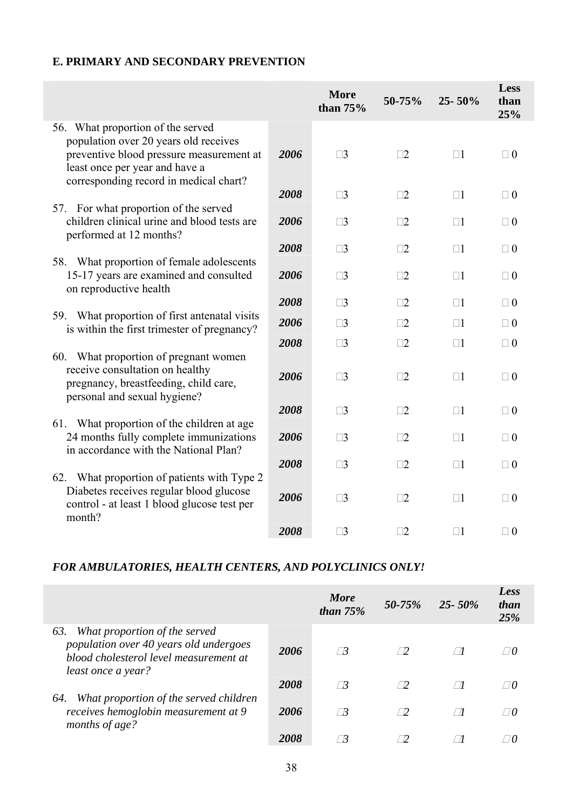#### **E. PRIMARY AND SECONDARY PREVENTION**

|                                                                                                                                                                                                    |      | <b>More</b><br>than $75%$ | 50-75%      | $25 - 50\%$ | <b>Less</b><br>than<br>25% |
|----------------------------------------------------------------------------------------------------------------------------------------------------------------------------------------------------|------|---------------------------|-------------|-------------|----------------------------|
| 56. What proportion of the served<br>population over 20 years old receives<br>preventive blood pressure measurement at<br>least once per year and have a<br>corresponding record in medical chart? | 2006 | $\square$ 3               | $\square$ 2 | $\square$ 1 | $\Box$ 0                   |
|                                                                                                                                                                                                    | 2008 | $\square$ 3               | $\square$ 2 | $\square$ 1 | $\Box$ 0                   |
| 57. For what proportion of the served<br>children clinical urine and blood tests are<br>performed at 12 months?                                                                                    | 2006 | $\square$ 3               | $\square$ 2 | $\Box$ 1    | $\Box$ 0                   |
|                                                                                                                                                                                                    | 2008 | $\square$ 3               | $\square$ 2 | $\Box$ 1    | $\Box$ 0                   |
| 58. What proportion of female adolescents<br>15-17 years are examined and consulted<br>on reproductive health                                                                                      | 2006 | $\square$ 3               | $\square$ 2 | $\square$ 1 | $\Box$ 0                   |
|                                                                                                                                                                                                    | 2008 | $\square$ 3               | $\square$ 2 | $\square$ 1 | $\Box$ 0                   |
| 59. What proportion of first antenatal visits<br>is within the first trimester of pregnancy?                                                                                                       | 2006 | $\square$ 3               | $\Box$ 2    | $\square$ 1 | $\Box$ 0                   |
|                                                                                                                                                                                                    | 2008 | $\square$ 3               | $\square$ 2 | $\square$ 1 | $\Box$ 0                   |
| 60. What proportion of pregnant women<br>receive consultation on healthy<br>pregnancy, breastfeeding, child care,<br>personal and sexual hygiene?                                                  | 2006 | $\square$ 3               | $\square$ 2 | $\square$ 1 | $\Box$ 0                   |
|                                                                                                                                                                                                    | 2008 | $\square$ 3               | $\square$ 2 | $\square$ 1 | $\Box$ 0                   |
| 61. What proportion of the children at age<br>24 months fully complete immunizations<br>in accordance with the National Plan?                                                                      | 2006 | $\square$ 3               | $\square$ 2 | $\square$   | $\Box$ 0                   |
|                                                                                                                                                                                                    | 2008 | $\square$ 3               | $\square$ 2 | $\square$ 1 | $\Box$ 0                   |
| 62. What proportion of patients with Type 2<br>Diabetes receives regular blood glucose<br>control - at least 1 blood glucose test per<br>month?                                                    | 2006 | $\square$ 3               | $\square$ 2 | $\square$ 1 | $\Box$ 0                   |
|                                                                                                                                                                                                    | 2008 | $\square$ 3               | $\square$ 2 | $\square$ 1 | $\Box$ 0                   |

#### *FOR AMBULATORIES, HEALTH CENTERS, AND POLYCLINICS ONLY!*

|                                                                                                                                                |      | <b>More</b><br>than $75%$ | $50 - 75%$ | $25 - 50\%$ | Less<br>than<br>25% |
|------------------------------------------------------------------------------------------------------------------------------------------------|------|---------------------------|------------|-------------|---------------------|
| What proportion of the served<br>63.<br>population over 40 years old undergoes<br>blood cholesterol level measurement at<br>least once a year? | 2006 |                           |            |             |                     |
|                                                                                                                                                | 2008 | 73                        | $\neg$     |             | $\Box 0$            |
| What proportion of the served children<br>64.<br>receives hemoglobin measurement at 9<br>months of age?                                        | 2006 |                           | $\Box$     | $\sqrt{ }$  | $\Box 0$            |
|                                                                                                                                                | 2008 |                           |            |             |                     |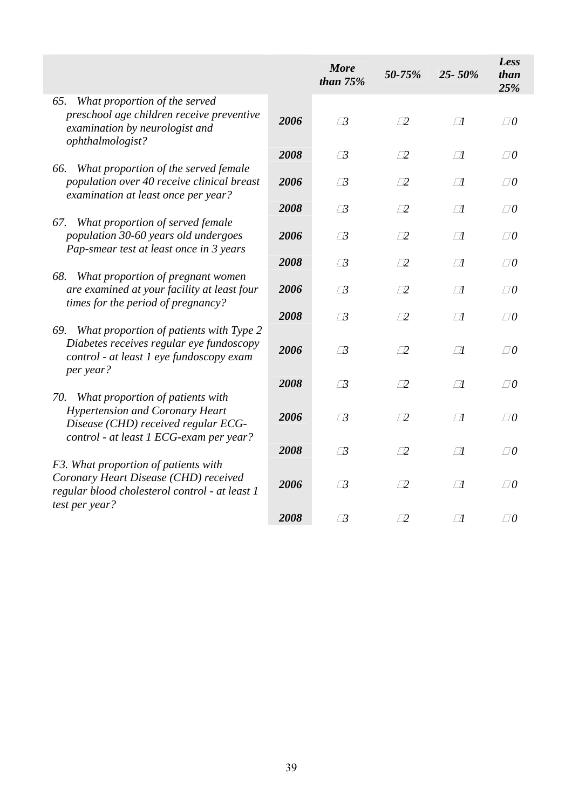|                                                                                                                                                                     |      | <b>More</b><br>than $75%$ | 50-75%     | 25-50% | Less<br>than<br>25% |
|---------------------------------------------------------------------------------------------------------------------------------------------------------------------|------|---------------------------|------------|--------|---------------------|
| What proportion of the served<br>65.<br>preschool age children receive preventive<br>examination by neurologist and<br>ophthalmologist?                             | 2006 | $\Box$ 3                  | $\Box$     | $\Box$ | $\Box 0$            |
|                                                                                                                                                                     | 2008 | $\Box$ 3                  | $\Box$     | $\Box$ | $\Box 0$            |
| What proportion of the served female<br>66.<br>population over 40 receive clinical breast<br>examination at least once per year?                                    | 2006 | $\Box$ 3                  | $\square$  | $\Box$ | $\Box 0$            |
|                                                                                                                                                                     | 2008 | $\Box$ 3                  | $\square$  | $\Box$ | $\Box 0$            |
| What proportion of served female<br>67.<br>population 30-60 years old undergoes<br>Pap-smear test at least once in 3 years                                          | 2006 | $\Box$ 3                  | $\sqrt{2}$ | $\Box$ | $\Box 0$            |
|                                                                                                                                                                     | 2008 | $\sqrt{3}$                | $\Box$     | $\Box$ | $\Box 0$            |
| 68.<br>What proportion of pregnant women<br>are examined at your facility at least four<br>times for the period of pregnancy?                                       | 2006 | $\Box$ 3                  | $\Box$     | $\Box$ | $\Box 0$            |
|                                                                                                                                                                     | 2008 | $\Box$ 3                  | $\square$  | $\Box$ | $\Box 0$            |
| What proportion of patients with Type 2<br>69.<br>Diabetes receives regular eye fundoscopy<br>control - at least 1 eye fundoscopy exam<br>per year?                 | 2006 | $\Box$ 3                  | $\sqrt{2}$ | $\Box$ | $\Box 0$            |
|                                                                                                                                                                     | 2008 | $\Box$ 3                  | $\square$  | $\Box$ | $\Box 0$            |
| What proportion of patients with<br>70.<br><b>Hypertension and Coronary Heart</b><br>Disease (CHD) received regular ECG-<br>control - at least 1 ECG-exam per year? | 2006 | $\Box$ 3                  | $\sqrt{2}$ | $\Box$ | $\Box 0$            |
|                                                                                                                                                                     | 2008 | $\Box$ 3                  | $\Box$     | $\Box$ | $\Box 0$            |
| F3. What proportion of patients with<br>Coronary Heart Disease (CHD) received<br>regular blood cholesterol control - at least 1<br>test per year?                   | 2006 | $\Box$ 3                  | $\sqrt{2}$ | $\Box$ | $\Box 0$            |
|                                                                                                                                                                     | 2008 | $\Box$ 3                  | $\square$  | $\Box$ | $\Box 0$            |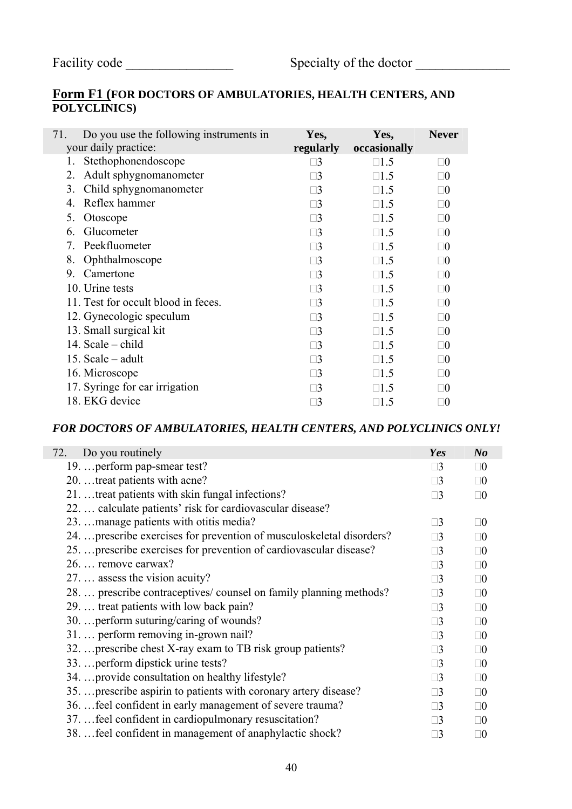### **Form F1 (FOR DOCTORS OF AMBULATORIES, HEALTH CENTERS, AND POLYCLINICS)**

|                                     |                                         |            | <b>Never</b>         |
|-------------------------------------|-----------------------------------------|------------|----------------------|
| your daily practice:                | regularly                               |            |                      |
| Stethophonendoscope                 | $\square 3$                             | $\Box$ 1.5 | $\square 0$          |
| Adult sphygnomanometer              | $\square 3$                             | $\Box$ 1.5 | $\Box 0$             |
| Child sphygnomanometer              | $\square 3$                             | $\Box$ 1.5 | $\Box$ ()            |
| Reflex hammer                       | $\Box$ 3                                | $\Box$ 1.5 | $\Box 0$             |
| Otoscope                            | $\Box$ 3                                | $\Box$ 1.5 | $\Box 0$             |
| Glucometer                          | $\square 3$                             | $\Box$ 1.5 | $\Box 0$             |
| Peekfluometer                       | $\square 3$                             | $\Box$ 1.5 | $\Box$ ()            |
| Ophthalmoscope                      | $\square 3$                             | $\Box$ 1.5 | $\Box$ ()            |
| Camertone                           | $\Box 3$                                | $\Box$ 1.5 | $\Box$ ()            |
| 10. Urine tests                     | $\Box$ 3                                | $\Box$ 1.5 | $\Box$ ()            |
| 11. Test for occult blood in feces. | $\Box$ 3                                | $\Box$ 1.5 | $\Box$ ()            |
| 12. Gynecologic speculum            | $\square 3$                             | $\Box$ 1.5 | $\Box 0$             |
| 13. Small surgical kit              | $\square 3$                             | $\Box$ 1.5 | $\Box 0$             |
| 14. Scale – child                   | $\square$ 3                             | $\Box$ 1.5 | $\Box$ ()            |
| 15. Scale $-$ adult                 | $\square$ 3                             | $\Box$ 1.5 | $\Box 0$             |
| 16. Microscope                      | $\square 3$                             | $\Box$ 1.5 | $\Box 0$             |
| 17. Syringe for ear irrigation      | $\Box$ 3                                | $\Box$ 1.5 | $\Box 0$             |
| 18. EKG device                      | $\sqsupset$                             | $\Box$ 5   | $\Box$ ()            |
|                                     | Do you use the following instruments in | Yes,       | Yes,<br>occasionally |

#### *FOR DOCTORS OF AMBULATORIES, HEALTH CENTERS, AND POLYCLINICS ONLY!*

| 72.<br>Do you routinely                                               | Yes         | N <sub>o</sub> |
|-----------------------------------------------------------------------|-------------|----------------|
| 19.  perform pap-smear test?                                          | $\Box$ 3    | $\square 0$    |
| 20.  treat patients with acne?                                        | $\Box$ 3    | $\square 0$    |
| 21.  treat patients with skin fungal infections?                      | $\Box$ 3    | $\square 0$    |
| 22.  calculate patients' risk for cardiovascular disease?             |             |                |
| 23.  manage patients with otitis media?                               | $\Box$ 3    | $\square 0$    |
| 24.  prescribe exercises for prevention of musculoskeletal disorders? | $\Box$ 3    | $\square 0$    |
| 25.  prescribe exercises for prevention of cardiovascular disease?    | $\Box$ 3    | $\square 0$    |
| 26.  remove earwax?                                                   | $\Box$ 3    | $\square 0$    |
| 27.  assess the vision acuity?                                        | $\Box$ 3    | $\square 0$    |
| 28.  prescribe contraceptives/ counsel on family planning methods?    | $\Box$ 3    | $\square 0$    |
| 29.  treat patients with low back pain?                               | $\Box$ 3    | $\square 0$    |
| 30.  perform suturing/caring of wounds?                               | $\Box$ 3    | $\square 0$    |
| 31.  perform removing in-grown nail?                                  | $\square$ 3 | $\square 0$    |
| 32.  prescribe chest X-ray exam to TB risk group patients?            | $\Box$ 3    | $\square 0$    |
| 33.  perform dipstick urine tests?                                    | $\square$ 3 | $\square 0$    |
| 34.  provide consultation on healthy lifestyle?                       | $\Box$ 3    | $\square 0$    |
| 35.  prescribe aspirin to patients with coronary artery disease?      | $\Box$ 3    | $\square 0$    |
| 36.  feel confident in early management of severe trauma?             | $\Box$ 3    | $\square 0$    |
| 37.  feel confident in cardiopulmonary resuscitation?                 | $\Box$ 3    | $\square 0$    |
| 38.  feel confident in management of anaphylactic shock?              | $\Box$ 3    | $\square 0$    |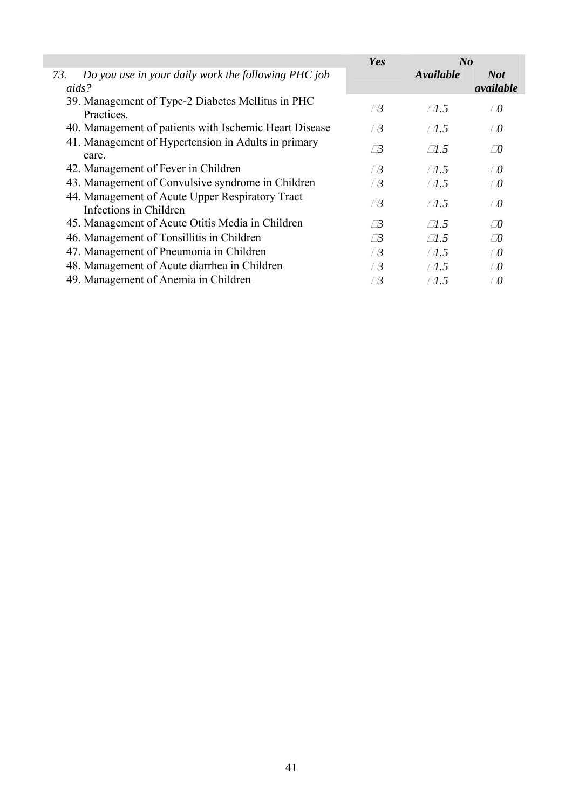|                                                                           | Yes        | $N_{0}$      |                         |
|---------------------------------------------------------------------------|------------|--------------|-------------------------|
| 73.<br>Do you use in your daily work the following PHC job<br>aids?       |            | Available    | <b>Not</b><br>available |
| 39. Management of Type-2 Diabetes Mellitus in PHC<br>Practices.           | $\Box$ 3   | $\Box$ 5     | $\varpi$                |
| 40. Management of patients with Ischemic Heart Disease                    | $\sqrt{3}$ | $\Box$ 5     | $\Box$                  |
| 41. Management of Hypertension in Adults in primary<br>care.              | $\sqrt{3}$ | $\Box$ 5     | $\Box$                  |
| 42. Management of Fever in Children                                       | / B        | $\Box$ 5     | $\Box$                  |
| 43. Management of Convulsive syndrome in Children                         | $\sqrt{3}$ | $\Box$ 1.5   | $\Box$                  |
| 44. Management of Acute Upper Respiratory Tract<br>Infections in Children | $\Box 3$   | $\Box$ 1.5   | $\Box$                  |
| 45. Management of Acute Otitis Media in Children                          | $\sqrt{3}$ | $\Box$ 1.5   | $\sqrt{2}$              |
| 46. Management of Tonsillitis in Children                                 | $\Box$     | $\Box$ 1.5   | $\Box$                  |
| 47. Management of Pneumonia in Children                                   | $\Box$     | $\sqrt{1.5}$ | $\Box$                  |
| 48. Management of Acute diarrhea in Children                              | $\Box$     | $\Box$ 1.5   | $\Box$                  |
| 49. Management of Anemia in Children                                      | / ∄        | $\Box 1.5$   | T 0                     |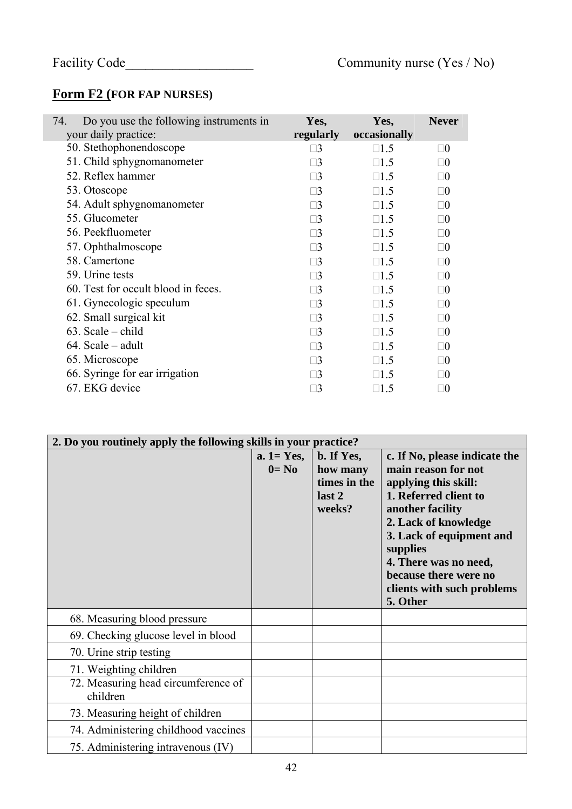## **Form F2 (FOR FAP NURSES)**

| 74.<br>Do you use the following instruments in | Yes,        | Yes,         | <b>Never</b> |
|------------------------------------------------|-------------|--------------|--------------|
| your daily practice:                           | regularly   | occasionally |              |
| 50. Stethophonendoscope                        | $\Box$ 3    | $\Box$ 1.5   | $\square 0$  |
| 51. Child sphygnomanometer                     | $\square 3$ | $\Box$ 1.5   | $\Box 0$     |
| 52. Reflex hammer                              | $\square 3$ | $\Box$ 1.5   | $\Box 0$     |
| 53. Otoscope                                   | $\square 3$ | $\Box$ 1.5   | $\square 0$  |
| 54. Adult sphygnomanometer                     | $\square 3$ | $\Box$ 1.5   | $\Box$ ()    |
| 55. Glucometer                                 | $\square 3$ | $\Box$ 1.5   | $\Box 0$     |
| 56. Peekfluometer                              | $\square$ 3 | $\Box$ 1.5   | $\Box$ ()    |
| 57. Ophthalmoscope                             | $\Box$ 3    | $\Box$ 1.5   | $\Box$ ()    |
| 58. Camertone                                  | $\square$ 3 | $\Box$ 1.5   | $\Box$ ()    |
| 59. Urine tests                                | $\square 3$ | $\Box$ 1.5   | $\Box 0$     |
| 60. Test for occult blood in feces.            | $\square 3$ | $\Box$ 1.5   | $\Box 0$     |
| 61. Gynecologic speculum                       | $\square 3$ | $\Box$ 1.5   | $\Box$ ()    |
| 62. Small surgical kit                         | $\square$ 3 | $\Box$ 1.5   | $\Box$ ()    |
| $63.$ Scale – child                            | $\square 3$ | $\Box$ 1.5   | $\Box$ ()    |
| 64. Scale – adult                              | $\square$ 3 | $\Box$ 1.5   | $\Box$ ()    |
| 65. Microscope                                 | $\Box$ 3    | $\Box$ 1.5   | $\Box$ ()    |
| 66. Syringe for ear irrigation                 | $\Box$ 3    | $\Box$ 1.5   | $\Box$ ()    |
| 67. EKG device                                 | $\square$ 3 | $\Box$ 1.5   | $\Box 0$     |

| 2. Do you routinely apply the following skills in your practice? |                         |                                                            |                                                                                                                                                                                                                                                                                       |  |  |  |  |  |  |  |
|------------------------------------------------------------------|-------------------------|------------------------------------------------------------|---------------------------------------------------------------------------------------------------------------------------------------------------------------------------------------------------------------------------------------------------------------------------------------|--|--|--|--|--|--|--|
|                                                                  | $a.1 = Yes,$<br>$0=$ No | b. If Yes,<br>how many<br>times in the<br>last 2<br>weeks? | c. If No, please indicate the<br>main reason for not<br>applying this skill:<br>1. Referred client to<br>another facility<br>2. Lack of knowledge<br>3. Lack of equipment and<br>supplies<br>4. There was no need,<br>because there were no<br>clients with such problems<br>5. Other |  |  |  |  |  |  |  |
| 68. Measuring blood pressure                                     |                         |                                                            |                                                                                                                                                                                                                                                                                       |  |  |  |  |  |  |  |
| 69. Checking glucose level in blood                              |                         |                                                            |                                                                                                                                                                                                                                                                                       |  |  |  |  |  |  |  |
| 70. Urine strip testing                                          |                         |                                                            |                                                                                                                                                                                                                                                                                       |  |  |  |  |  |  |  |
| 71. Weighting children                                           |                         |                                                            |                                                                                                                                                                                                                                                                                       |  |  |  |  |  |  |  |
| 72. Measuring head circumference of<br>children                  |                         |                                                            |                                                                                                                                                                                                                                                                                       |  |  |  |  |  |  |  |
| 73. Measuring height of children                                 |                         |                                                            |                                                                                                                                                                                                                                                                                       |  |  |  |  |  |  |  |
| 74. Administering childhood vaccines                             |                         |                                                            |                                                                                                                                                                                                                                                                                       |  |  |  |  |  |  |  |
| 75. Administering intravenous (IV)                               |                         |                                                            |                                                                                                                                                                                                                                                                                       |  |  |  |  |  |  |  |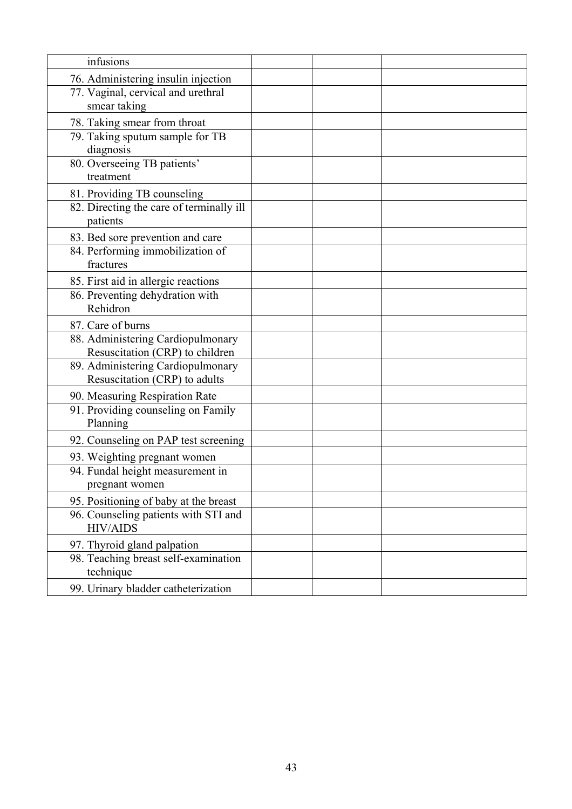| infusions                                                                     |  |  |
|-------------------------------------------------------------------------------|--|--|
|                                                                               |  |  |
| 76. Administering insulin injection                                           |  |  |
| 77. Vaginal, cervical and urethral                                            |  |  |
| smear taking                                                                  |  |  |
| 78. Taking smear from throat                                                  |  |  |
| 79. Taking sputum sample for TB                                               |  |  |
| diagnosis                                                                     |  |  |
| 80. Overseeing TB patients'                                                   |  |  |
| treatment                                                                     |  |  |
| 81. Providing TB counseling                                                   |  |  |
| 82. Directing the care of terminally ill                                      |  |  |
| patients                                                                      |  |  |
| 83. Bed sore prevention and care                                              |  |  |
| 84. Performing immobilization of                                              |  |  |
| fractures                                                                     |  |  |
|                                                                               |  |  |
| 85. First aid in allergic reactions                                           |  |  |
| 86. Preventing dehydration with                                               |  |  |
| Rehidron                                                                      |  |  |
| 87. Care of burns                                                             |  |  |
| 88. Administering Cardiopulmonary                                             |  |  |
| Resuscitation (CRP) to children                                               |  |  |
| 89. Administering Cardiopulmonary                                             |  |  |
| Resuscitation (CRP) to adults                                                 |  |  |
| 90. Measuring Respiration Rate                                                |  |  |
| 91. Providing counseling on Family                                            |  |  |
| Planning                                                                      |  |  |
| 92. Counseling on PAP test screening                                          |  |  |
| 93. Weighting pregnant women                                                  |  |  |
| 94. Fundal height measurement in                                              |  |  |
| pregnant women                                                                |  |  |
|                                                                               |  |  |
| 95. Positioning of baby at the breast<br>96. Counseling patients with STI and |  |  |
| <b>HIV/AIDS</b>                                                               |  |  |
|                                                                               |  |  |
| 97. Thyroid gland palpation                                                   |  |  |
| 98. Teaching breast self-examination                                          |  |  |
| technique                                                                     |  |  |
| 99. Urinary bladder catheterization                                           |  |  |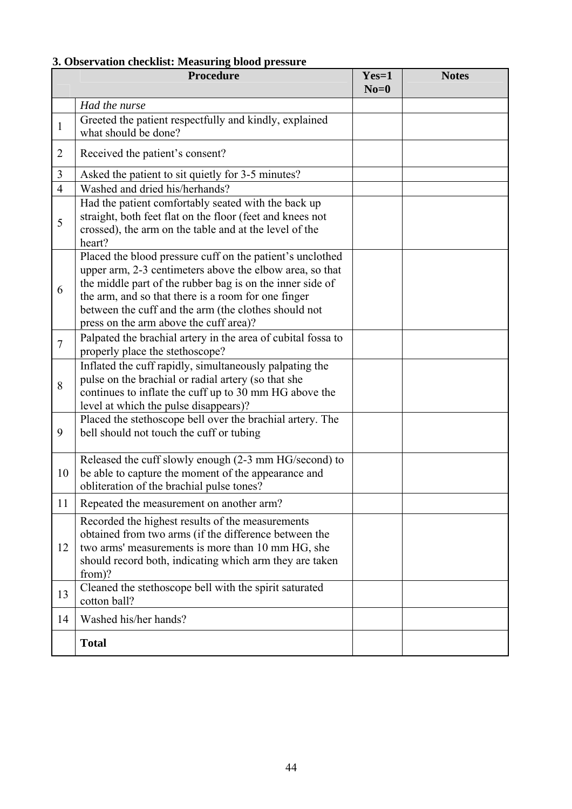#### **3. Observation checklist: Measuring blood pressure**

|                | <b>Procedure</b>                                                                                                                                                                                                                                                                                                                            | $Yes=1$<br>$No=0$ | <b>Notes</b> |
|----------------|---------------------------------------------------------------------------------------------------------------------------------------------------------------------------------------------------------------------------------------------------------------------------------------------------------------------------------------------|-------------------|--------------|
|                | Had the nurse                                                                                                                                                                                                                                                                                                                               |                   |              |
| 1              | Greeted the patient respectfully and kindly, explained<br>what should be done?                                                                                                                                                                                                                                                              |                   |              |
| $\overline{2}$ | Received the patient's consent?                                                                                                                                                                                                                                                                                                             |                   |              |
| 3              | Asked the patient to sit quietly for 3-5 minutes?                                                                                                                                                                                                                                                                                           |                   |              |
| $\overline{4}$ | Washed and dried his/herhands?                                                                                                                                                                                                                                                                                                              |                   |              |
| 5              | Had the patient comfortably seated with the back up<br>straight, both feet flat on the floor (feet and knees not<br>crossed), the arm on the table and at the level of the<br>heart?                                                                                                                                                        |                   |              |
| 6              | Placed the blood pressure cuff on the patient's unclothed<br>upper arm, 2-3 centimeters above the elbow area, so that<br>the middle part of the rubber bag is on the inner side of<br>the arm, and so that there is a room for one finger<br>between the cuff and the arm (the clothes should not<br>press on the arm above the cuff area)? |                   |              |
| $\overline{7}$ | Palpated the brachial artery in the area of cubital fossa to<br>properly place the stethoscope?                                                                                                                                                                                                                                             |                   |              |
| 8              | Inflated the cuff rapidly, simultaneously palpating the<br>pulse on the brachial or radial artery (so that she<br>continues to inflate the cuff up to 30 mm HG above the<br>level at which the pulse disappears)?                                                                                                                           |                   |              |
| 9              | Placed the stethoscope bell over the brachial artery. The<br>bell should not touch the cuff or tubing                                                                                                                                                                                                                                       |                   |              |
| 10             | Released the cuff slowly enough (2-3 mm HG/second) to<br>be able to capture the moment of the appearance and<br>obliteration of the brachial pulse tones?                                                                                                                                                                                   |                   |              |
| 11             | Repeated the measurement on another arm?                                                                                                                                                                                                                                                                                                    |                   |              |
| 12             | Recorded the highest results of the measurements<br>obtained from two arms (if the difference between the<br>two arms' measurements is more than 10 mm HG, she<br>should record both, indicating which arm they are taken<br>from)?                                                                                                         |                   |              |
| 13             | Cleaned the stethoscope bell with the spirit saturated<br>cotton ball?                                                                                                                                                                                                                                                                      |                   |              |
| 14             | Washed his/her hands?                                                                                                                                                                                                                                                                                                                       |                   |              |
|                | <b>Total</b>                                                                                                                                                                                                                                                                                                                                |                   |              |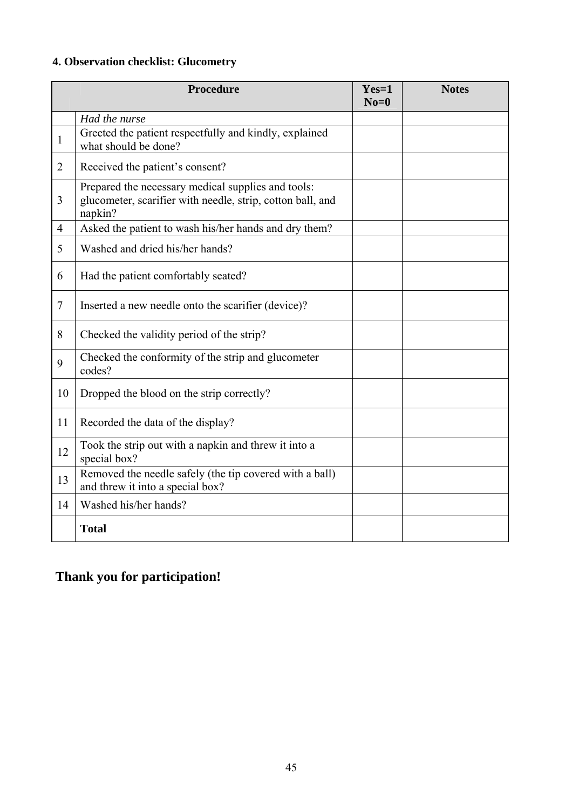### **4. Observation checklist: Glucometry**

|                | Procedure                                                                                                                   | $Yes=1$<br>$No=0$ | <b>Notes</b> |
|----------------|-----------------------------------------------------------------------------------------------------------------------------|-------------------|--------------|
|                | Had the nurse                                                                                                               |                   |              |
| $\mathbf{1}$   | Greeted the patient respectfully and kindly, explained<br>what should be done?                                              |                   |              |
| $\overline{2}$ | Received the patient's consent?                                                                                             |                   |              |
| 3              | Prepared the necessary medical supplies and tools:<br>glucometer, scarifier with needle, strip, cotton ball, and<br>napkin? |                   |              |
| 4              | Asked the patient to wash his/her hands and dry them?                                                                       |                   |              |
| 5              | Washed and dried his/her hands?                                                                                             |                   |              |
| 6              | Had the patient comfortably seated?                                                                                         |                   |              |
| 7              | Inserted a new needle onto the scarifier (device)?                                                                          |                   |              |
| 8              | Checked the validity period of the strip?                                                                                   |                   |              |
| 9              | Checked the conformity of the strip and glucometer<br>codes?                                                                |                   |              |
| 10             | Dropped the blood on the strip correctly?                                                                                   |                   |              |
| 11             | Recorded the data of the display?                                                                                           |                   |              |
| 12             | Took the strip out with a napkin and threw it into a<br>special box?                                                        |                   |              |
| 13             | Removed the needle safely (the tip covered with a ball)<br>and threw it into a special box?                                 |                   |              |
| 14             | Washed his/her hands?                                                                                                       |                   |              |
|                | <b>Total</b>                                                                                                                |                   |              |

## **Thank you for participation!**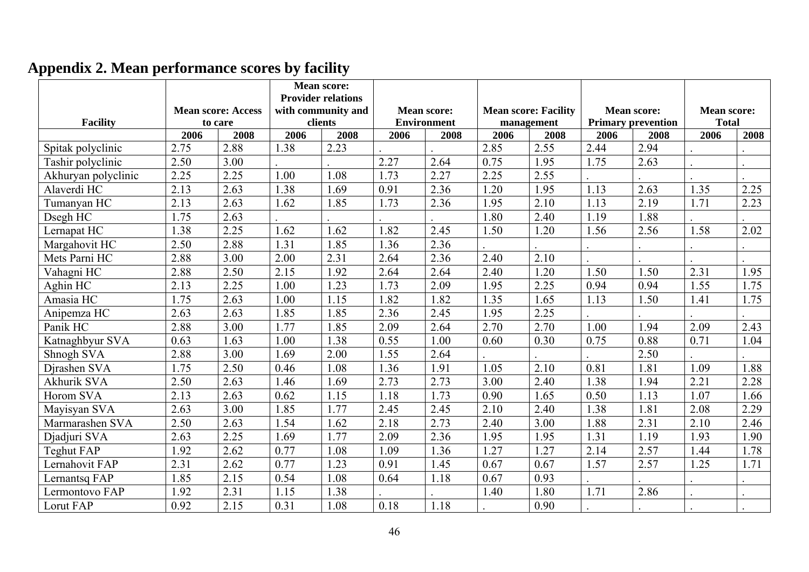|                     |      | <b>Mean score: Access</b> | <b>Mean score:</b><br><b>Provider relations</b><br>with community and |         | <b>Mean score:</b> |                    | <b>Mean score: Facility</b> |            | <b>Mean score:</b> |                           | <b>Mean score:</b> |              |  |
|---------------------|------|---------------------------|-----------------------------------------------------------------------|---------|--------------------|--------------------|-----------------------------|------------|--------------------|---------------------------|--------------------|--------------|--|
| <b>Facility</b>     |      | to care                   |                                                                       | clients |                    | <b>Environment</b> |                             | management |                    | <b>Primary prevention</b> |                    | <b>Total</b> |  |
|                     | 2006 | 2008                      | 2006                                                                  | 2008    | 2006               | 2008               | 2006                        | 2008       | 2006               | 2008                      | 2006               | 2008         |  |
| Spitak polyclinic   | 2.75 | 2.88                      | 1.38                                                                  | 2.23    |                    |                    | 2.85                        | 2.55       | 2.44               | 2.94                      |                    |              |  |
| Tashir polyclinic   | 2.50 | 3.00                      |                                                                       |         | 2.27               | 2.64               | 0.75                        | 1.95       | 1.75               | 2.63                      |                    |              |  |
| Akhuryan polyclinic | 2.25 | 2.25                      | 1.00                                                                  | 1.08    | 1.73               | 2.27               | 2.25                        | 2.55       |                    |                           |                    |              |  |
| Alaverdi HC         | 2.13 | 2.63                      | 1.38                                                                  | 1.69    | 0.91               | 2.36               | 1.20                        | 1.95       | 1.13               | 2.63                      | 1.35               | 2.25         |  |
| Tumanyan HC         | 2.13 | 2.63                      | 1.62                                                                  | 1.85    | 1.73               | 2.36               | 1.95                        | 2.10       | 1.13               | 2.19                      | 1.71               | 2.23         |  |
| Dsegh HC            | 1.75 | 2.63                      |                                                                       |         |                    |                    | 1.80                        | 2.40       | 1.19               | 1.88                      |                    |              |  |
| Lernapat HC         | 1.38 | 2.25                      | 1.62                                                                  | 1.62    | 1.82               | 2.45               | 1.50                        | 1.20       | 1.56               | 2.56                      | 1.58               | 2.02         |  |
| Margahovit HC       | 2.50 | 2.88                      | 1.31                                                                  | 1.85    | 1.36               | 2.36               |                             |            |                    |                           |                    |              |  |
| Mets Parni HC       | 2.88 | 3.00                      | 2.00                                                                  | 2.31    | 2.64               | 2.36               | 2.40                        | 2.10       |                    |                           |                    |              |  |
| Vahagni HC          | 2.88 | 2.50                      | 2.15                                                                  | 1.92    | 2.64               | 2.64               | 2.40                        | 1.20       | 1.50               | 1.50                      | 2.31               | 1.95         |  |
| Aghin HC            | 2.13 | 2.25                      | 1.00                                                                  | 1.23    | 1.73               | 2.09               | 1.95                        | 2.25       | 0.94               | 0.94                      | 1.55               | 1.75         |  |
| Amasia HC           | 1.75 | 2.63                      | 1.00                                                                  | 1.15    | 1.82               | 1.82               | 1.35                        | 1.65       | 1.13               | 1.50                      | 1.41               | 1.75         |  |
| Anipemza HC         | 2.63 | 2.63                      | 1.85                                                                  | 1.85    | 2.36               | 2.45               | 1.95                        | 2.25       |                    |                           |                    |              |  |
| Panik HC            | 2.88 | 3.00                      | 1.77                                                                  | 1.85    | 2.09               | 2.64               | 2.70                        | 2.70       | 1.00               | 1.94                      | 2.09               | 2.43         |  |
| Katnaghbyur SVA     | 0.63 | 1.63                      | 1.00                                                                  | 1.38    | 0.55               | 1.00               | 0.60                        | 0.30       | 0.75               | 0.88                      | 0.71               | 1.04         |  |
| Shnogh SVA          | 2.88 | 3.00                      | 1.69                                                                  | 2.00    | 1.55               | 2.64               |                             |            |                    | 2.50                      |                    |              |  |
| Djrashen SVA        | 1.75 | 2.50                      | 0.46                                                                  | 1.08    | 1.36               | 1.91               | 1.05                        | 2.10       | 0.81               | 1.81                      | 1.09               | 1.88         |  |
| <b>Akhurik SVA</b>  | 2.50 | 2.63                      | 1.46                                                                  | 1.69    | 2.73               | 2.73               | 3.00                        | 2.40       | 1.38               | 1.94                      | 2.21               | 2.28         |  |
| <b>Horom SVA</b>    | 2.13 | 2.63                      | 0.62                                                                  | 1.15    | 1.18               | 1.73               | 0.90                        | 1.65       | 0.50               | 1.13                      | 1.07               | 1.66         |  |
| Mayisyan SVA        | 2.63 | 3.00                      | 1.85                                                                  | 1.77    | 2.45               | 2.45               | 2.10                        | 2.40       | 1.38               | 1.81                      | 2.08               | 2.29         |  |
| Marmarashen SVA     | 2.50 | 2.63                      | 1.54                                                                  | 1.62    | 2.18               | 2.73               | 2.40                        | 3.00       | 1.88               | 2.31                      | 2.10               | 2.46         |  |
| Djadjuri SVA        | 2.63 | 2.25                      | 1.69                                                                  | 1.77    | 2.09               | 2.36               | 1.95                        | 1.95       | 1.31               | 1.19                      | 1.93               | 1.90         |  |
| Teghut FAP          | 1.92 | 2.62                      | 0.77                                                                  | 1.08    | 1.09               | 1.36               | 1.27                        | 1.27       | 2.14               | 2.57                      | 1.44               | 1.78         |  |
| Lernahovit FAP      | 2.31 | 2.62                      | 0.77                                                                  | 1.23    | 0.91               | 1.45               | 0.67                        | 0.67       | 1.57               | 2.57                      | 1.25               | 1.71         |  |
| Lernantsq FAP       | 1.85 | 2.15                      | 0.54                                                                  | 1.08    | 0.64               | 1.18               | 0.67                        | 0.93       |                    |                           |                    |              |  |
| Lermontovo FAP      | 1.92 | 2.31                      | 1.15                                                                  | 1.38    |                    |                    | 1.40                        | 1.80       | 1.71               | 2.86                      |                    |              |  |
| Lorut FAP           | 0.92 | 2.15                      | 0.31                                                                  | 1.08    | 0.18               | 1.18               |                             | 0.90       |                    |                           |                    |              |  |

## **Appendix 2. Mean performance scores by facility**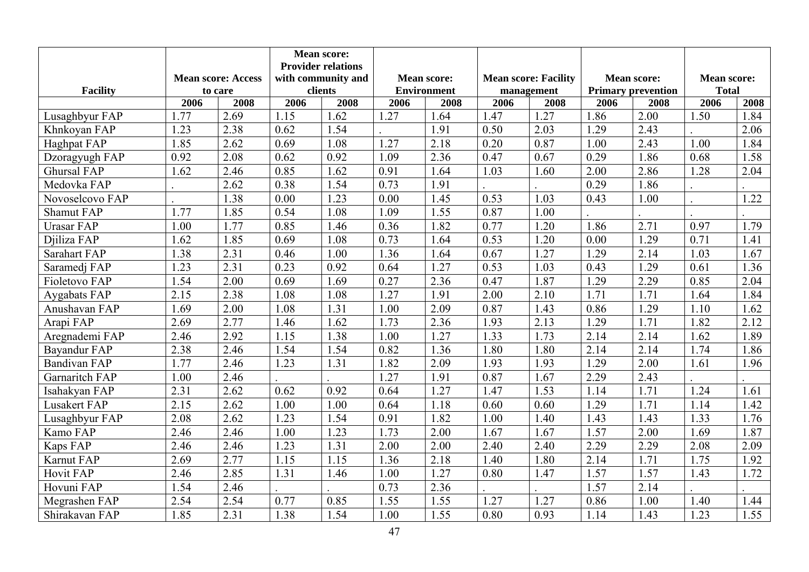|                     |      |                           |                           | <b>Mean score:</b>            |      |                                          |      |                                           |      |                                                 |      |                                    |  |
|---------------------|------|---------------------------|---------------------------|-------------------------------|------|------------------------------------------|------|-------------------------------------------|------|-------------------------------------------------|------|------------------------------------|--|
|                     |      |                           | <b>Provider relations</b> |                               |      |                                          |      |                                           |      |                                                 |      |                                    |  |
| <b>Facility</b>     |      | <b>Mean score: Access</b> |                           | with community and<br>clients |      | <b>Mean score:</b><br><b>Environment</b> |      | <b>Mean score: Facility</b><br>management |      | <b>Mean score:</b><br><b>Primary prevention</b> |      | <b>Mean score:</b><br><b>Total</b> |  |
|                     | 2006 | to care<br>2008           | 2006                      | 2008                          | 2006 | 2008                                     | 2006 | 2008                                      | 2006 | 2008                                            | 2006 | 2008                               |  |
| Lusaghbyur FAP      | 1.77 | 2.69                      | 1.15                      | 1.62                          | 1.27 | 1.64                                     | 1.47 | 1.27                                      | 1.86 | 2.00                                            | 1.50 | 1.84                               |  |
| Khnkoyan FAP        | 1.23 | 2.38                      | 0.62                      | 1.54                          |      | 1.91                                     | 0.50 | 2.03                                      | 1.29 | 2.43                                            |      | 2.06                               |  |
| Haghpat FAP         | 1.85 | 2.62                      | 0.69                      | 1.08                          | 1.27 | 2.18                                     | 0.20 | 0.87                                      | 1.00 | 2.43                                            | 1.00 | 1.84                               |  |
| Dzoragyugh FAP      | 0.92 | 2.08                      | 0.62                      | 0.92                          | 1.09 | 2.36                                     | 0.47 | 0.67                                      | 0.29 | 1.86                                            | 0.68 | 1.58                               |  |
| <b>Ghursal FAP</b>  | 1.62 | 2.46                      | 0.85                      | 1.62                          | 0.91 | 1.64                                     | 1.03 | 1.60                                      | 2.00 | 2.86                                            | 1.28 | 2.04                               |  |
| Medovka FAP         |      | 2.62                      | 0.38                      | 1.54                          | 0.73 | 1.91                                     |      |                                           | 0.29 | 1.86                                            |      |                                    |  |
| Novoselcovo FAP     |      | 1.38                      | 0.00                      | 1.23                          | 0.00 | 1.45                                     | 0.53 | 1.03                                      | 0.43 | 1.00                                            |      | 1.22                               |  |
| <b>Shamut FAP</b>   | 1.77 | 1.85                      | 0.54                      | 1.08                          | 1.09 | 1.55                                     | 0.87 | 1.00                                      |      |                                                 |      |                                    |  |
| <b>Urasar FAP</b>   | 1.00 | 1.77                      | 0.85                      | 1.46                          | 0.36 | 1.82                                     | 0.77 | 1.20                                      | 1.86 | 2.71                                            | 0.97 | 1.79                               |  |
| Djiliza FAP         | 1.62 | 1.85                      | 0.69                      | 1.08                          | 0.73 | 1.64                                     | 0.53 | 1.20                                      | 0.00 | 1.29                                            | 0.71 | 1.41                               |  |
| <b>Sarahart FAP</b> | 1.38 | 2.31                      | 0.46                      | 1.00                          | 1.36 | 1.64                                     | 0.67 | 1.27                                      | 1.29 | 2.14                                            | 1.03 | 1.67                               |  |
| Saramedj FAP        | 1.23 | 2.31                      | 0.23                      | 0.92                          | 0.64 | 1.27                                     | 0.53 | 1.03                                      | 0.43 | 1.29                                            | 0.61 | 1.36                               |  |
| Fioletovo FAP       | 1.54 | 2.00                      | 0.69                      | 1.69                          | 0.27 | 2.36                                     | 0.47 | 1.87                                      | 1.29 | 2.29                                            | 0.85 | 2.04                               |  |
| Aygabats FAP        | 2.15 | 2.38                      | 1.08                      | 1.08                          | 1.27 | 1.91                                     | 2.00 | 2.10                                      | 1.71 | 1.71                                            | 1.64 | 1.84                               |  |
| Anushavan FAP       | 1.69 | 2.00                      | 1.08                      | 1.31                          | 1.00 | 2.09                                     | 0.87 | 1.43                                      | 0.86 | 1.29                                            | 1.10 | 1.62                               |  |
| Arapi FAP           | 2.69 | 2.77                      | 1.46                      | 1.62                          | 1.73 | 2.36                                     | 1.93 | 2.13                                      | 1.29 | 1.71                                            | 1.82 | 2.12                               |  |
| Aregnademi FAP      | 2.46 | 2.92                      | 1.15                      | 1.38                          | 1.00 | 1.27                                     | 1.33 | 1.73                                      | 2.14 | 2.14                                            | 1.62 | 1.89                               |  |
| Bayandur FAP        | 2.38 | 2.46                      | 1.54                      | 1.54                          | 0.82 | 1.36                                     | 1.80 | 1.80                                      | 2.14 | 2.14                                            | 1.74 | 1.86                               |  |
| <b>Bandivan FAP</b> | 1.77 | 2.46                      | 1.23                      | 1.31                          | 1.82 | 2.09                                     | 1.93 | 1.93                                      | 1.29 | 2.00                                            | 1.61 | 1.96                               |  |
| Garnaritch FAP      | 1.00 | 2.46                      |                           |                               | 1.27 | 1.91                                     | 0.87 | 1.67                                      | 2.29 | 2.43                                            |      |                                    |  |
| Isahakyan FAP       | 2.31 | 2.62                      | 0.62                      | 0.92                          | 0.64 | 1.27                                     | 1.47 | 1.53                                      | 1.14 | 1.71                                            | 1.24 | 1.61                               |  |
| Lusakert FAP        | 2.15 | 2.62                      | 1.00                      | 1.00                          | 0.64 | 1.18                                     | 0.60 | 0.60                                      | 1.29 | 1.71                                            | 1.14 | 1.42                               |  |
| Lusaghbyur FAP      | 2.08 | 2.62                      | 1.23                      | 1.54                          | 0.91 | 1.82                                     | 1.00 | 1.40                                      | 1.43 | 1.43                                            | 1.33 | 1.76                               |  |
| Kamo FAP            | 2.46 | 2.46                      | 1.00                      | 1.23                          | 1.73 | 2.00                                     | 1.67 | 1.67                                      | 1.57 | 2.00                                            | 1.69 | 1.87                               |  |
| Kaps FAP            | 2.46 | 2.46                      | 1.23                      | 1.31                          | 2.00 | 2.00                                     | 2.40 | 2.40                                      | 2.29 | 2.29                                            | 2.08 | 2.09                               |  |
| Karnut FAP          | 2.69 | 2.77                      | 1.15                      | 1.15                          | 1.36 | 2.18                                     | 1.40 | 1.80                                      | 2.14 | 1.71                                            | 1.75 | 1.92                               |  |
| <b>Hovit FAP</b>    | 2.46 | 2.85                      | 1.31                      | 1.46                          | 1.00 | 1.27                                     | 0.80 | 1.47                                      | 1.57 | 1.57                                            | 1.43 | 1.72                               |  |
| Hovuni FAP          | 1.54 | 2.46                      |                           |                               | 0.73 | 2.36                                     |      |                                           | 1.57 | 2.14                                            |      |                                    |  |
| Megrashen FAP       | 2.54 | 2.54                      | 0.77                      | 0.85                          | 1.55 | 1.55                                     | 1.27 | 1.27                                      | 0.86 | 1.00                                            | 1.40 | 1.44                               |  |
| Shirakavan FAP      | 1.85 | 2.31                      | 1.38                      | 1.54                          | 1.00 | 1.55                                     | 0.80 | 0.93                                      | 1.14 | 1.43                                            | 1.23 | 1.55                               |  |